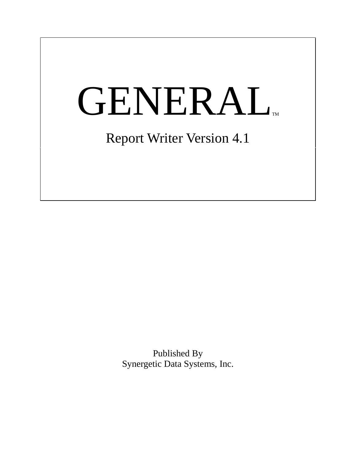# **GENERAL** Report Writer Version 4.1

Published By Synergetic Data Systems, Inc.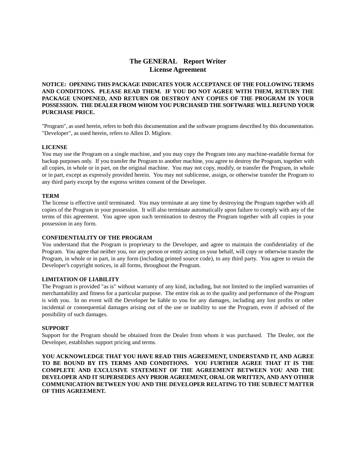# **The GENERAL<sup>™</sup> Report Writer License Agreement**

**NOTICE: OPENING THIS PACKAGE INDICATES YOUR ACCEPTANCE OF THE FOLLOWING TERMS AND CONDITIONS. PLEASE READ THEM. IF YOU DO NOT AGREE WITH THEM, RETURN THE PACKAGE UNOPENED, AND RETURN OR DESTROY ANY COPIES OF THE PROGRAM IN YOUR POSSESSION. THE DEALER FROM WHOM YOU PURCHASED THE SOFTWARE WILL REFUND YOUR PURCHASE PRICE.**

"Program", as used herein, refers to both this documentation and the software programs described by this documentation. "Developer", as used herein, refers to Allen D. Miglore.

#### **LICENSE**

You may use the Program on a single machine, and you may copy the Program into any machine-readable format for backup purposes only. If you transfer the Program to another machine, you agree to destroy the Program, together with all copies, in whole or in part, on the original machine. You may not copy, modify, or transfer the Program, in whole or in part, except as expressly provided herein. You may not sublicense, assign, or otherwise transfer the Program to any third party except by the express written consent of the Developer.

#### **TERM**

The license is effective until terminated. You may terminate at any time by destroying the Program together with all copies of the Program in your possession. It will also terminate automatically upon failure to comply with any of the terms of this agreement. You agree upon such termination to destroy the Program together with all copies in your possession in any form.

#### **CONFIDENTIALITY OF THE PROGRAM**

You understand that the Program is proprietary to the Developer, and agree to maintain the confidentiality of the Program. You agree that neither you, nor any person or entity acting on your behalf, will copy or otherwise transfer the Program, in whole or in part, in any form (including printed source code), to any third party. You agree to retain the Developer's copyright notices, in all forms, throughout the Program.

#### **LIMITATION OF LIABILITY**

The Program is provided "as is" without warranty of any kind, including, but not limited to the implied warranties of merchantability and fitness for a particular purpose. The entire risk as to the quality and performance of the Program is with you. In no event will the Developer be liable to you for any damages, including any lost profits or other incidental or consequential damages arising out of the use or inability to use the Program, even if advised of the possibility of such damages.

#### **SUPPORT**

Support for the Program should be obtained from the Dealer from whom it was purchased. The Dealer, not the Developer, establishes support pricing and terms.

**YOU ACKNOWLEDGE THAT YOU HAVE READ THIS AGREEMENT, UNDERSTAND IT, AND AGREE TO BE BOUND BY ITS TERMS AND CONDITIONS. YOU FURTHER AGREE THAT IT IS THE COMPLETE AND EXCLUSIVE STATEMENT OF THE AGREEMENT BETWEEN YOU AND THE DEVELOPER AND IT SUPERSEDES ANY PRIOR AGREEMENT, ORAL OR WRITTEN, AND ANY OTHER COMMUNICATION BETWEEN YOU AND THE DEVELOPER RELATING TO THE SUBJECT MATTER OF THIS AGREEMENT.**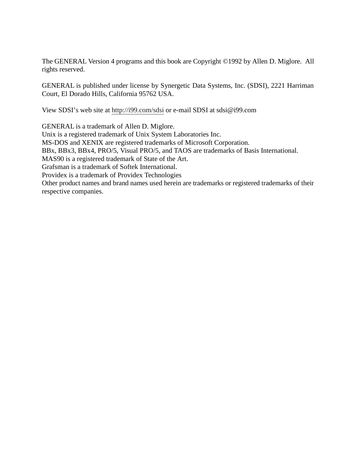The GENERAL Version 4 programs and this book are Copyright ©1992 by Allen D. Miglore. All rights reserved.

GENERAL is published under license by Synergetic Data Systems, Inc. (SDSI), 2221 Harriman Court, El Dorado Hills, California 95762 USA.

View SDSI's web site at http://i99.com/sdsi or e-mail SDSI at sdsi@i99.com

GENERAL is a trademark of Allen D. Miglore. Unix is a registered trademark of Unix System Laboratories Inc. MS-DOS and XENIX are registered trademarks of Microsoft Corporation. BBx, BBx3, BBx4, PRO/5, Visual PRO/5, and TAOS are trademarks of Basis International. MAS90 is a registered trademark of State of the Art. Grafsman is a trademark of Softek International. Providex is a trademark of Providex Technologies Other product names and brand names used herein are trademarks or registered trademarks of their respective companies.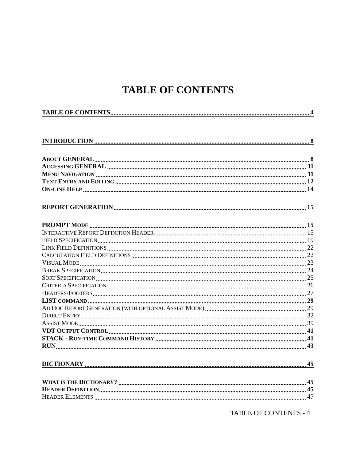# **TABLE OF CONTENTS**

TABLE OF CONTENTS - 4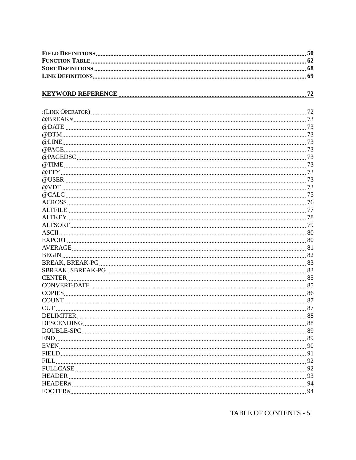| 87<br><b>CUT</b> |  |
|------------------|--|
|                  |  |
|                  |  |
|                  |  |
|                  |  |
|                  |  |
|                  |  |
|                  |  |
|                  |  |
|                  |  |
|                  |  |
|                  |  |
|                  |  |

TABLE OF CONTENTS - 5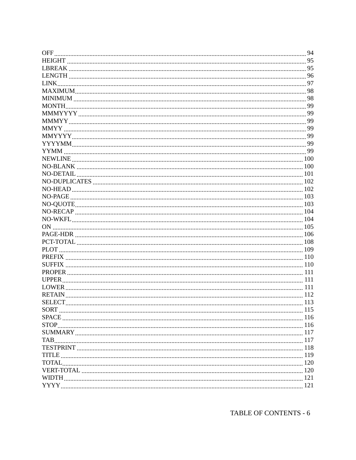| OFF         | 94 |
|-------------|----|
|             |    |
|             |    |
|             |    |
|             |    |
|             |    |
|             |    |
|             |    |
|             |    |
|             |    |
|             |    |
|             |    |
|             |    |
|             |    |
|             |    |
|             |    |
|             |    |
|             |    |
|             |    |
|             |    |
|             |    |
|             |    |
|             |    |
|             |    |
|             |    |
|             |    |
|             |    |
|             |    |
|             |    |
|             |    |
|             |    |
|             |    |
|             |    |
|             |    |
| <b>SORT</b> |    |
|             |    |
|             |    |
|             |    |
|             |    |
|             |    |
|             |    |
|             |    |
|             |    |
|             |    |
|             |    |
|             |    |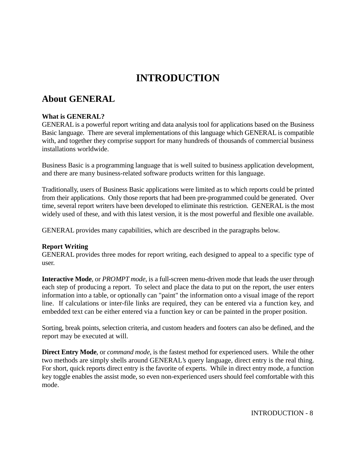# **INTRODUCTION**

# **About GENERAL**

# **What is GENERAL?**

GENERAL is a powerful report writing and data analysis tool for applications based on the Business Basic language. There are several implementations of this language which GENERAL is compatible with, and together they comprise support for many hundreds of thousands of commercial business installations worldwide.

Business Basic is a programming language that is well suited to business application development, and there are many business-related software products written for this language.

Traditionally, users of Business Basic applications were limited as to which reports could be printed from their applications. Only those reports that had been pre-programmed could be generated. Over time, several report writers have been developed to eliminate this restriction. GENERAL is the most widely used of these, and with this latest version, it is the most powerful and flexible one available.

GENERAL provides many capabilities, which are described in the paragraphs below.

# **Report Writing**

GENERAL provides three modes for report writing, each designed to appeal to a specific type of user.

**Interactive Mode**, or *PROMPT mode*, is a full-screen menu-driven mode that leads the user through each step of producing a report. To select and place the data to put on the report, the user enters information into a table, or optionally can "paint" the information onto a visual image of the report line. If calculations or inter-file links are required, they can be entered via a function key, and embedded text can be either entered via a function key or can be painted in the proper position.

Sorting, break points, selection criteria, and custom headers and footers can also be defined, and the report may be executed at will.

**Direct Entry Mode**, or *command mode*, is the fastest method for experienced users. While the other two methods are simply shells around GENERAL's query language, direct entry is the real thing. For short, quick reports direct entry is the favorite of experts. While in direct entry mode, a function key toggle enables the assist mode, so even non-experienced users should feel comfortable with this mode.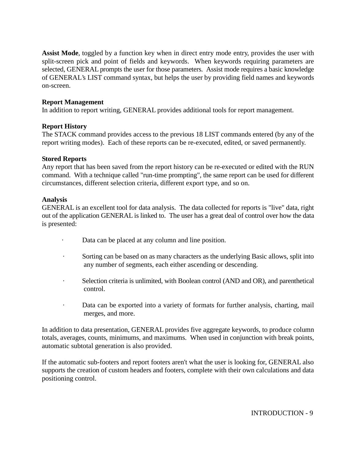**Assist Mode**, toggled by a function key when in direct entry mode entry, provides the user with split-screen pick and point of fields and keywords. When keywords requiring parameters are selected, GENERAL prompts the user for those parameters. Assist mode requires a basic knowledge of GENERAL's LIST command syntax, but helps the user by providing field names and keywords on-screen.

#### **Report Management**

In addition to report writing, GENERAL provides additional tools for report management.

#### **Report History**

The STACK command provides access to the previous 18 LIST commands entered (by any of the report writing modes). Each of these reports can be re-executed, edited, or saved permanently.

#### **Stored Reports**

Any report that has been saved from the report history can be re-executed or edited with the RUN command. With a technique called "run-time prompting", the same report can be used for different circumstances, different selection criteria, different export type, and so on.

#### **Analysis**

GENERAL is an excellent tool for data analysis. The data collected for reports is "live" data, right out of the application GENERAL is linked to. The user has a great deal of control over how the data is presented:

- · Data can be placed at any column and line position.
- Sorting can be based on as many characters as the underlying Basic allows, split into any number of segments, each either ascending or descending.
- · Selection criteria is unlimited, with Boolean control (AND and OR), and parenthetical control.
- · Data can be exported into a variety of formats for further analysis, charting, mail merges, and more.

In addition to data presentation, GENERAL provides five aggregate keywords, to produce column totals, averages, counts, minimums, and maximums. When used in conjunction with break points, automatic subtotal generation is also provided.

If the automatic sub-footers and report footers aren't what the user is looking for, GENERAL also supports the creation of custom headers and footers, complete with their own calculations and data positioning control.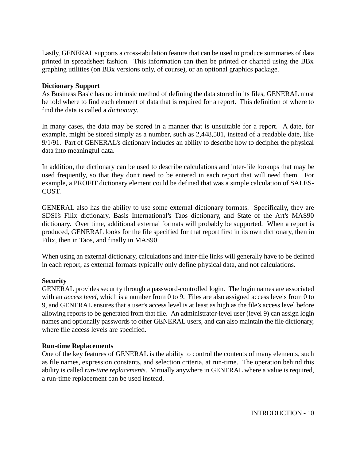Lastly, GENERAL supports a cross-tabulation feature that can be used to produce summaries of data printed in spreadsheet fashion. This information can then be printed or charted using the BBx graphing utilities (on BBx versions only, of course), or an optional graphics package.

#### **Dictionary Support**

As Business Basic has no intrinsic method of defining the data stored in its files, GENERAL must be told where to find each element of data that is required for a report. This definition of where to find the data is called a *dictionary*.

In many cases, the data may be stored in a manner that is unsuitable for a report. A date, for example, might be stored simply as a number, such as 2,448,501, instead of a readable date, like 9/1/91. Part of GENERAL's dictionary includes an ability to describe how to decipher the physical data into meaningful data.

In addition, the dictionary can be used to describe calculations and inter-file lookups that may be used frequently, so that they don't need to be entered in each report that will need them. For example, a PROFIT dictionary element could be defined that was a simple calculation of SALES-COST.

GENERAL also has the ability to use some external dictionary formats. Specifically, they are SDSI's Filix dictionary, Basis International's Taos dictionary, and State of the Art's MAS90 dictionary. Over time, additional external formats will probably be supported. When a report is produced, GENERAL looks for the file specified for that report first in its own dictionary, then in Filix, then in Taos, and finally in MAS90.

When using an external dictionary, calculations and inter-file links will generally have to be defined in each report, as external formats typically only define physical data, and not calculations.

#### **Security**

GENERAL provides security through a password-controlled login. The login names are associated with an *access level*, which is a number from 0 to 9. Files are also assigned access levels from 0 to 9, and GENERAL ensures that a user's access level is at least as high as the file's access level before allowing reports to be generated from that file. An administrator-level user (level 9) can assign login names and optionally passwords to other GENERAL users, and can also maintain the file dictionary, where file access levels are specified.

#### **Run-time Replacements**

One of the key features of GENERAL is the ability to control the contents of many elements, such as file names, expression constants, and selection criteria, at run-time. The operation behind this ability is called *run-time replacements*. Virtually anywhere in GENERAL where a value is required, a run-time replacement can be used instead.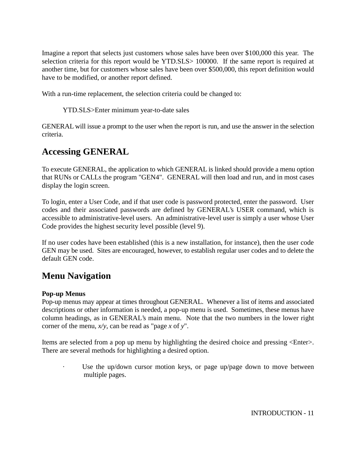Imagine a report that selects just customers whose sales have been over \$100,000 this year. The selection criteria for this report would be YTD.SLS> 100000. If the same report is required at another time, but for customers whose sales have been over \$500,000, this report definition would have to be modified, or another report defined.

With a run-time replacement, the selection criteria could be changed to:

YTD.SLS>Enter minimum year-to-date sales

GENERAL will issue a prompt to the user when the report is run, and use the answer in the selection criteria.

# **Accessing GENERAL**

To execute GENERAL, the application to which GENERAL is linked should provide a menu option that RUNs or CALLs the program "GEN4". GENERAL will then load and run, and in most cases display the login screen.

To login, enter a User Code, and if that user code is password protected, enter the password. User codes and their associated passwords are defined by GENERAL's USER command, which is accessible to administrative-level users. An administrative-level user is simply a user whose User Code provides the highest security level possible (level 9).

If no user codes have been established (this is a new installation, for instance), then the user code GEN may be used. Sites are encouraged, however, to establish regular user codes and to delete the default GEN code.

# **Menu Navigation**

# **Pop-up Menus**

Pop-up menus may appear at times throughout GENERAL. Whenever a list of items and associated descriptions or other information is needed, a pop-up menu is used. Sometimes, these menus have column headings, as in GENERAL's main menu. Note that the two numbers in the lower right corner of the menu, *x/y*, can be read as "page *x* of *y*".

Items are selected from a pop up menu by highlighting the desired choice and pressing <Enter>. There are several methods for highlighting a desired option.

Use the up/down cursor motion keys, or page up/page down to move between multiple pages.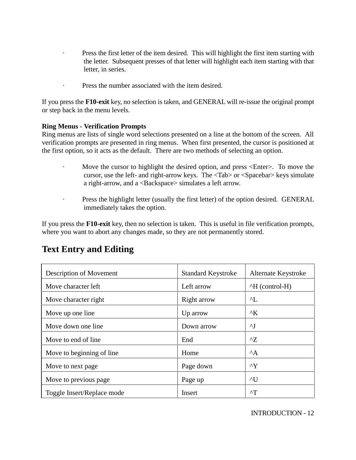- Press the first letter of the item desired. This will highlight the first item starting with the letter. Subsequent presses of that letter will highlight each item starting with that letter, in series.
- Press the number associated with the item desired.

If you press the **F10-exit** key, no selection is taken, and GENERAL will re-issue the original prompt or step back in the menu levels.

# **Ring Menus - Verification Prompts**

Ring menus are lists of single word selections presented on a line at the bottom of the screen. All verification prompts are presented in ring menus. When first presented, the cursor is positioned at the first option, so it acts as the default. There are two methods of selecting an option.

- · Move the cursor to highlight the desired option, and press <Enter>. To move the cursor, use the left- and right-arrow keys. The <Tab> or <Spacebar> keys simulate a right-arrow, and a <Backspace> simulates a left arrow.
- Press the highlight letter (usually the first letter) of the option desired. GENERAL immediately takes the option.

If you press the **F10-exit** key, then no selection is taken. This is useful in file verification prompts, where you want to abort any changes made, so they are not permanently stored.

# **Text Entry and Editing**

| Description of Movement    | <b>Standard Keystroke</b> | Alternate Keystroke    |
|----------------------------|---------------------------|------------------------|
| Move character left        | Left arrow                | $\Delta H$ (control-H) |
| Move character right       | Right arrow               | $\mathcal{L}$          |
| Move up one line           | Up arrow                  | $^{\wedge}K$           |
| Move down one line         | Down arrow                | $\mathbf{v}$           |
| Move to end of line        | End                       | $^{\wedge}Z$           |
| Move to beginning of line  | Home                      | $^{\wedge}$ A          |
| Move to next page          | Page down                 | $\mathsf{A}\mathsf{Y}$ |
| Move to previous page      | Page up                   | $\mathcal{N}$ U        |
| Toggle Insert/Replace mode | Insert                    | $\mathsf{r}$           |

INTRODUCTION - 12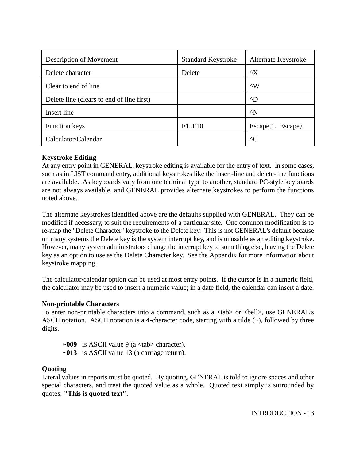| Description of Movement                   | <b>Standard Keystroke</b> | Alternate Keystroke |
|-------------------------------------------|---------------------------|---------------------|
| Delete character                          | Delete                    | $^{\wedge}X$        |
| Clear to end of line                      |                           | $\wedge$ W          |
| Delete line (clears to end of line first) |                           | $\Delta$ D          |
| Insert line                               |                           | $^{\wedge}$ N       |
| <b>Function keys</b>                      | F1.F10                    | Escape, 1 Escape, 0 |
| Calculator/Calendar                       |                           | $^{\wedge}$ C       |

# **Keystroke Editing**

At any entry point in GENERAL, keystroke editing is available for the entry of text. In some cases, such as in LIST command entry, additional keystrokes like the insert-line and delete-line functions are available. As keyboards vary from one terminal type to another, standard PC-style keyboards are not always available, and GENERAL provides alternate keystrokes to perform the functions noted above.

The alternate keystrokes identified above are the defaults supplied with GENERAL. They can be modified if necessary, to suit the requirements of a particular site. One common modification is to re-map the "Delete Character" keystroke to the Delete key. This is not GENERAL's default because on many systems the Delete key is the system interrupt key, and is unusable as an editing keystroke. However, many system administrators change the interrupt key to something else, leaving the Delete key as an option to use as the Delete Character key. See the Appendix for more information about keystroke mapping.

The calculator/calendar option can be used at most entry points. If the cursor is in a numeric field, the calculator may be used to insert a numeric value; in a date field, the calendar can insert a date.

#### **Non-printable Characters**

To enter non-printable characters into a command, such as a  $\langle \text{tab} \rangle$  or  $\langle \text{bell} \rangle$ , use GENERAL's ASCII notation. ASCII notation is a 4-character code, starting with a tilde (~), followed by three digits.

**~009** is ASCII value 9 (a <tab> character).

**~013** is ASCII value 13 (a carriage return).

#### **Quoting**

Literal values in reports must be quoted. By quoting, GENERAL is told to ignore spaces and other special characters, and treat the quoted value as a whole. Quoted text simply is surrounded by quotes: **"This is quoted text"**.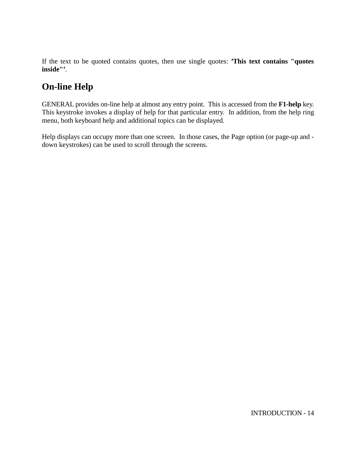If the text to be quoted contains quotes, then use single quotes: **'This text contains "quotes inside"'**.

# **On-line Help**

GENERAL provides on-line help at almost any entry point. This is accessed from the **F1-help** key. This keystroke invokes a display of help for that particular entry. In addition, from the help ring menu, both keyboard help and additional topics can be displayed.

Help displays can occupy more than one screen. In those cases, the Page option (or page-up and down keystrokes) can be used to scroll through the screens.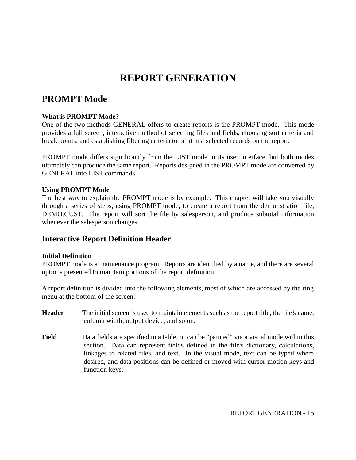# **REPORT GENERATION**

# **PROMPT Mode**

# **What is PROMPT Mode?**

One of the two methods GENERAL offers to create reports is the PROMPT mode. This mode provides a full screen, interactive method of selecting files and fields, choosing sort criteria and break points, and establishing filtering criteria to print just selected records on the report.

PROMPT mode differs significantly from the LIST mode in its user interface, but both modes ultimately can produce the same report. Reports designed in the PROMPT mode are converted by GENERAL into LIST commands.

#### **Using PROMPT Mode**

The best way to explain the PROMPT mode is by example. This chapter will take you visually through a series of steps, using PROMPT mode, to create a report from the demonstration file, DEMO.CUST. The report will sort the file by salesperson, and produce subtotal information whenever the salesperson changes.

# **Interactive Report Definition Header**

# **Initial Definition**

PROMPT mode is a maintenance program. Reports are identified by a name, and there are several options presented to maintain portions of the report definition.

A report definition is divided into the following elements, most of which are accessed by the ring menu at the bottom of the screen:

- **Header** The initial screen is used to maintain elements such as the report title, the file's name, column width, output device, and so on.
- **Field** Data fields are specified in a table, or can be "painted" via a visual mode within this section. Data can represent fields defined in the file's dictionary, calculations, linkages to related files, and text. In the visual mode, text can be typed where desired, and data positions can be defined or moved with cursor motion keys and function keys.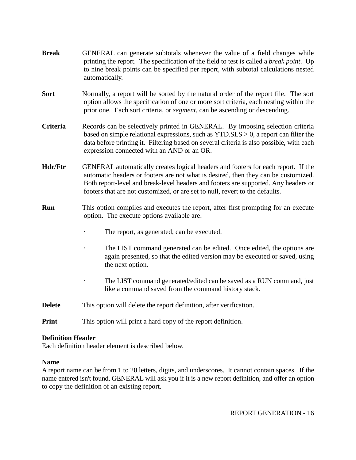| <b>Break</b>             | GENERAL can generate subtotals whenever the value of a field changes while<br>printing the report. The specification of the field to test is called a <i>break point</i> . Up<br>to nine break points can be specified per report, with subtotal calculations nested<br>automatically.                                                         |  |
|--------------------------|------------------------------------------------------------------------------------------------------------------------------------------------------------------------------------------------------------------------------------------------------------------------------------------------------------------------------------------------|--|
| <b>Sort</b>              | Normally, a report will be sorted by the natural order of the report file. The sort<br>option allows the specification of one or more sort criteria, each nesting within the<br>prior one. Each sort criteria, or <i>segment</i> , can be ascending or descending.                                                                             |  |
| Criteria                 | Records can be selectively printed in GENERAL. By imposing selection criteria<br>based on simple relational expressions, such as $YTD.SLS > 0$ , a report can filter the<br>data before printing it. Filtering based on several criteria is also possible, with each<br>expression connected with an AND or an OR.                             |  |
| <b>Hdr/Ftr</b>           | GENERAL automatically creates logical headers and footers for each report. If the<br>automatic headers or footers are not what is desired, then they can be customized.<br>Both report-level and break-level headers and footers are supported. Any headers or<br>footers that are not customized, or are set to null, revert to the defaults. |  |
| <b>Run</b>               | This option compiles and executes the report, after first prompting for an execute<br>option. The execute options available are:                                                                                                                                                                                                               |  |
|                          | The report, as generated, can be executed.                                                                                                                                                                                                                                                                                                     |  |
|                          | The LIST command generated can be edited. Once edited, the options are<br>again presented, so that the edited version may be executed or saved, using<br>the next option.                                                                                                                                                                      |  |
|                          | The LIST command generated/edited can be saved as a RUN command, just<br>like a command saved from the command history stack.                                                                                                                                                                                                                  |  |
| <b>Delete</b>            | This option will delete the report definition, after verification.                                                                                                                                                                                                                                                                             |  |
| <b>Print</b>             | This option will print a hard copy of the report definition.                                                                                                                                                                                                                                                                                   |  |
| <b>Definition Header</b> |                                                                                                                                                                                                                                                                                                                                                |  |

Each definition header element is described below.

# **Name**

A report name can be from 1 to 20 letters, digits, and underscores. It cannot contain spaces. If the name entered isn't found, GENERAL will ask you if it is a new report definition, and offer an option to copy the definition of an existing report.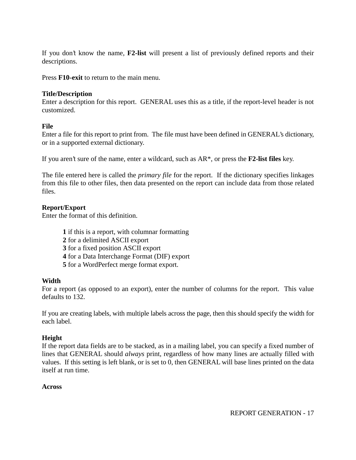If you don't know the name, **F2-list** will present a list of previously defined reports and their descriptions.

Press **F10-exit** to return to the main menu.

#### **Title/Description**

Enter a description for this report. GENERAL uses this as a title, if the report-level header is not customized.

#### **File**

Enter a file for this report to print from. The file must have been defined in GENERAL's dictionary, or in a supported external dictionary.

If you aren't sure of the name, enter a wildcard, such as AR\*, or press the **F2-list files** key.

The file entered here is called the *primary file* for the report. If the dictionary specifies linkages from this file to other files, then data presented on the report can include data from those related files.

# **Report/Export**

Enter the format of this definition.

- **1** if this is a report, with columnar formatting
- **2** for a delimited ASCII export
- **3** for a fixed position ASCII export
- **4** for a Data Interchange Format (DIF) export
- **5** for a WordPerfect merge format export.

#### **Width**

For a report (as opposed to an export), enter the number of columns for the report. This value defaults to 132.

If you are creating labels, with multiple labels across the page, then this should specify the width for each label.

# **Height**

If the report data fields are to be stacked, as in a mailing label, you can specify a fixed number of lines that GENERAL should *always* print, regardless of how many lines are actually filled with values. If this setting is left blank, or is set to 0, then GENERAL will base lines printed on the data itself at run time.

#### **Across**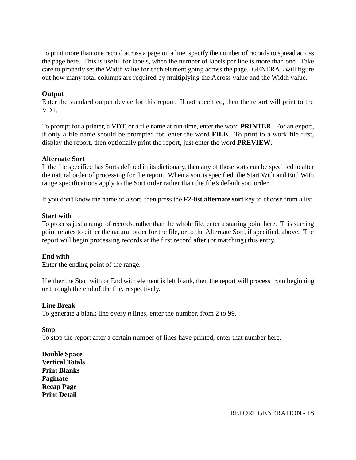To print more than one record across a page on a line, specify the number of records to spread across the page here. This is useful for labels, when the number of labels per line is more than one. Take care to properly set the Width value for each element going across the page. GENERAL will figure out how many total columns are required by multiplying the Across value and the Width value.

# **Output**

Enter the standard output device for this report. If not specified, then the report will print to the VDT.

To prompt for a printer, a VDT, or a file name at run-time, enter the word **PRINTER**. For an export, if only a file name should be prompted for, enter the word **FILE**. To print to a work file first, display the report, then optionally print the report, just enter the word **PREVIEW**.

#### **Alternate Sort**

If the file specified has Sorts defined in its dictionary, then any of those sorts can be specified to alter the natural order of processing for the report. When a sort is specified, the Start With and End With range specifications apply to the Sort order rather than the file's default sort order.

If you don't know the name of a sort, then press the **F2-list alternate sort** key to choose from a list.

#### **Start with**

To process just a range of records, rather than the whole file, enter a starting point here. This starting point relates to either the natural order for the file, or to the Alternate Sort, if specified, above. The report will begin processing records at the first record after (or matching) this entry.

#### **End with**

Enter the ending point of the range.

If either the Start with or End with element is left blank, then the report will process from beginning or through the end of the file, respectively.

#### **Line Break**

To generate a blank line every *n* lines, enter the number, from 2 to 99.

#### **Stop**

To stop the report after a certain number of lines have printed, enter that number here.

**Double Space Vertical Totals Print Blanks Paginate Recap Page Print Detail**

REPORT GENERATION - 18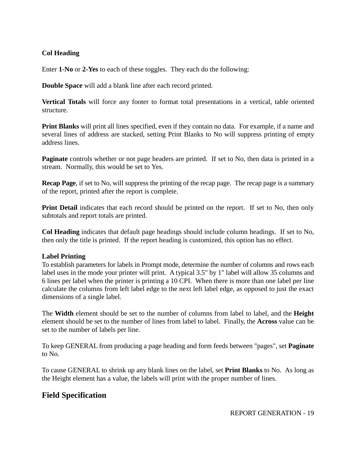# **Col Heading**

Enter **1-No** or **2-Yes** to each of these toggles. They each do the following:

**Double Space** will add a blank line after each record printed.

**Vertical Totals** will force any footer to format total presentations in a vertical, table oriented structure.

**Print Blanks** will print all lines specified, even if they contain no data. For example, if a name and several lines of address are stacked, setting Print Blanks to No will suppress printing of empty address lines.

**Paginate** controls whether or not page headers are printed. If set to No, then data is printed in a stream. Normally, this would be set to Yes.

**Recap Page**, if set to No, will suppress the printing of the recap page. The recap page is a summary of the report, printed after the report is complete.

**Print Detail** indicates that each record should be printed on the report. If set to No, then only subtotals and report totals are printed.

**Col Heading** indicates that default page headings should include column headings. If set to No, then only the title is printed. If the report heading is customized, this option has no effect.

# **Label Printing**

To establish parameters for labels in Prompt mode, determine the number of columns and rows each label uses in the mode your printer will print. A typical 3.5" by 1" label will allow 35 columns and 6 lines per label when the printer is printing a 10 CPI. When there is more than one label per line calculate the columns from left label edge to the next left label edge, as opposed to just the exact dimensions of a single label.

The **Width** element should be set to the number of columns from label to label, and the **Height** element should be set to the number of lines from label to label. Finally, the **Across** value can be set to the number of labels per line.

To keep GENERAL from producing a page heading and form feeds between "pages", set **Paginate** to No.

To cause GENERAL to shrink up any blank lines on the label, set **Print Blanks** to No. As long as the Height element has a value, the labels will print with the proper number of lines.

# **Field Specification**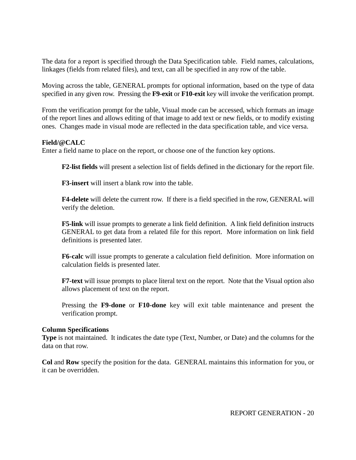The data for a report is specified through the Data Specification table. Field names, calculations, linkages (fields from related files), and text, can all be specified in any row of the table.

Moving across the table, GENERAL prompts for optional information, based on the type of data specified in any given row. Pressing the **F9-exit** or **F10-exit** key will invoke the verification prompt.

From the verification prompt for the table, Visual mode can be accessed, which formats an image of the report lines and allows editing of that image to add text or new fields, or to modify existing ones. Changes made in visual mode are reflected in the data specification table, and vice versa.

#### **Field/@CALC**

Enter a field name to place on the report, or choose one of the function key options.

**F2-list fields** will present a selection list of fields defined in the dictionary for the report file.

**F3-insert** will insert a blank row into the table.

**F4-delete** will delete the current row. If there is a field specified in the row, GENERAL will verify the deletion.

**F5-link** will issue prompts to generate a link field definition. A link field definition instructs GENERAL to get data from a related file for this report. More information on link field definitions is presented later.

**F6-calc** will issue prompts to generate a calculation field definition. More information on calculation fields is presented later.

**F7-text** will issue prompts to place literal text on the report. Note that the Visual option also allows placement of text on the report.

Pressing the **F9-done** or **F10-done** key will exit table maintenance and present the verification prompt.

#### **Column Specifications**

**Type** is not maintained. It indicates the date type (Text, Number, or Date) and the columns for the data on that row.

**Col** and **Row** specify the position for the data. GENERAL maintains this information for you, or it can be overridden.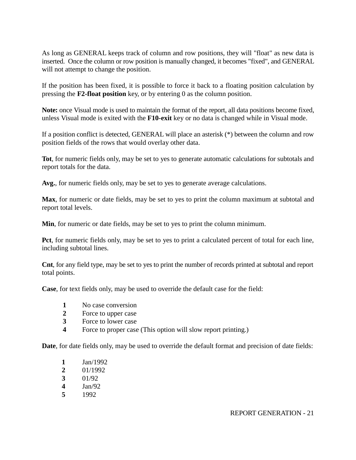As long as GENERAL keeps track of column and row positions, they will "float" as new data is inserted. Once the column or row position is manually changed, it becomes "fixed", and GENERAL will not attempt to change the position.

If the position has been fixed, it is possible to force it back to a floating position calculation by pressing the **F2-float position** key, or by entering 0 as the column position.

**Note:** once Visual mode is used to maintain the format of the report, all data positions become fixed, unless Visual mode is exited with the **F10-exit** key or no data is changed while in Visual mode.

If a position conflict is detected, GENERAL will place an asterisk (\*) between the column and row position fields of the rows that would overlay other data.

**Tot**, for numeric fields only, may be set to yes to generate automatic calculations for subtotals and report totals for the data.

**Avg.**, for numeric fields only, may be set to yes to generate average calculations.

**Max**, for numeric or date fields, may be set to yes to print the column maximum at subtotal and report total levels.

**Min**, for numeric or date fields, may be set to yes to print the column minimum.

**Pct**, for numeric fields only, may be set to yes to print a calculated percent of total for each line, including subtotal lines.

**Cnt**, for any field type, may be set to yes to print the number of records printed at subtotal and report total points.

**Case**, for text fields only, may be used to override the default case for the field:

- **1** No case conversion
- **2** Force to upper case
- **3** Force to lower case
- **4** Force to proper case (This option will slow report printing.)

**Date**, for date fields only, may be used to override the default format and precision of date fields:

- **1** Jan/1992
- **2** 01/1992
- **3** 01/92
- **4** Jan/92
- **5** 1992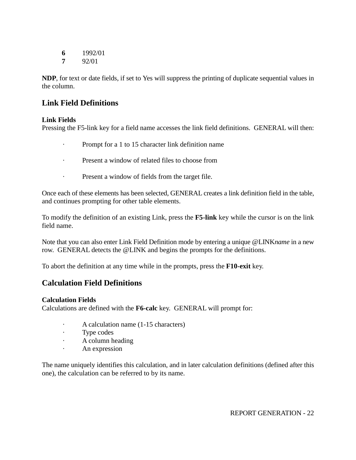**6** 1992/01

**7** 92/01

**NDP**, for text or date fields, if set to Yes will suppress the printing of duplicate sequential values in the column.

# **Link Field Definitions**

# **Link Fields**

Pressing the F5-link key for a field name accesses the link field definitions. GENERAL will then:

- · Prompt for a 1 to 15 character link definition name
- · Present a window of related files to choose from
- · Present a window of fields from the target file.

Once each of these elements has been selected, GENERAL creates a link definition field in the table, and continues prompting for other table elements.

To modify the definition of an existing Link, press the **F5-link** key while the cursor is on the link field name.

Note that you can also enter Link Field Definition mode by entering a unique @LINK*name* in a new row. GENERAL detects the @LINK and begins the prompts for the definitions.

To abort the definition at any time while in the prompts, press the **F10-exit** key.

# **Calculation Field Definitions**

# **Calculation Fields**

Calculations are defined with the **F6-calc** key. GENERAL will prompt for:

- · A calculation name (1-15 characters)
- · Type codes
- · A column heading
- · An expression

The name uniquely identifies this calculation, and in later calculation definitions (defined after this one), the calculation can be referred to by its name.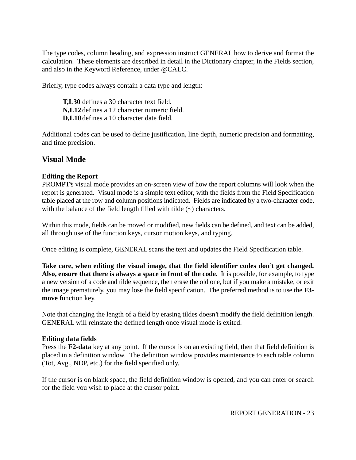The type codes, column heading, and expression instruct GENERAL how to derive and format the calculation. These elements are described in detail in the Dictionary chapter, in the Fields section, and also in the Keyword Reference, under @CALC.

Briefly, type codes always contain a data type and length:

**T,L30** defines a 30 character text field. **N,L12** defines a 12 character numeric field. **D,L10** defines a 10 character date field.

Additional codes can be used to define justification, line depth, numeric precision and formatting, and time precision.

# **Visual Mode**

# **Editing the Report**

PROMPT's visual mode provides an on-screen view of how the report columns will look when the report is generated. Visual mode is a simple text editor, with the fields from the Field Specification table placed at the row and column positions indicated. Fields are indicated by a two-character code, with the balance of the field length filled with tilde  $(\sim)$  characters.

Within this mode, fields can be moved or modified, new fields can be defined, and text can be added, all through use of the function keys, cursor motion keys, and typing.

Once editing is complete, GENERAL scans the text and updates the Field Specification table.

**Take care, when editing the visual image, that the field identifier codes don't get changed. Also, ensure that there is always a space in front of the code.** It is possible, for example, to type a new version of a code and tilde sequence, then erase the old one, but if you make a mistake, or exit the image prematurely, you may lose the field specification. The preferred method is to use the **F3 move** function key.

Note that changing the length of a field by erasing tildes doesn't modify the field definition length. GENERAL will reinstate the defined length once visual mode is exited.

# **Editing data fields**

Press the **F2-data** key at any point. If the cursor is on an existing field, then that field definition is placed in a definition window. The definition window provides maintenance to each table column (Tot, Avg., NDP, etc.) for the field specified only.

If the cursor is on blank space, the field definition window is opened, and you can enter or search for the field you wish to place at the cursor point.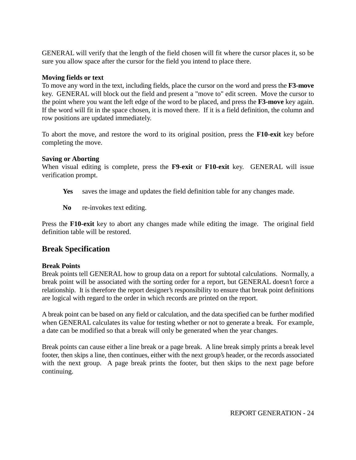GENERAL will verify that the length of the field chosen will fit where the cursor places it, so be sure you allow space after the cursor for the field you intend to place there.

#### **Moving fields or text**

To move any word in the text, including fields, place the cursor on the word and press the **F3-move** key. GENERAL will block out the field and present a "move to" edit screen. Move the cursor to the point where you want the left edge of the word to be placed, and press the **F3-move** key again. If the word will fit in the space chosen, it is moved there. If it is a field definition, the column and row positions are updated immediately.

To abort the move, and restore the word to its original position, press the **F10-exit** key before completing the move.

#### **Saving or Aborting**

When visual editing is complete, press the **F9-exit** or **F10-exit** key. GENERAL will issue verification prompt.

- Yes saves the image and updates the field definition table for any changes made.
- **No** re-invokes text editing.

Press the **F10-exit** key to abort any changes made while editing the image. The original field definition table will be restored.

# **Break Specification**

# **Break Points**

Break points tell GENERAL how to group data on a report for subtotal calculations. Normally, a break point will be associated with the sorting order for a report, but GENERAL doesn't force a relationship. It is therefore the report designer's responsibility to ensure that break point definitions are logical with regard to the order in which records are printed on the report.

A break point can be based on any field or calculation, and the data specified can be further modified when GENERAL calculates its value for testing whether or not to generate a break. For example, a date can be modified so that a break will only be generated when the year changes.

Break points can cause either a line break or a page break. A line break simply prints a break level footer, then skips a line, then continues, either with the next group's header, or the records associated with the next group. A page break prints the footer, but then skips to the next page before continuing.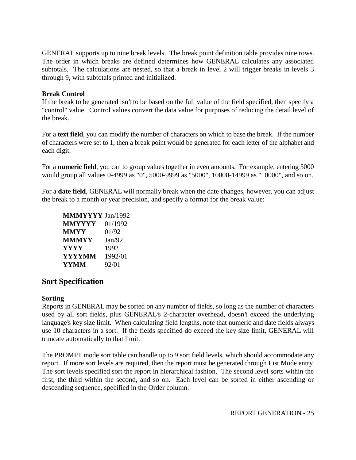GENERAL supports up to nine break levels. The break point definition table provides nine rows. The order in which breaks are defined determines how GENERAL calculates any associated subtotals. The calculations are nested, so that a break in level 2 will trigger breaks in levels 3 through 9, with subtotals printed and initialized.

#### **Break Control**

If the break to be generated isn't to be based on the full value of the field specified, then specify a "control" value. Control values convert the data value for purposes of reducing the detail level of the break.

For a **text field**, you can modify the number of characters on which to base the break. If the number of characters were set to 1, then a break point would be generated for each letter of the alphabet and each digit.

For a **numeric field**, you can to group values together in even amounts. For example, entering 5000 would group all values 0-4999 as "0", 5000-9999 as "5000", 10000-14999 as "10000", and so on.

For a **date field**, GENERAL will normally break when the date changes, however, you can adjust the break to a month or year precision, and specify a format for the break value:

| <b>MMMYYYY</b> Jan/1992 |         |
|-------------------------|---------|
| <b>MMYYYY</b>           | 01/1992 |
| <b>MMYY</b>             | 01/92   |
| <b>MMMYY</b>            | Jan/92  |
| <b>YYYY</b>             | 1992    |
| <b>YYYYMM</b>           | 1992/01 |
| <b>YYMM</b>             | 92/01   |

# **Sort Specification**

#### **Sorting**

Reports in GENERAL may be sorted on any number of fields, so long as the number of characters used by all sort fields, plus GENERAL's 2-character overhead, doesn't exceed the underlying language's key size limit. When calculating field lengths, note that numeric and date fields always use 10 characters in a sort. If the fields specified do exceed the key size limit, GENERAL will truncate automatically to that limit.

The PROMPT mode sort table can handle up to 9 sort field levels, which should accommodate any report. If more sort levels are required, then the report must be generated through List Mode entry. The sort levels specified sort the report in hierarchical fashion. The second level sorts within the first, the third within the second, and so on. Each level can be sorted in either ascending or descending sequence, specified in the Order column.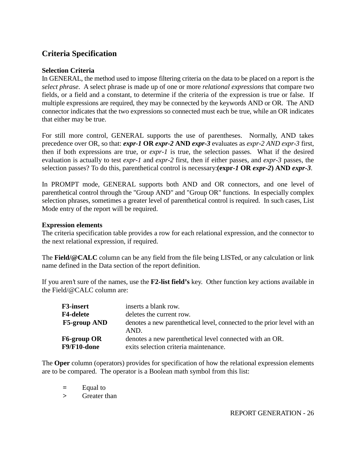# **Criteria Specification**

#### **Selection Criteria**

In GENERAL, the method used to impose filtering criteria on the data to be placed on a report is the *select phrase*. A select phrase is made up of one or more *relational expressions* that compare two fields, or a field and a constant, to determine if the criteria of the expression is true or false. If multiple expressions are required, they may be connected by the keywords AND or OR. The AND connector indicates that the two expressions so connected must each be true, while an OR indicates that either may be true.

For still more control, GENERAL supports the use of parentheses. Normally, AND takes precedence over OR, so that: *expr-1* **OR** *expr-2* **AND** *expr-3* evaluates as *expr-2 AND expr-3* first, then if both expressions are true, or *expr-1* is true, the selection passes. What if the desired evaluation is actually to test *expr-1* and *expr-2* first, then if either passes, and *expr-3* passes, the selection passes? To do this, parenthetical control is necessary:**(expr***-1* **OR** *expr-2***) AND** *expr-3*.

In PROMPT mode, GENERAL supports both AND and OR connectors, and one level of parenthetical control through the "Group AND" and "Group OR" functions. In especially complex selection phrases, sometimes a greater level of parenthetical control is required. In such cases, List Mode entry of the report will be required.

#### **Expression elements**

The criteria specification table provides a row for each relational expression, and the connector to the next relational expression, if required.

The **Field/@CALC** column can be any field from the file being LISTed, or any calculation or link name defined in the Data section of the report definition.

If you aren't sure of the names, use the **F2-list field's** key. Other function key actions available in the Field/@CALC column are:

| <b>F3-insert</b>    | inserts a blank row.                                                            |
|---------------------|---------------------------------------------------------------------------------|
| <b>F4-delete</b>    | deletes the current row.                                                        |
| <b>F5-group AND</b> | denotes a new parenthetical level, connected to the prior level with an<br>AND. |
| F6-group OR         | denotes a new parenthetical level connected with an OR.                         |
| F9/F10-done         | exits selection criteria maintenance.                                           |

The **Oper** column (operators) provides for specification of how the relational expression elements are to be compared. The operator is a Boolean math symbol from this list:

**=** Equal to

**>** Greater than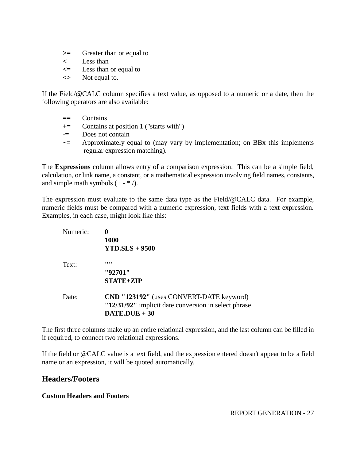- **>=** Greater than or equal to
- **<** Less than
- **<=** Less than or equal to
- **<>** Not equal to.

If the Field/@CALC column specifies a text value, as opposed to a numeric or a date, then the following operators are also available:

- **==** Contains
- **+=** Contains at position 1 ("starts with")
- **-=** Does not contain
- **~=** Approximately equal to (may vary by implementation; on BBx this implements regular expression matching).

The **Expressions** column allows entry of a comparison expression. This can be a simple field, calculation, or link name, a constant, or a mathematical expression involving field names, constants, and simple math symbols  $(+ - * /).$ 

The expression must evaluate to the same data type as the Field/@CALC data. For example, numeric fields must be compared with a numeric expression, text fields with a text expression. Examples, in each case, might look like this:

| Numeric: | 0<br><b>1000</b><br>$YTD.SLS + 9500$                                                                                                 |
|----------|--------------------------------------------------------------------------------------------------------------------------------------|
| Text:    | ,,,,<br>"92701"<br><b>STATE+ZIP</b>                                                                                                  |
| Date:    | <b>CND "123192"</b> (uses CONVERT-DATE keyword)<br>"12/31/92" implicit date conversion in select phrase<br>$\textbf{DATE}$ .DUE + 30 |

The first three columns make up an entire relational expression, and the last column can be filled in if required, to connect two relational expressions.

If the field or @CALC value is a text field, and the expression entered doesn't appear to be a field name or an expression, it will be quoted automatically.

# **Headers/Footers**

# **Custom Headers and Footers**

REPORT GENERATION - 27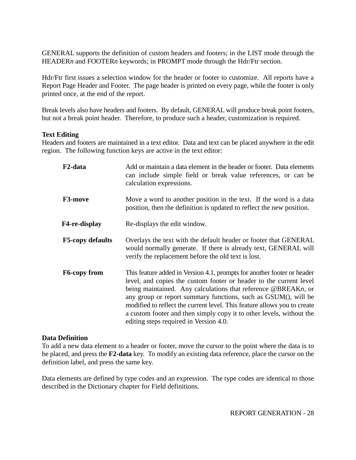GENERAL supports the definition of custom headers and footers; in the LIST mode through the HEADERn and FOOTERn keywords; in PROMPT mode through the Hdr/Ftr section.

Hdr/Ftr first issues a selection window for the header or footer to customize. All reports have a Report Page Header and Footer. The page header is printed on every page, while the footer is only printed once, at the end of the report.

Break levels also have headers and footers. By default, GENERAL will produce break point footers, but not a break point header. Therefore, to produce such a header, customization is required.

#### **Text Editing**

Headers and footers are maintained in a text editor. Data and text can be placed anywhere in the edit region. The following function keys are active in the text editor:

| F2-data                 | Add or maintain a data element in the header or footer. Data elements<br>can include simple field or break value references, or can be<br>calculation expressions.                                                                                                                                                                                                                                                                                                             |
|-------------------------|--------------------------------------------------------------------------------------------------------------------------------------------------------------------------------------------------------------------------------------------------------------------------------------------------------------------------------------------------------------------------------------------------------------------------------------------------------------------------------|
| <b>F3-move</b>          | Move a word to another position in the text. If the word is a data<br>position, then the definition is updated to reflect the new position.                                                                                                                                                                                                                                                                                                                                    |
| F4-re-display           | Re-displays the edit window.                                                                                                                                                                                                                                                                                                                                                                                                                                                   |
| <b>F5-copy defaults</b> | Overlays the text with the default header or footer that GENERAL<br>would normally generate. If there is already text, GENERAL will<br>verify the replacement before the old text is lost.                                                                                                                                                                                                                                                                                     |
| <b>F6-copy from</b>     | This feature added in Version 4.1, prompts for another footer or header<br>level, and copies the custom footer or header to the current level<br>being maintained. Any calculations that reference @BREAKn, or<br>any group or report summary functions, such as GSUM(), will be<br>modified to reflect the current level. This feature allows you to create<br>a custom footer and then simply copy it to other levels, without the<br>editing steps required in Version 4.0. |

#### **Data Definition**

To add a new data element to a header or footer, move the cursor to the point where the data is to be placed, and press the **F2-data** key. To modify an existing data reference, place the cursor on the definition label, and press the same key.

Data elements are defined by type codes and an expression. The type codes are identical to those described in the Dictionary chapter for Field definitions.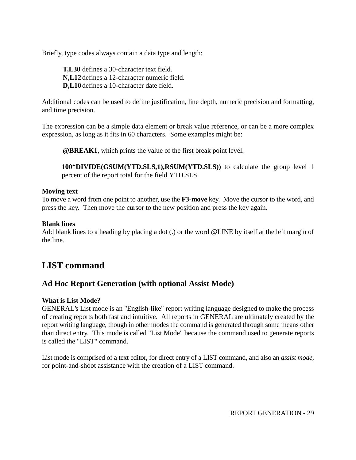Briefly, type codes always contain a data type and length:

**T,L30** defines a 30-character text field. **N,L12** defines a 12-character numeric field. **D,L10** defines a 10-character date field.

Additional codes can be used to define justification, line depth, numeric precision and formatting, and time precision.

The expression can be a simple data element or break value reference, or can be a more complex expression, as long as it fits in 60 characters. Some examples might be:

**@BREAK1**, which prints the value of the first break point level.

**100\*DIVIDE(GSUM(YTD.SLS,1),RSUM(YTD.SLS))** to calculate the group level 1 percent of the report total for the field YTD.SLS.

# **Moving text**

To move a word from one point to another, use the **F3-move** key. Move the cursor to the word, and press the key. Then move the cursor to the new position and press the key again.

# **Blank lines**

Add blank lines to a heading by placing a dot (.) or the word @LINE by itself at the left margin of the line.

# **LIST command**

# **Ad Hoc Report Generation (with optional Assist Mode)**

# **What is List Mode?**

GENERAL's List mode is an "English-like" report writing language designed to make the process of creating reports both fast and intuitive. All reports in GENERAL are ultimately created by the report writing language, though in other modes the command is generated through some means other than direct entry. This mode is called "List Mode" because the command used to generate reports is called the "LIST" command.

List mode is comprised of a text editor, for direct entry of a LIST command, and also an *assist mode*, for point-and-shoot assistance with the creation of a LIST command.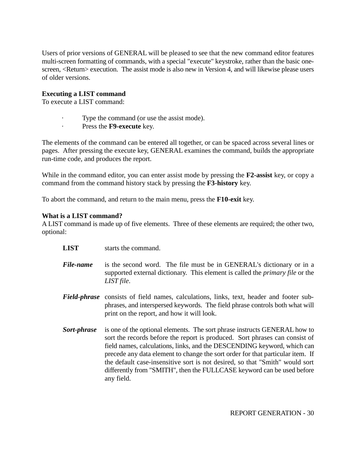Users of prior versions of GENERAL will be pleased to see that the new command editor features multi-screen formatting of commands, with a special "execute" keystroke, rather than the basic onescreen, <Return> execution. The assist mode is also new in Version 4, and will likewise please users of older versions.

#### **Executing a LIST command**

To execute a LIST command:

- Type the command (or use the assist mode).
- · Press the **F9-execute** key.

The elements of the command can be entered all together, or can be spaced across several lines or pages. After pressing the execute key, GENERAL examines the command, builds the appropriate run-time code, and produces the report.

While in the command editor, you can enter assist mode by pressing the **F2-assist** key, or copy a command from the command history stack by pressing the **F3-history** key.

To abort the command, and return to the main menu, press the **F10-exit** key.

#### **What is a LIST command?**

A LIST command is made up of five elements. Three of these elements are required; the other two, optional:

- **LIST** starts the command.
- *File-name* is the second word. The file must be in GENERAL's dictionary or in a supported external dictionary. This element is called the *primary file* or the *LIST file*.
- *Field-phrase* consists of field names, calculations, links, text, header and footer subphrases, and interspersed keywords. The field phrase controls both what will print on the report, and how it will look.
- **Sort-phrase** is one of the optional elements. The sort phrase instructs GENERAL how to sort the records before the report is produced. Sort phrases can consist of field names, calculations, links, and the DESCENDING keyword, which can precede any data element to change the sort order for that particular item. If the default case-insensitive sort is not desired, so that "Smith" would sort differently from "SMITH", then the FULLCASE keyword can be used before any field.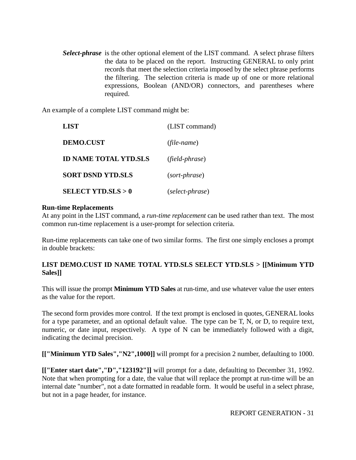*Select-phrase* is the other optional element of the LIST command. A select phrase filters the data to be placed on the report. Instructing GENERAL to only print records that meet the selection criteria imposed by the select phrase performs the filtering. The selection criteria is made up of one or more relational expressions, Boolean (AND/OR) connectors, and parentheses where required.

An example of a complete LIST command might be:

| LIST                         | (LIST command)  |
|------------------------------|-----------------|
| <b>DEMO.CUST</b>             | (file-name)     |
| <b>ID NAME TOTAL YTD.SLS</b> | (field-phrase)  |
| <b>SORT DSND YTD.SLS</b>     | (sort-phrase)   |
| <b>SELECT YTD.SLS &gt; 0</b> | (select-phrase) |

#### **Run-time Replacements**

At any point in the LIST command, a *run-time replacement* can be used rather than text. The most common run-time replacement is a user-prompt for selection criteria.

Run-time replacements can take one of two similar forms. The first one simply encloses a prompt in double brackets:

# **LIST DEMO.CUST ID NAME TOTAL YTD.SLS SELECT YTD.SLS > [[Minimum YTD Sales]]**

This will issue the prompt **Minimum YTD Sales** at run-time, and use whatever value the user enters as the value for the report.

The second form provides more control. If the text prompt is enclosed in quotes, GENERAL looks for a type parameter, and an optional default value. The type can be T, N, or D, to require text, numeric, or date input, respectively. A type of N can be immediately followed with a digit, indicating the decimal precision.

**[["Minimum YTD Sales","N2",1000]]** will prompt for a precision 2 number, defaulting to 1000.

**[["Enter start date","D","123192"]]** will prompt for a date, defaulting to December 31, 1992. Note that when prompting for a date, the value that will replace the prompt at run-time will be an internal date "number", not a date formatted in readable form. It would be useful in a select phrase, but not in a page header, for instance.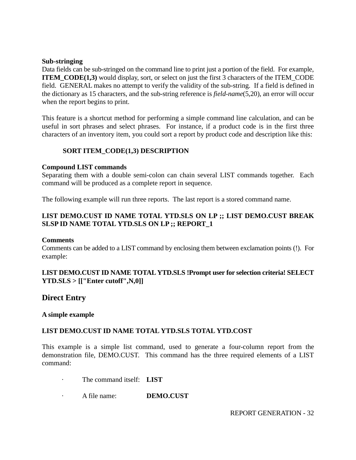#### **Sub-stringing**

Data fields can be sub-stringed on the command line to print just a portion of the field. For example, **ITEM** CODE(1,3) would display, sort, or select on just the first 3 characters of the ITEM CODE field. GENERAL makes no attempt to verify the validity of the sub-string. If a field is defined in the dictionary as 15 characters, and the sub-string reference is *field-name*(5,20), an error will occur when the report begins to print.

This feature is a shortcut method for performing a simple command line calculation, and can be useful in sort phrases and select phrases. For instance, if a product code is in the first three characters of an inventory item, you could sort a report by product code and description like this:

#### **SORT ITEM\_CODE(1,3) DESCRIPTION**

#### **Compound LIST commands**

Separating them with a double semi-colon can chain several LIST commands together. Each command will be produced as a complete report in sequence.

The following example will run three reports. The last report is a stored command name.

# **LIST DEMO.CUST ID NAME TOTAL YTD.SLS ON LP ;; LIST DEMO.CUST BREAK SLSP ID NAME TOTAL YTD.SLS ON LP ;; REPORT\_1**

#### **Comments**

Comments can be added to a LIST command by enclosing them between exclamation points (!). For example:

#### **LIST DEMO.CUST ID NAME TOTAL YTD.SLS !Prompt user for selection criteria! SELECT YTD.SLS > [["Enter cutoff",N,0]]**

# **Direct Entry**

#### **A simple example**

#### **LIST DEMO.CUST ID NAME TOTAL YTD.SLS TOTAL YTD.COST**

This example is a simple list command, used to generate a four-column report from the demonstration file, DEMO.CUST. This command has the three required elements of a LIST command:

- The command itself: **LIST**
- · A file name: **DEMO.CUST**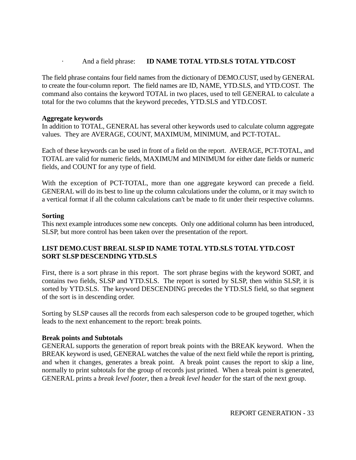#### And a field phrase: **ID NAME TOTAL YTD.SLS TOTAL YTD.COST**

The field phrase contains four field names from the dictionary of DEMO.CUST, used by GENERAL to create the four-column report. The field names are ID, NAME, YTD.SLS, and YTD.COST. The command also contains the keyword TOTAL in two places, used to tell GENERAL to calculate a total for the two columns that the keyword precedes, YTD.SLS and YTD.COST.

#### **Aggregate keywords**

In addition to TOTAL, GENERAL has several other keywords used to calculate column aggregate values. They are AVERAGE, COUNT, MAXIMUM, MINIMUM, and PCT-TOTAL.

Each of these keywords can be used in front of a field on the report. AVERAGE, PCT-TOTAL, and TOTAL are valid for numeric fields, MAXIMUM and MINIMUM for either date fields or numeric fields, and COUNT for any type of field.

With the exception of PCT-TOTAL, more than one aggregate keyword can precede a field. GENERAL will do its best to line up the column calculations under the column, or it may switch to a vertical format if all the column calculations can't be made to fit under their respective columns.

#### **Sorting**

This next example introduces some new concepts. Only one additional column has been introduced, SLSP, but more control has been taken over the presentation of the report.

# **LIST DEMO.CUST BREAL SLSP ID NAME TOTAL YTD.SLS TOTAL YTD.COST SORT SLSP DESCENDING YTD.SLS**

First, there is a sort phrase in this report. The sort phrase begins with the keyword SORT, and contains two fields, SLSP and YTD.SLS. The report is sorted by SLSP, then within SLSP, it is sorted by YTD.SLS. The keyword DESCENDING precedes the YTD.SLS field, so that segment of the sort is in descending order.

Sorting by SLSP causes all the records from each salesperson code to be grouped together, which leads to the next enhancement to the report: break points.

#### **Break points and Subtotals**

GENERAL supports the generation of report break points with the BREAK keyword. When the BREAK keyword is used, GENERAL watches the value of the next field while the report is printing, and when it changes, generates a break point. A break point causes the report to skip a line, normally to print subtotals for the group of records just printed. When a break point is generated, GENERAL prints a *break level footer*, then a *break level header* for the start of the next group.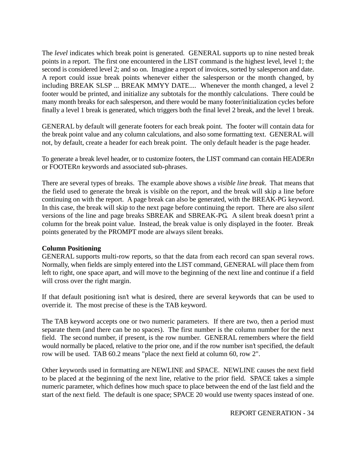The *level* indicates which break point is generated. GENERAL supports up to nine nested break points in a report. The first one encountered in the LIST command is the highest level, level 1; the second is considered level 2; and so on. Imagine a report of invoices, sorted by salesperson and date. A report could issue break points whenever either the salesperson or the month changed, by including BREAK SLSP ... BREAK MMYY DATE.... Whenever the month changed, a level 2 footer would be printed, and initialize any subtotals for the monthly calculations. There could be many month breaks for each salesperson, and there would be many footer/initialization cycles before finally a level 1 break is generated, which triggers both the final level 2 break, and the level 1 break.

GENERAL by default will generate footers for each break point. The footer will contain data for the break point value and any column calculations, and also some formatting text. GENERAL will not, by default, create a header for each break point. The only default header is the page header.

To generate a break level header, or to customize footers, the LIST command can contain HEADER*n* or FOOTER*n* keywords and associated sub-phrases.

There are several types of breaks. The example above shows a *visible line break*. That means that the field used to generate the break is visible on the report, and the break will skip a line before continuing on with the report. A page break can also be generated, with the BREAK-PG keyword. In this case, the break will skip to the next page before continuing the report. There are also *silent* versions of the line and page breaks SBREAK and SBREAK-PG. A silent break doesn't print a column for the break point value. Instead, the break value is only displayed in the footer. Break points generated by the PROMPT mode are always silent breaks.

# **Column Positioning**

GENERAL supports multi-row reports, so that the data from each record can span several rows. Normally, when fields are simply entered into the LIST command, GENERAL will place them from left to right, one space apart, and will move to the beginning of the next line and continue if a field will cross over the right margin.

If that default positioning isn't what is desired, there are several keywords that can be used to override it. The most precise of these is the TAB keyword.

The TAB keyword accepts one or two numeric parameters. If there are two, then a period must separate them (and there can be no spaces). The first number is the column number for the next field. The second number, if present, is the row number. GENERAL remembers where the field would normally be placed, relative to the prior one, and if the row number isn't specified, the default row will be used. TAB 60.2 means "place the next field at column 60, row 2".

Other keywords used in formatting are NEWLINE and SPACE. NEWLINE causes the next field to be placed at the beginning of the next line, relative to the prior field. SPACE takes a simple numeric parameter, which defines how much space to place between the end of the last field and the start of the next field. The default is one space; SPACE 20 would use twenty spaces instead of one.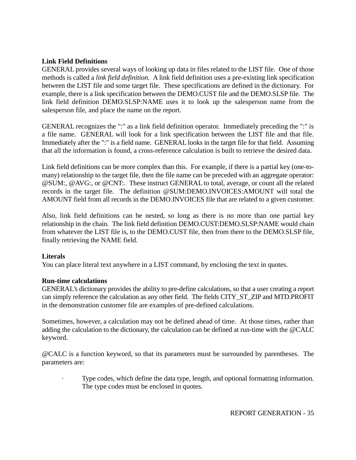# **Link Field Definitions**

GENERAL provides several ways of looking up data in files related to the LIST file. One of those methods is called a *link field definition*. A link field definition uses a pre-existing link specification between the LIST file and some target file. These specifications are defined in the dictionary. For example, there is a link specification between the DEMO.CUST file and the DEMO.SLSP file. The link field definition DEMO.SLSP:NAME uses it to look up the salesperson name from the salesperson file, and place the name on the report.

GENERAL recognizes the ":" as a link field definition operator. Immediately preceding the ":" is a file name. GENERAL will look for a link specification between the LIST file and that file. Immediately after the ":" is a field name. GENERAL looks in the target file for that field. Assuming that all the information is found, a cross-reference calculation is built to retrieve the desired data.

Link field definitions can be more complex than this. For example, if there is a partial key (one-tomany) relationship to the target file, then the file name can be preceded with an aggregate operator: @SUM:, @AVG:, or @CNT:. These instruct GENERAL to total, average, or count all the related records in the target file. The definition @SUM:DEMO.INVOICES:AMOUNT will total the AMOUNT field from all records in the DEMO.INVOICES file that are related to a given customer.

Also, link field definitions can be nested, so long as there is no more than one partial key relationship in the chain. The link field definition DEMO.CUST:DEMO.SLSP:NAME would chain from whatever the LIST file is, to the DEMO.CUST file, then from there to the DEMO.SLSP file, finally retrieving the NAME field.

# **Literals**

You can place literal text anywhere in a LIST command, by enclosing the text in quotes.

# **Run-time calculations**

GENERAL's dictionary provides the ability to pre-define calculations, so that a user creating a report can simply reference the calculation as any other field. The fields CITY\_ST\_ZIP and MTD.PROFIT in the demonstration customer file are examples of pre-defined calculations.

Sometimes, however, a calculation may not be defined ahead of time. At those times, rather than adding the calculation to the dictionary, the calculation can be defined at run-time with the @CALC keyword.

@CALC is a function keyword, so that its parameters must be surrounded by parentheses. The parameters are:

Type codes, which define the data type, length, and optional formatting information. The type codes must be enclosed in quotes.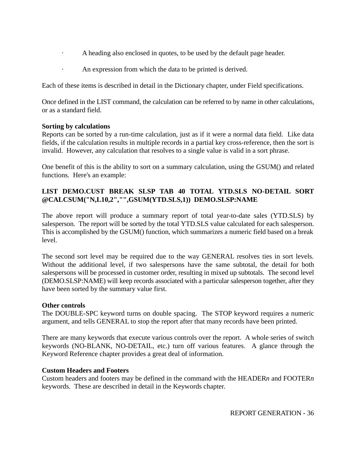- · A heading also enclosed in quotes, to be used by the default page header.
- · An expression from which the data to be printed is derived.

Each of these items is described in detail in the Dictionary chapter, under Field specifications.

Once defined in the LIST command, the calculation can be referred to by name in other calculations, or as a standard field.

# **Sorting by calculations**

Reports can be sorted by a run-time calculation, just as if it were a normal data field. Like data fields, if the calculation results in multiple records in a partial key cross-reference, then the sort is invalid. However, any calculation that resolves to a single value is valid in a sort phrase.

One benefit of this is the ability to sort on a summary calculation, using the GSUM() and related functions. Here's an example:

# **LIST DEMO.CUST BREAK SLSP TAB 40 TOTAL YTD.SLS NO-DETAIL SORT @CALCSUM("N,L10,2","",GSUM(YTD.SLS,1)) DEMO.SLSP:NAME**

The above report will produce a summary report of total year-to-date sales (YTD.SLS) by salesperson. The report will be sorted by the total YTD.SLS value calculated for each salesperson. This is accomplished by the GSUM() function, which summarizes a numeric field based on a break level.

The second sort level may be required due to the way GENERAL resolves ties in sort levels. Without the additional level, if two salespersons have the same subtotal, the detail for both salespersons will be processed in customer order, resulting in mixed up subtotals. The second level (DEMO.SLSP:NAME) will keep records associated with a particular salesperson together, after they have been sorted by the summary value first.

# **Other controls**

The DOUBLE-SPC keyword turns on double spacing. The STOP keyword requires a numeric argument, and tells GENERAL to stop the report after that many records have been printed.

There are many keywords that execute various controls over the report. A whole series of switch keywords (NO-BLANK, NO-DETAIL, etc.) turn off various features. A glance through the Keyword Reference chapter provides a great deal of information.

# **Custom Headers and Footers**

Custom headers and footers may be defined in the command with the HEADER*n* and FOOTER*n* keywords. These are described in detail in the Keywords chapter.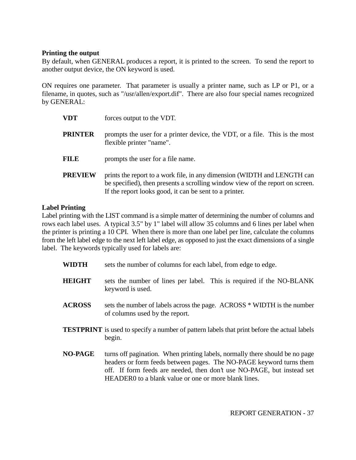#### **Printing the output**

By default, when GENERAL produces a report, it is printed to the screen. To send the report to another output device, the ON keyword is used.

ON requires one parameter. That parameter is usually a printer name, such as LP or P1, or a filename, in quotes, such as "/usr/allen/export.dif". There are also four special names recognized by GENERAL:

| VDT            | forces output to the VDT.                                                                                                                                                                                           |  |
|----------------|---------------------------------------------------------------------------------------------------------------------------------------------------------------------------------------------------------------------|--|
| <b>PRINTER</b> | prompts the user for a printer device, the VDT, or a file. This is the most<br>flexible printer "name".                                                                                                             |  |
| FILE           | prompts the user for a file name.                                                                                                                                                                                   |  |
| <b>PREVIEW</b> | prints the report to a work file, in any dimension (WIDTH and LENGTH can<br>be specified), then presents a scrolling window view of the report on screen.<br>If the report looks good, it can be sent to a printer. |  |

## **Label Printing**

Label printing with the LIST command is a simple matter of determining the number of columns and rows each label uses. A typical 3.5" by 1" label will allow 35 columns and 6 lines per label when the printer is printing a 10 CPI. When there is more than one label per line, calculate the columns from the left label edge to the next left label edge, as opposed to just the exact dimensions of a single label. The keywords typically used for labels are:

- **WIDTH** sets the number of columns for each label, from edge to edge.
- **HEIGHT** sets the number of lines per label. This is required if the NO-BLANK keyword is used.
- ACROSS sets the number of labels across the page. ACROSS \* WIDTH is the number of columns used by the report.
- **TESTPRINT** is used to specify a number of pattern labels that print before the actual labels begin.
- **NO-PAGE** turns off pagination. When printing labels, normally there should be no page headers or form feeds between pages. The NO-PAGE keyword turns them off. If form feeds are needed, then don't use NO-PAGE, but instead set HEADER0 to a blank value or one or more blank lines.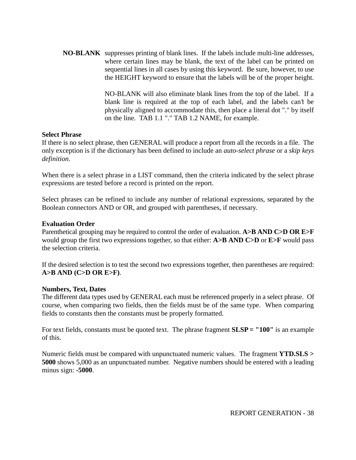**NO-BLANK** suppresses printing of blank lines. If the labels include multi-line addresses, where certain lines may be blank, the text of the label can be printed on sequential lines in all cases by using this keyword. Be sure, however, to use the HEIGHT keyword to ensure that the labels will be of the proper height.

> NO-BLANK will also eliminate blank lines from the top of the label. If a blank line is required at the top of each label, and the labels can't be physically aligned to accommodate this, then place a literal dot "." by itself on the line. TAB 1.1 "." TAB 1.2 NAME, for example.

#### **Select Phrase**

If there is no select phrase, then GENERAL will produce a report from all the records in a file. The only exception is if the dictionary has been defined to include an *auto-select phrase* or a *skip keys definition*.

When there is a select phrase in a LIST command, then the criteria indicated by the select phrase expressions are tested before a record is printed on the report.

Select phrases can be refined to include any number of relational expressions, separated by the Boolean connectors AND or OR, and grouped with parentheses, if necessary.

## **Evaluation Order**

Parenthetical grouping may be required to control the order of evaluation. **A>B AND C>D OR E>F** would group the first two expressions together, so that either: **A>B AND C>D** or **E>F** would pass the selection criteria.

If the desired selection is to test the second two expressions together, then parentheses are required: **A>B AND (C>D OR E>F)**.

#### **Numbers, Text, Dates**

The different data types used by GENERAL each must be referenced properly in a select phrase. Of course, when comparing two fields, then the fields must be of the same type. When comparing fields to constants then the constants must be properly formatted.

For text fields, constants must be quoted text. The phrase fragment **SLSP = "100"** is an example of this.

Numeric fields must be compared with unpunctuated numeric values. The fragment **YTD.SLS > 5000** shows 5,000 as an unpunctuated number. Negative numbers should be entered with a leading minus sign: **-5000**.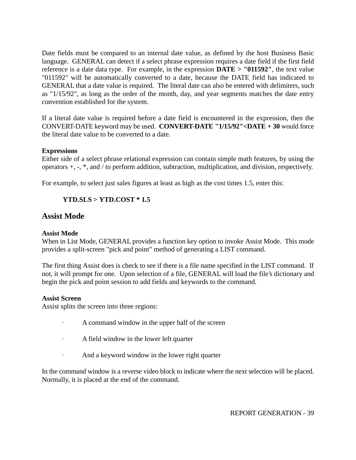Date fields must be compared to an internal date value, as defined by the host Business Basic language. GENERAL can detect if a select phrase expression requires a date field if the first field reference is a date data type. For example, in the expression **DATE > "011592"**, the text value "011592" will be automatically converted to a date, because the DATE field has indicated to GENERAL that a date value is required. The literal date can also be entered with delimiters, such as "1/15/92", as long as the order of the month, day, and year segments matches the date entry convention established for the system.

If a literal date value is required before a date field is encountered in the expression, then the CONVERT-DATE keyword may be used. **CONVERT-DATE "1/15/92"<DATE + 30** would force the literal date value to be converted to a date.

## **Expressions**

Either side of a select phrase relational expression can contain simple math features, by using the operators +, -, \*, and / to perform addition, subtraction, multiplication, and division, respectively.

For example, to select just sales figures at least as high as the cost times 1.5, enter this:

## **YTD.SLS > YTD.COST \* 1.5**

## **Assist Mode**

## **Assist Mode**

When in List Mode, GENERAL provides a function key option to invoke Assist Mode. This mode provides a split-screen "pick and point" method of generating a LIST command.

The first thing Assist does is check to see if there is a file name specified in the LIST command. If not, it will prompt for one. Upon selection of a file, GENERAL will load the file's dictionary and begin the pick and point session to add fields and keywords to the command.

## **Assist Screen**

Assist splits the screen into three regions:

- · A command window in the upper half of the screen
- · A field window in the lower left quarter
- · And a keyword window in the lower right quarter

In the command window is a reverse video block to indicate where the next selection will be placed. Normally, it is placed at the end of the command.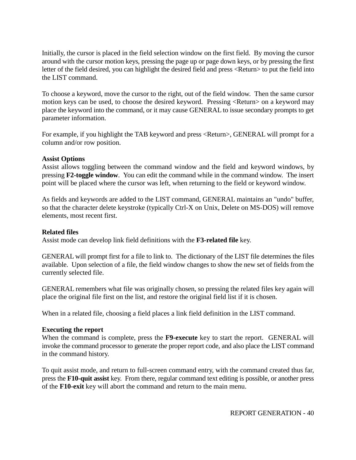Initially, the cursor is placed in the field selection window on the first field. By moving the cursor around with the cursor motion keys, pressing the page up or page down keys, or by pressing the first letter of the field desired, you can highlight the desired field and press <Return> to put the field into the LIST command.

To choose a keyword, move the cursor to the right, out of the field window. Then the same cursor motion keys can be used, to choose the desired keyword. Pressing <Return> on a keyword may place the keyword into the command, or it may cause GENERAL to issue secondary prompts to get parameter information.

For example, if you highlight the TAB keyword and press <Return>, GENERAL will prompt for a column and/or row position.

## **Assist Options**

Assist allows toggling between the command window and the field and keyword windows, by pressing **F2-toggle window**. You can edit the command while in the command window. The insert point will be placed where the cursor was left, when returning to the field or keyword window.

As fields and keywords are added to the LIST command, GENERAL maintains an "undo" buffer, so that the character delete keystroke (typically Ctrl-X on Unix, Delete on MS-DOS) will remove elements, most recent first.

#### **Related files**

Assist mode can develop link field definitions with the **F3-related file** key.

GENERAL will prompt first for a file to link to. The dictionary of the LIST file determines the files available. Upon selection of a file, the field window changes to show the new set of fields from the currently selected file.

GENERAL remembers what file was originally chosen, so pressing the related files key again will place the original file first on the list, and restore the original field list if it is chosen.

When in a related file, choosing a field places a link field definition in the LIST command.

## **Executing the report**

When the command is complete, press the **F9-execute** key to start the report. GENERAL will invoke the command processor to generate the proper report code, and also place the LIST command in the command history.

To quit assist mode, and return to full-screen command entry, with the command created thus far, press the **F10-quit assist** key. From there, regular command text editing is possible, or another press of the **F10-exit** key will abort the command and return to the main menu.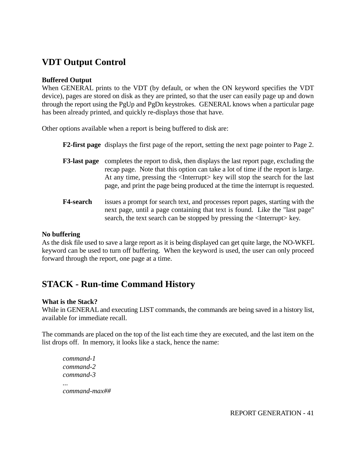# **VDT Output Control**

## **Buffered Output**

When GENERAL prints to the VDT (by default, or when the ON keyword specifies the VDT device), pages are stored on disk as they are printed, so that the user can easily page up and down through the report using the PgUp and PgDn keystrokes. GENERAL knows when a particular page has been already printed, and quickly re-displays those that have.

Other options available when a report is being buffered to disk are:

**F2-first page** displays the first page of the report, setting the next page pointer to Page 2.

- **F3-last page** completes the report to disk, then displays the last report page, excluding the recap page. Note that this option can take a lot of time if the report is large. At any time, pressing the <Interrupt> key will stop the search for the last page, and print the page being produced at the time the interrupt is requested.
- **F4-search** issues a prompt for search text, and processes report pages, starting with the next page, until a page containing that text is found. Like the "last page" search, the text search can be stopped by pressing the <Interrupt> key.

#### **No buffering**

As the disk file used to save a large report as it is being displayed can get quite large, the NO-WKFL keyword can be used to turn off buffering. When the keyword is used, the user can only proceed forward through the report, one page at a time.

# **STACK - Run-time Command History**

#### **What is the Stack?**

While in GENERAL and executing LIST commands, the commands are being saved in a history list, available for immediate recall.

The commands are placed on the top of the list each time they are executed, and the last item on the list drops off. In memory, it looks like a stack, hence the name:

*command-1 command-2 command-3 ... command-max##*

REPORT GENERATION - 41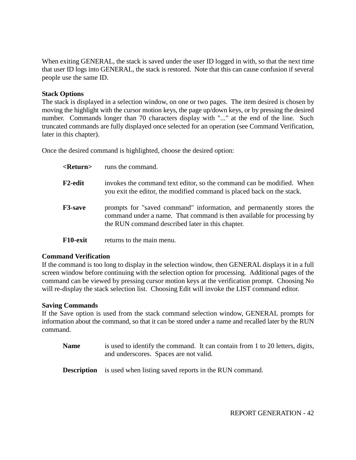When exiting GENERAL, the stack is saved under the user ID logged in with, so that the next time that user ID logs into GENERAL, the stack is restored. Note that this can cause confusion if several people use the same ID.

#### **Stack Options**

The stack is displayed in a selection window, on one or two pages. The item desired is chosen by moving the highlight with the cursor motion keys, the page up/down keys, or by pressing the desired number. Commands longer than 70 characters display with "..." at the end of the line. Such truncated commands are fully displayed once selected for an operation (see Command Verification, later in this chapter).

Once the desired command is highlighted, choose the desired option:

| <return></return> | runs the command.                                                                                                                                                                                 |
|-------------------|---------------------------------------------------------------------------------------------------------------------------------------------------------------------------------------------------|
| F2-edit           | invokes the command text editor, so the command can be modified. When<br>you exit the editor, the modified command is placed back on the stack.                                                   |
| <b>F3-save</b>    | prompts for "saved command" information, and permanently stores the<br>command under a name. That command is then available for processing by<br>the RUN command described later in this chapter. |
| F10-exit          | returns to the main menu.                                                                                                                                                                         |

#### **Command Verification**

If the command is too long to display in the selection window, then GENERAL displays it in a full screen window before continuing with the selection option for processing. Additional pages of the command can be viewed by pressing cursor motion keys at the verification prompt. Choosing No will re-display the stack selection list. Choosing Edit will invoke the LIST command editor.

#### **Saving Commands**

If the Save option is used from the stack command selection window, GENERAL prompts for information about the command, so that it can be stored under a name and recalled later by the RUN command.

- **Name** is used to identify the command. It can contain from 1 to 20 letters, digits, and underscores. Spaces are not valid.
- **Description** is used when listing saved reports in the RUN command.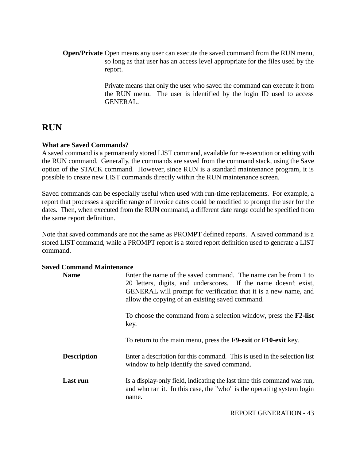**Open/Private** Open means any user can execute the saved command from the RUN menu, so long as that user has an access level appropriate for the files used by the report.

> Private means that only the user who saved the command can execute it from the RUN menu. The user is identified by the login ID used to access GENERAL.

# **RUN**

## **What are Saved Commands?**

A saved command is a permanently stored LIST command, available for re-execution or editing with the RUN command. Generally, the commands are saved from the command stack, using the Save option of the STACK command. However, since RUN is a standard maintenance program, it is possible to create new LIST commands directly within the RUN maintenance screen.

Saved commands can be especially useful when used with run-time replacements. For example, a report that processes a specific range of invoice dates could be modified to prompt the user for the dates. Then, when executed from the RUN command, a different date range could be specified from the same report definition.

Note that saved commands are not the same as PROMPT defined reports. A saved command is a stored LIST command, while a PROMPT report is a stored report definition used to generate a LIST command.

## **Saved Command Maintenance**

| <b>Name</b>        | Enter the name of the saved command. The name can be from 1 to<br>20 letters, digits, and underscores. If the name doesn't exist,<br>GENERAL will prompt for verification that it is a new name, and<br>allow the copying of an existing saved command. |
|--------------------|---------------------------------------------------------------------------------------------------------------------------------------------------------------------------------------------------------------------------------------------------------|
|                    | To choose the command from a selection window, press the $F2$ -list<br>key.                                                                                                                                                                             |
|                    | To return to the main menu, press the <b>F9-exit</b> or <b>F10-exit</b> key.                                                                                                                                                                            |
| <b>Description</b> | Enter a description for this command. This is used in the selection list<br>window to help identify the saved command.                                                                                                                                  |
| Last run           | Is a display-only field, indicating the last time this command was run,<br>and who ran it. In this case, the "who" is the operating system login<br>name.                                                                                               |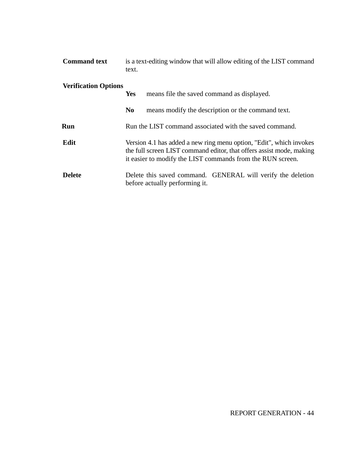| <b>Command text</b>         | is a text-editing window that will allow editing of the LIST command<br>text.                                                                                                                             |  |
|-----------------------------|-----------------------------------------------------------------------------------------------------------------------------------------------------------------------------------------------------------|--|
| <b>Verification Options</b> | means file the saved command as displayed.<br><b>Yes</b>                                                                                                                                                  |  |
|                             | N <sub>0</sub><br>means modify the description or the command text.                                                                                                                                       |  |
| Run                         | Run the LIST command associated with the saved command.                                                                                                                                                   |  |
| Edit                        | Version 4.1 has added a new ring menu option, "Edit", which invokes<br>the full screen LIST command editor, that offers assist mode, making<br>it easier to modify the LIST commands from the RUN screen. |  |
| <b>Delete</b>               | Delete this saved command. GENERAL will verify the deletion<br>before actually performing it.                                                                                                             |  |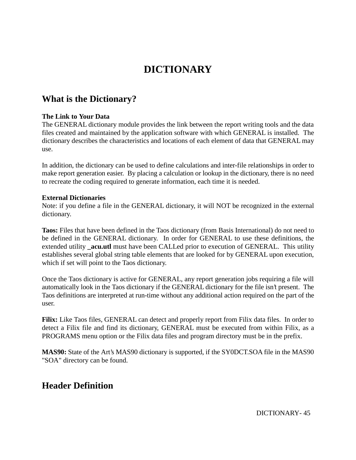# **DICTIONARY**

# **What is the Dictionary?**

## **The Link to Your Data**

The GENERAL dictionary module provides the link between the report writing tools and the data files created and maintained by the application software with which GENERAL is installed. The dictionary describes the characteristics and locations of each element of data that GENERAL may use.

In addition, the dictionary can be used to define calculations and inter-file relationships in order to make report generation easier. By placing a calculation or lookup in the dictionary, there is no need to recreate the coding required to generate information, each time it is needed.

## **External Dictionaries**

Note: if you define a file in the GENERAL dictionary, it will NOT be recognized in the external dictionary.

**Taos:** Files that have been defined in the Taos dictionary (from Basis International) do not need to be defined in the GENERAL dictionary. In order for GENERAL to use these definitions, the extended utility **\_acu.utl** must have been CALLed prior to execution of GENERAL. This utility establishes several global string table elements that are looked for by GENERAL upon execution, which if set will point to the Taos dictionary.

Once the Taos dictionary is active for GENERAL, any report generation jobs requiring a file will automatically look in the Taos dictionary if the GENERAL dictionary for the file isn't present. The Taos definitions are interpreted at run-time without any additional action required on the part of the user.

**Filix:** Like Taos files, GENERAL can detect and properly report from Filix data files. In order to detect a Filix file and find its dictionary, GENERAL must be executed from within Filix, as a PROGRAMS menu option or the Filix data files and program directory must be in the prefix.

**MAS90:** State of the Art's MAS90 dictionary is supported, if the SY0DCT.SOA file in the MAS90 "SOA" directory can be found.

# **Header Definition**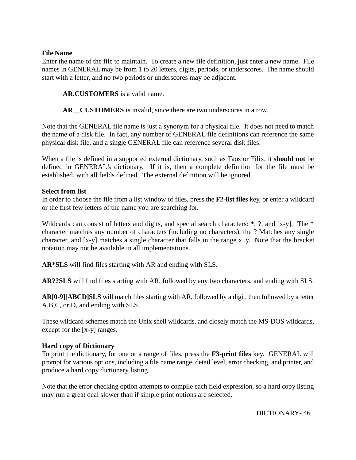#### **File Name**

Enter the name of the file to maintain. To create a new file definition, just enter a new name. File names in GENERAL may be from 1 to 20 letters, digits, periods, or underscores. The name should start with a letter, and no two periods or underscores may be adjacent.

## **AR.CUSTOMERS** is a valid name.

**AR\_\_CUSTOMERS** is invalid, since there are two underscores in a row.

Note that the GENERAL file name is just a synonym for a physical file. It does not need to match the name of a disk file. In fact, any number of GENERAL file definitions can reference the same physical disk file, and a single GENERAL file can reference several disk files.

When a file is defined in a supported external dictionary, such as Taos or Filix, it **should not** be defined in GENERAL's dictionary. If it is, then a complete definition for the file must be established, with all fields defined. The external definition will be ignored.

#### **Select from list**

In order to choose the file from a list window of files, press the **F2-list files** key, or enter a wildcard or the first few letters of the name you are searching for.

Wildcards can consist of letters and digits, and special search characters:  $\ast$ , ?, and [x-y]. The  $\ast$ character matches any number of characters (including no characters), the ? Matches any single character, and [x-y] matches a single character that falls in the range x..y. Note that the bracket notation may not be available in all implementations.

**AR\*SLS** will find files starting with AR and ending with SLS.

**AR??SLS** will find files starting with AR, followed by any two characters, and ending with SLS.

**AR[0-9][ABCD]SLS** will match files starting with AR, followed by a digit, then followed by a letter A,B,C, or D, and ending with SLS.

These wildcard schemes match the Unix shell wildcards, and closely match the MS-DOS wildcards, except for the [x-y] ranges.

## **Hard copy of Dictionary**

To print the dictionary, for one or a range of files, press the **F3-print files** key. GENERAL will prompt for various options, including a file name range, detail level, error checking, and printer, and produce a hard copy dictionary listing.

Note that the error checking option attempts to compile each field expression, so a hard copy listing may run a great deal slower than if simple print options are selected.

DICTIONARY- 46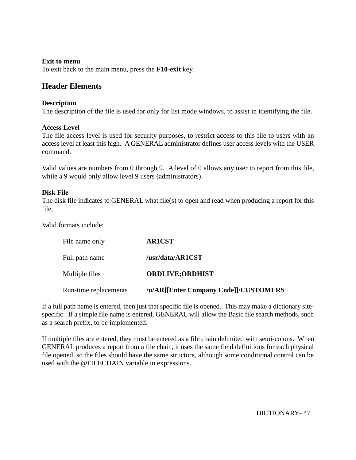#### **Exit to menu**

To exit back to the main menu, press the **F10-exit** key.

## **Header Elements**

#### **Description**

The description of the file is used for only for list mode windows, to assist in identifying the file.

#### **Access Level**

The file access level is used for security purposes, to restrict access to this file to users with an access level at least this high. A GENERAL administrator defines user access levels with the USER command.

Valid values are numbers from 0 through 9. A level of 0 allows any user to report from this file, while a 9 would only allow level 9 users (administrators).

#### **Disk File**

The disk file indicates to GENERAL what file(s) to open and read when producing a report for this file.

Valid formats include:

| File name only        | <b>AR1CST</b>                         |
|-----------------------|---------------------------------------|
| Full path name        | /usr/data/AR1CST                      |
| Multiple files        | <b>ORDLIVE;ORDHIST</b>                |
| Run-time replacements | /u/AR[[Enter Company Code]]/CUSTOMERS |

If a full path name is entered, then just that specific file is opened. This may make a dictionary sitespecific. If a simple file name is entered, GENERAL will allow the Basic file search methods, such as a search prefix, to be implemented.

If multiple files are entered, they must be entered as a file chain delimited with semi-colons. When GENERAL produces a report from a file chain, it uses the same field definitions for each physical file opened, so the files should have the same structure, although some conditional control can be used with the @FILECHAIN variable in expressions.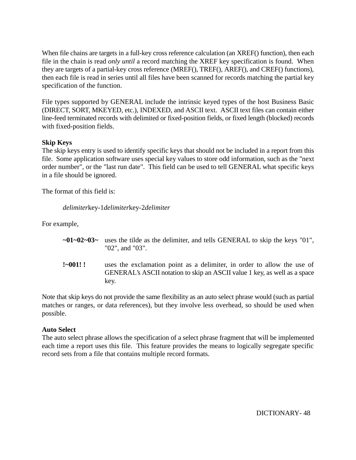When file chains are targets in a full-key cross reference calculation (an XREF() function), then each file in the chain is read *only until* a record matching the XREF key specification is found. When they are targets of a partial-key cross reference (MREF(), TREF(), AREF(), and CREF() functions), then each file is read in series until all files have been scanned for records matching the partial key specification of the function.

File types supported by GENERAL include the intrinsic keyed types of the host Business Basic (DIRECT, SORT, MKEYED, etc.), INDEXED, and ASCII text. ASCII text files can contain either line-feed terminated records with delimited or fixed-position fields, or fixed length (blocked) records with fixed-position fields.

## **Skip Keys**

The skip keys entry is used to identify specific keys that should not be included in a report from this file. Some application software uses special key values to store odd information, such as the "next order number", or the "last run date". This field can be used to tell GENERAL what specific keys in a file should be ignored.

The format of this field is:

## *delimiter*key-1*delimiter*key-2*delimiter*

For example,

- **~01~02~03~** uses the tilde as the delimiter, and tells GENERAL to skip the keys "01", "02", and "03".
- **!~001! !** uses the exclamation point as a delimiter, in order to allow the use of GENERAL's ASCII notation to skip an ASCII value 1 key, as well as a space key.

Note that skip keys do not provide the same flexibility as an auto select phrase would (such as partial matches or ranges, or data references), but they involve less overhead, so should be used when possible.

## **Auto Select**

The auto select phrase allows the specification of a select phrase fragment that will be implemented each time a report uses this file. This feature provides the means to logically segregate specific record sets from a file that contains multiple record formats.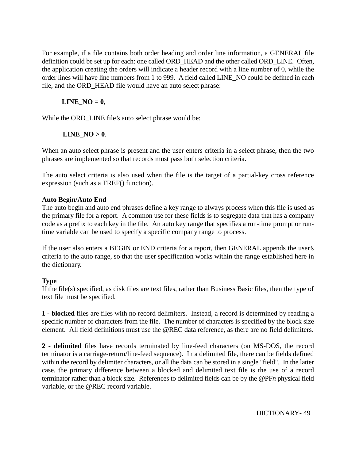For example, if a file contains both order heading and order line information, a GENERAL file definition could be set up for each: one called ORD\_HEAD and the other called ORD\_LINE. Often, the application creating the orders will indicate a header record with a line number of 0, while the order lines will have line numbers from 1 to 999. A field called LINE\_NO could be defined in each file, and the ORD HEAD file would have an auto select phrase:

## $LINE_NO = 0$ ,

While the ORD\_LINE file's auto select phrase would be:

## **LINE**  $NO > 0$ .

When an auto select phrase is present and the user enters criteria in a select phrase, then the two phrases are implemented so that records must pass both selection criteria.

The auto select criteria is also used when the file is the target of a partial-key cross reference expression (such as a TREF() function).

## **Auto Begin/Auto End**

The auto begin and auto end phrases define a key range to always process when this file is used as the primary file for a report. A common use for these fields is to segregate data that has a company code as a prefix to each key in the file. An auto key range that specifies a run-time prompt or runtime variable can be used to specify a specific company range to process.

If the user also enters a BEGIN or END criteria for a report, then GENERAL appends the user's criteria to the auto range, so that the user specification works within the range established here in the dictionary.

## **Type**

If the file(s) specified, as disk files are text files, rather than Business Basic files, then the type of text file must be specified.

**1 - blocked** files are files with no record delimiters. Instead, a record is determined by reading a specific number of characters from the file. The number of characters is specified by the block size element. All field definitions must use the @REC data reference, as there are no field delimiters.

**2 - delimited** files have records terminated by line-feed characters (on MS-DOS, the record terminator is a carriage-return/line-feed sequence). In a delimited file, there can be fields defined within the record by delimiter characters, or all the data can be stored in a single "field". In the latter case, the primary difference between a blocked and delimited text file is the use of a record terminator rather than a block size. References to delimited fields can be by the @PF*n* physical field variable, or the @REC record variable.

DICTIONARY- 49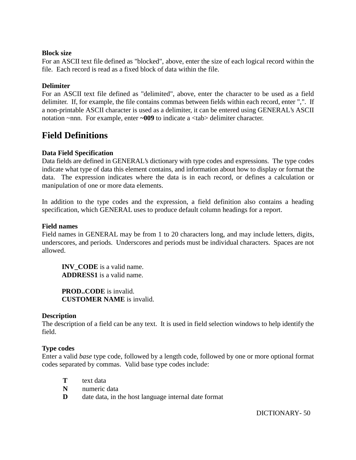#### **Block size**

For an ASCII text file defined as "blocked", above, enter the size of each logical record within the file. Each record is read as a fixed block of data within the file.

## **Delimiter**

For an ASCII text file defined as "delimited", above, enter the character to be used as a field delimiter. If, for example, the file contains commas between fields within each record, enter ",". If a non-printable ASCII character is used as a delimiter, it can be entered using GENERAL's ASCII notation ~nnn. For example, enter **~009** to indicate a <tab> delimiter character.

## **Field Definitions**

#### **Data Field Specification**

Data fields are defined in GENERAL's dictionary with type codes and expressions. The type codes indicate what type of data this element contains, and information about how to display or format the data. The expression indicates where the data is in each record, or defines a calculation or manipulation of one or more data elements.

In addition to the type codes and the expression, a field definition also contains a heading specification, which GENERAL uses to produce default column headings for a report.

#### **Field names**

Field names in GENERAL may be from 1 to 20 characters long, and may include letters, digits, underscores, and periods. Underscores and periods must be individual characters. Spaces are not allowed.

**INV** CODE is a valid name. **ADDRESS1** is a valid name.

**PROD..CODE** is invalid. **CUSTOMER NAME** is invalid.

## **Description**

The description of a field can be any text. It is used in field selection windows to help identify the field.

## **Type codes**

Enter a valid *base* type code, followed by a length code, followed by one or more optional format codes separated by commas. Valid base type codes include:

- **T** text data
- **N** numeric data
- **D** date data, in the host language internal date format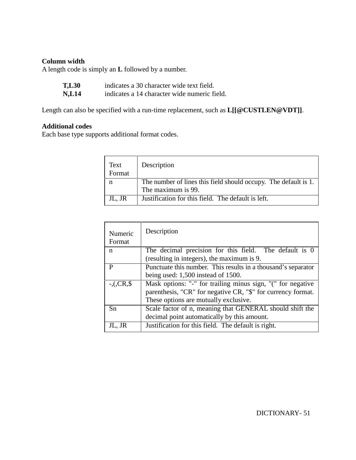## **Column width**

A length code is simply an **L** followed by a number.

| <b>T,L30</b>  | indicates a 30 character wide text field.    |
|---------------|----------------------------------------------|
| NT 1 <i>1</i> | indicates a 14 above stor wide numerie field |

**N,L14** indicates a 14 character wide numeric field.

Length can also be specified with a run-time replacement, such as **L[[@CUSTLEN@VDT]]**.

## **Additional codes**

Each base type supports additional format codes.

| Text<br>Format | Description                                                     |
|----------------|-----------------------------------------------------------------|
|                | The number of lines this field should occupy. The default is 1. |
|                | The maximum is 99.                                              |
| JL, JR         | Justification for this field. The default is left.              |

| Numeric<br>Format | Description                                                   |  |
|-------------------|---------------------------------------------------------------|--|
| n                 | The decimal precision for this field. The default is 0        |  |
|                   | (resulting in integers), the maximum is 9.                    |  |
| P                 | Punctuate this number. This results in a thousand's separator |  |
|                   | being used: 1,500 instead of 1500.                            |  |
| $-. (CR, $$       | Mask options: "-" for trailing minus sign, "(" for negative   |  |
|                   | parenthesis, "CR" for negative CR, "\$" for currency format.  |  |
|                   | These options are mutually exclusive.                         |  |
| Sn                | Scale factor of n, meaning that GENERAL should shift the      |  |
|                   | decimal point automatically by this amount.                   |  |
| JL, JR            | Justification for this field. The default is right.           |  |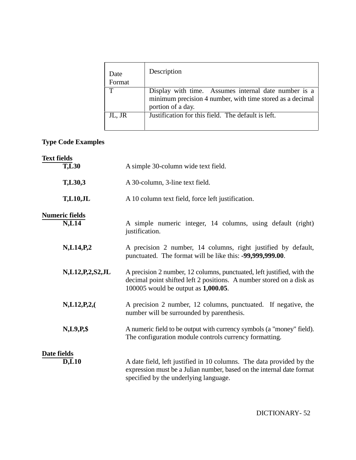| Date<br>Format | Description                                                                                                                            |
|----------------|----------------------------------------------------------------------------------------------------------------------------------------|
| Т              | Display with time. Assumes internal date number is a<br>minimum precision 4 number, with time stored as a decimal<br>portion of a day. |
| JL, JR         | Justification for this field. The default is left.                                                                                     |

# **Type Code Examples**

| <b>Text fields</b> |                                  |                                                                                                                                                                                        |
|--------------------|----------------------------------|----------------------------------------------------------------------------------------------------------------------------------------------------------------------------------------|
|                    | $\overline{\text{T},\text{L}}30$ | A simple 30-column wide text field.                                                                                                                                                    |
|                    | T,L30,3                          | A 30-column, 3-line text field.                                                                                                                                                        |
|                    | <b>T,L10,JL</b>                  | A 10 column text field, force left justification.                                                                                                                                      |
|                    | <b>Numeric fields</b><br>N, L14  | A simple numeric integer, 14 columns, using default (right)<br>justification.                                                                                                          |
|                    | N, L14, P, 2                     | A precision 2 number, 14 columns, right justified by default,<br>punctuated. The format will be like this: -99,999,999.00.                                                             |
|                    | N,L12,P,2,S2,JL                  | A precision 2 number, 12 columns, punctuated, left justified, with the<br>decimal point shifted left 2 positions. A number stored on a disk as<br>100005 would be output as 1,000.05.  |
|                    | N, L12, P, 2, (                  | A precision 2 number, 12 columns, punctuated. If negative, the<br>number will be surrounded by parenthesis.                                                                            |
|                    | $N, L9, P,$ \$                   | A numeric field to be output with currency symbols (a "money" field).<br>The configuration module controls currency formatting.                                                        |
| Date fields        |                                  |                                                                                                                                                                                        |
|                    | <b>D,L10</b>                     | A date field, left justified in 10 columns. The data provided by the<br>expression must be a Julian number, based on the internal date format<br>specified by the underlying language. |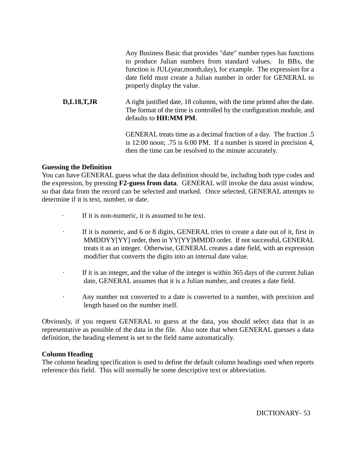Any Business Basic that provides "date" number types has functions to produce Julian numbers from standard values. In BBx, the function is JUL(year,month,day), for example. The expression for a date field must create a Julian number in order for GENERAL to properly display the value.

**D,L18,T,JR** A right justified date, 18 columns, with the time printed after the date. The format of the time is controlled by the configuration module, and defaults to **HH:MM PM**.

> GENERAL treats time as a decimal fraction of a day. The fraction .5 is 12:00 noon; .75 is 6:00 PM. If a number is stored in precision 4, then the time can be resolved to the minute accurately.

#### **Guessing the Definition**

You can have GENERAL guess what the data definition should be, including both type codes and the expression, by pressing **F2-guess from data**. GENERAL will invoke the data assist window, so that data from the record can be selected and marked. Once selected, GENERAL attempts to determine if it is text, number, or date.

- · If it is non-numeric, it is assumed to be text.
- · If it is numeric, and 6 or 8 digits, GENERAL tries to create a date out of it, first in MMDDYY[YY] order, then in YY[YY]MMDD order. If not successful, GENERAL treats it as an integer. Otherwise, GENERAL creates a date field, with an expression modifier that converts the digits into an internal date value.
- · If it is an integer, and the value of the integer is within 365 days of the current Julian date, GENERAL assumes that it is a Julian number, and creates a date field.
- Any number not converted to a date is converted to a number, with precision and length based on the number itself.

Obviously, if you request GENERAL to guess at the data, you should select data that is as representative as possible of the data in the file. Also note that when GENERAL guesses a data definition, the heading element is set to the field name automatically.

#### **Column Heading**

The column heading specification is used to define the default column headings used when reports reference this field. This will normally be some descriptive text or abbreviation.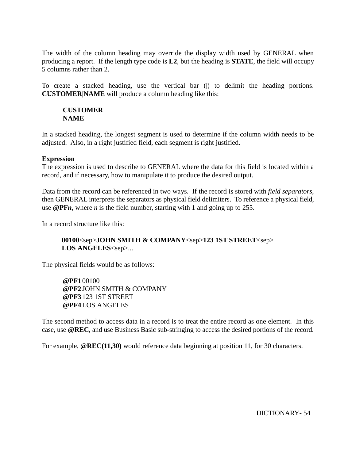The width of the column heading may override the display width used by GENERAL when producing a report. If the length type code is **L2**, but the heading is **STATE**, the field will occupy 5 columns rather than 2.

To create a stacked heading, use the vertical bar (|) to delimit the heading portions. **CUSTOMER|NAME** will produce a column heading like this:

#### **CUSTOMER NAME**

In a stacked heading, the longest segment is used to determine if the column width needs to be adjusted. Also, in a right justified field, each segment is right justified.

## **Expression**

The expression is used to describe to GENERAL where the data for this field is located within a record, and if necessary, how to manipulate it to produce the desired output.

Data from the record can be referenced in two ways. If the record is stored with *field separators*, then GENERAL interprets the separators as physical field delimiters. To reference a physical field, use **@PF***n*, where *n* is the field number, starting with 1 and going up to 255.

In a record structure like this:

## **00100**<sep>**JOHN SMITH & COMPANY**<sep>**123 1ST STREET**<sep> **LOS ANGELES**<sep>...

The physical fields would be as follows:

**@PF1** 00100 **@PF2** JOHN SMITH & COMPANY **@PF3** 123 1ST STREET **@PF4**LOS ANGELES

The second method to access data in a record is to treat the entire record as one element. In this case, use **@REC**, and use Business Basic sub-stringing to access the desired portions of the record.

For example, **@REC(11,30)** would reference data beginning at position 11, for 30 characters.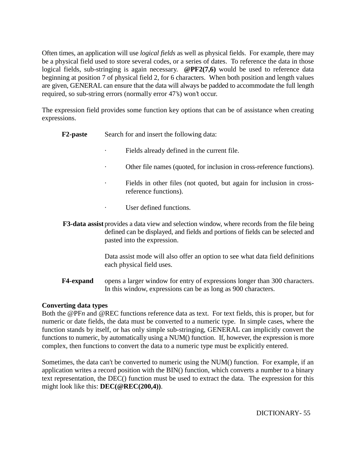Often times, an application will use *logical fields* as well as physical fields. For example, there may be a physical field used to store several codes, or a series of dates. To reference the data in those logical fields, sub-stringing is again necessary. **@PF2(7,6)** would be used to reference data beginning at position 7 of physical field 2, for 6 characters. When both position and length values are given, GENERAL can ensure that the data will always be padded to accommodate the full length required, so sub-string errors (normally error 47's) won't occur.

The expression field provides some function key options that can be of assistance when creating expressions.

- **F2-paste** Search for and insert the following data:
	- Fields already defined in the current file.
	- Other file names (quoted, for inclusion in cross-reference functions).
	- Fields in other files (not quoted, but again for inclusion in crossreference functions).
	- User defined functions.
- **F3-data assist** provides a data view and selection window, where records from the file being defined can be displayed, and fields and portions of fields can be selected and pasted into the expression.

Data assist mode will also offer an option to see what data field definitions each physical field uses.

**F4-expand** opens a larger window for entry of expressions longer than 300 characters. In this window, expressions can be as long as 900 characters.

#### **Converting data types**

Both the @PF*n* and @REC functions reference data as text. For text fields, this is proper, but for numeric or date fields, the data must be converted to a numeric type. In simple cases, where the function stands by itself, or has only simple sub-stringing, GENERAL can implicitly convert the functions to numeric, by automatically using a NUM() function. If, however, the expression is more complex, then functions to convert the data to a numeric type must be explicitly entered.

Sometimes, the data can't be converted to numeric using the NUM() function. For example, if an application writes a record position with the BIN() function, which converts a number to a binary text representation, the DEC() function must be used to extract the data. The expression for this might look like this: **DEC(@REC(200,4))**.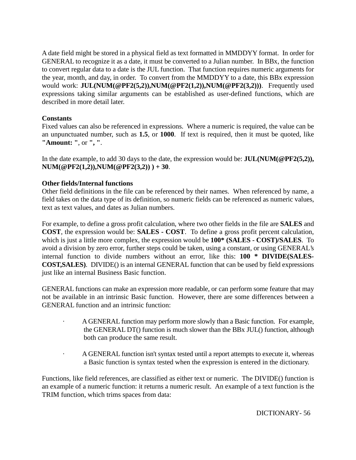A date field might be stored in a physical field as text formatted in MMDDYY format. In order for GENERAL to recognize it as a date, it must be converted to a Julian number. In BBx, the function to convert regular data to a date is the JUL function. That function requires numeric arguments for the year, month, and day, in order. To convert from the MMDDYY to a date, this BBx expression would work: **JUL(NUM(@PF2(5,2)),NUM(@PF2(1,2)),NUM(@PF2(3,2)))**. Frequently used expressions taking similar arguments can be established as user-defined functions, which are described in more detail later.

## **Constants**

Fixed values can also be referenced in expressions. Where a numeric is required, the value can be an unpunctuated number, such as **1.5**, or **1000**. If text is required, then it must be quoted, like **"Amount: "**, or **", "**.

In the date example, to add 30 days to the date, the expression would be: **JUL(NUM(@PF2(5,2)), NUM(@PF2(1,2)),NUM(@PF2(3,2)) ) + 30**.

## **Other fields/Internal functions**

Other field definitions in the file can be referenced by their names. When referenced by name, a field takes on the data type of its definition, so numeric fields can be referenced as numeric values, text as text values, and dates as Julian numbers.

For example, to define a gross profit calculation, where two other fields in the file are **SALES** and **COST**, the expression would be: **SALES - COST**. To define a gross profit percent calculation, which is just a little more complex, the expression would be **100\* (SALES - COST)/SALES**. To avoid a division by zero error, further steps could be taken, using a constant, or using GENERAL's internal function to divide numbers without an error, like this: **100 \* DIVIDE(SALES-COST,SALES)**. DIVIDE() is an internal GENERAL function that can be used by field expressions just like an internal Business Basic function.

GENERAL functions can make an expression more readable, or can perform some feature that may not be available in an intrinsic Basic function. However, there are some differences between a GENERAL function and an intrinsic function:

- · A GENERAL function may perform more slowly than a Basic function. For example, the GENERAL DT() function is much slower than the BBx JUL() function, although both can produce the same result.
- · A GENERAL function isn't syntax tested until a report attempts to execute it, whereas a Basic function is syntax tested when the expression is entered in the dictionary.

Functions, like field references, are classified as either text or numeric. The DIVIDE() function is an example of a numeric function: it returns a numeric result. An example of a text function is the TRIM function, which trims spaces from data: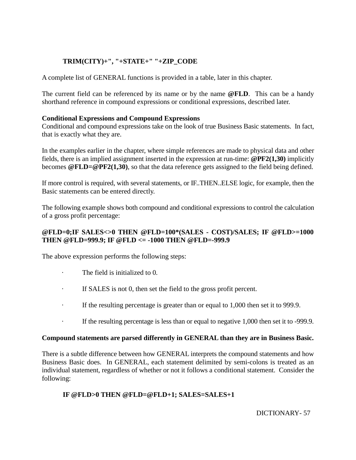## **TRIM(CITY)+", "+STATE+" "+ZIP\_CODE**

A complete list of GENERAL functions is provided in a table, later in this chapter.

The current field can be referenced by its name or by the name **@FLD**. This can be a handy shorthand reference in compound expressions or conditional expressions, described later.

## **Conditional Expressions and Compound Expressions**

Conditional and compound expressions take on the look of true Business Basic statements. In fact, that is exactly what they are.

In the examples earlier in the chapter, where simple references are made to physical data and other fields, there is an implied assignment inserted in the expression at run-time: **@PF2(1,30)** implicitly becomes **@FLD=@PF2(1,30)**, so that the data reference gets assigned to the field being defined.

If more control is required, with several statements, or IF..THEN..ELSE logic, for example, then the Basic statements can be entered directly.

The following example shows both compound and conditional expressions to control the calculation of a gross profit percentage:

## **@FLD=0;IF SALES<>0 THEN @FLD=100\*(SALES - COST)/SALES; IF @FLD>=1000 THEN @FLD=999.9; IF @FLD <= -1000 THEN @FLD=-999.9**

The above expression performs the following steps:

- · The field is initialized to 0.
- · If SALES is not 0, then set the field to the gross profit percent.
- · If the resulting percentage is greater than or equal to 1,000 then set it to 999.9.
- If the resulting percentage is less than or equal to negative 1,000 then set it to -999.9.

## **Compound statements are parsed differently in GENERAL than they are in Business Basic.**

There is a subtle difference between how GENERAL interprets the compound statements and how Business Basic does. In GENERAL, each statement delimited by semi-colons is treated as an individual statement, regardless of whether or not it follows a conditional statement. Consider the following:

## **IF @FLD>0 THEN @FLD=@FLD+1; SALES=SALES+1**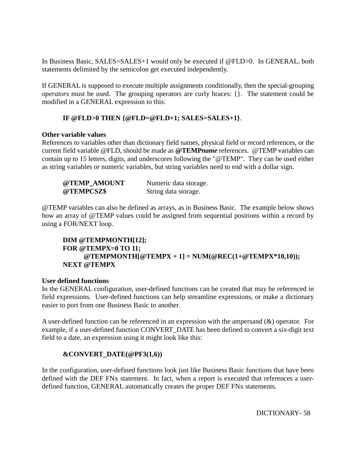In Business Basic, SALES=SALES+1 would only be executed if @FLD>0. In GENERAL, both statements delimited by the semicolon get executed independently.

If GENERAL is supposed to execute multiple assignments conditionally, then the special-grouping *operators* must be used. The grouping operators are curly braces: {}. The statement could be modified in a GENERAL expression to this:

## **IF @FLD>0 THEN {@FLD=@FLD+1; SALES=SALES+1}**.

#### **Other variable values**

References to variables other than dictionary field names, physical field or record references, or the current field variable @FLD, should be made as **@TEMP***name* references. @TEMP variables can contain up to 15 letters, digits, and underscores following the "@TEMP". They can be used either as string variables or numeric variables, but string variables need to end with a dollar sign.

| @TEMP AMOUNT | Numeric data storage. |
|--------------|-----------------------|
| @TEMPCSZ\$   | String data storage.  |

@TEMP variables can also be defined as arrays, as in Business Basic. The example below shows how an array of @TEMP values could be assigned from sequential positions within a record by using a FOR/NEXT loop.

## **DIM @TEMPMONTH[12]; FOR @TEMPX=0 TO 11; @TEMPMONTH[@TEMPX + 1] = NUM(@REC(1+@TEMPX\*10,10)); NEXT @TEMPX**

#### **User defined functions**

In the GENERAL configuration, user-defined functions can be created that may be referenced in field expressions. User-defined functions can help streamline expressions, or make a dictionary easier to port from one Business Basic to another.

A user-defined function can be referenced in an expression with the ampersand (&) operator. For example, if a user-defined function CONVERT\_DATE has been defined to convert a six-digit text field to a date, an expression using it might look like this:

## **&CONVERT\_DATE(@PF3(1,6))**

In the configuration, user-defined functions look just like Business Basic functions that have been defined with the DEF FNx statement. In fact, when a report is executed that references a userdefined function, GENERAL automatically creates the proper DEF FNx statements.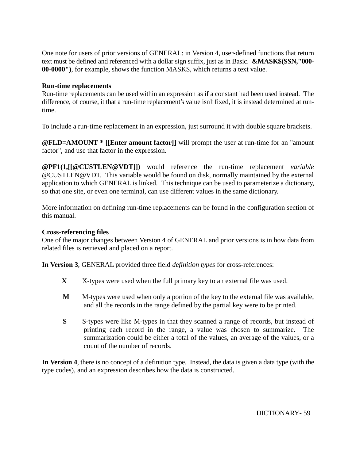One note for users of prior versions of GENERAL: in Version 4, user-defined functions that return text must be defined and referenced with a dollar sign suffix, just as in Basic. **&MASK\$(SSN,"000- 00-0000")**, for example, shows the function MASK\$, which returns a text value.

#### **Run-time replacements**

Run-time replacements can be used within an expression as if a constant had been used instead. The difference, of course, it that a run-time replacement's value isn't fixed, it is instead determined at runtime.

To include a run-time replacement in an expression, just surround it with double square brackets.

**@FLD=AMOUNT \* [[Enter amount factor]]** will prompt the user at run-time for an "amount factor", and use that factor in the expression.

**@PF1(1,[[@CUSTLEN@VDT]])** would reference the run-time replacement *variable* @CUSTLEN@VDT. This variable would be found on disk, normally maintained by the external application to which GENERAL is linked. This technique can be used to parameterize a dictionary, so that one site, or even one terminal, can use different values in the same dictionary.

More information on defining run-time replacements can be found in the configuration section of this manual.

#### **Cross-referencing files**

One of the major changes between Version 4 of GENERAL and prior versions is in how data from related files is retrieved and placed on a report.

**In Version 3**, GENERAL provided three field *definition types* for cross-references:

- **X** X-types were used when the full primary key to an external file was used.
- **M** M-types were used when only a portion of the key to the external file was available, and all the records in the range defined by the partial key were to be printed.
- **S** S-types were like M-types in that they scanned a range of records, but instead of printing each record in the range, a value was chosen to summarize. The summarization could be either a total of the values, an average of the values, or a count of the number of records.

**In Version 4**, there is no concept of a definition type. Instead, the data is given a data type (with the type codes), and an expression describes how the data is constructed.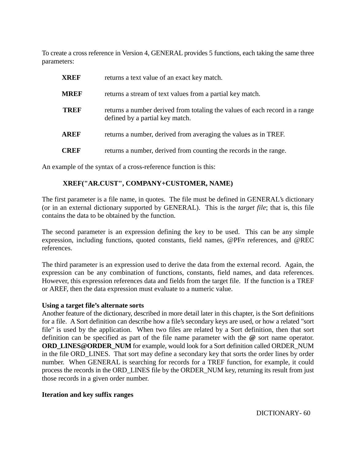To create a cross reference in Version 4, GENERAL provides 5 functions, each taking the same three parameters:

| <b>XREF</b> | returns a text value of an exact key match.                                                                    |
|-------------|----------------------------------------------------------------------------------------------------------------|
| <b>MREF</b> | returns a stream of text values from a partial key match.                                                      |
| <b>TREF</b> | returns a number derived from totaling the values of each record in a range<br>defined by a partial key match. |
| <b>AREF</b> | returns a number, derived from averaging the values as in TREF.                                                |
| <b>CREF</b> | returns a number, derived from counting the records in the range.                                              |

An example of the syntax of a cross-reference function is this:

#### **XREF("AR.CUST", COMPANY+CUSTOMER, NAME)**

The first parameter is a file name, in quotes. The file must be defined in GENERAL's dictionary (or in an external dictionary supported by GENERAL). This is the *target file*; that is, this file contains the data to be obtained by the function.

The second parameter is an expression defining the key to be used. This can be any simple expression, including functions, quoted constants, field names, @PF*n* references, and @REC references.

The third parameter is an expression used to derive the data from the external record. Again, the expression can be any combination of functions, constants, field names, and data references. However, this expression references data and fields from the target file. If the function is a TREF or AREF, then the data expression must evaluate to a numeric value.

#### **Using a target file's alternate sorts**

Another feature of the dictionary, described in more detail later in this chapter, is the Sort definitions for a file. A Sort definition can describe how a file's secondary keys are used, or how a related "sort file" is used by the application. When two files are related by a Sort definition, then that sort definition can be specified as part of the file name parameter with the **@** sort name operator. **ORD\_LINES@ORDER\_NUM** for example, would look for a Sort definition called ORDER\_NUM in the file ORD\_LINES. That sort may define a secondary key that sorts the order lines by order number. When GENERAL is searching for records for a TREF function, for example, it could process the records in the ORD\_LINES file by the ORDER\_NUM key, returning its result from just those records in a given order number.

#### **Iteration and key suffix ranges**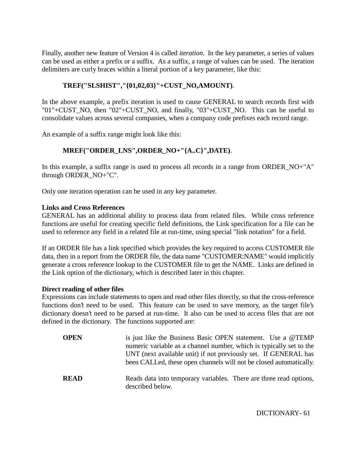Finally, another new feature of Version 4 is called *iteration*. In the key parameter, a series of values can be used as either a prefix or a suffix. As a suffix, a range of values can be used. The iteration delimiters are curly braces within a literal portion of a key parameter, like this:

## **TREF("SLSHIST","{01,02,03}"+CUST\_NO,AMOUNT)**.

In the above example, a prefix iteration is used to cause GENERAL to search records first with "01"+CUST\_NO, then "02"+CUST\_NO, and finally, "03"+CUST\_NO. This can be useful to consolidate values across several companies, when a company code prefixes each record range.

An example of a suffix range might look like this:

## **MREF("ORDER\_LNS",ORDER\_NO+"{A..C}",DATE)**.

In this example, a suffix range is used to process all records in a range from ORDER\_NO+"A" through ORDER\_NO+"C".

Only one iteration operation can be used in any key parameter.

#### **Links and Cross References**

GENERAL has an additional ability to process data from related files. While cross reference functions are useful for creating specific field definitions, the Link specification for a file can be used to reference any field in a related file at run-time, using special "link notation" for a field.

If an ORDER file has a link specified which provides the key required to access CUSTOMER file data, then in a report from the ORDER file, the data name "CUSTOMER:NAME" would implicitly generate a cross reference lookup to the CUSTOMER file to get the NAME. Links are defined in the Link option of the dictionary, which is described later in this chapter.

#### **Direct reading of other files**

Expressions can include statements to open and read other files directly, so that the cross-reference functions don't need to be used. This feature can be used to save memory, as the target file's dictionary doesn't need to be parsed at run-time. It also can be used to access files that are not defined in the dictionary. The functions supported are:

| <b>OPEN</b> | is just like the Business Basic OPEN statement. Use a @TEMP<br>numeric variable as a channel number, which is typically set to the<br>UNT (next available unit) if not previously set. If GENERAL has<br>been CALLed, these open channels will not be closed automatically. |
|-------------|-----------------------------------------------------------------------------------------------------------------------------------------------------------------------------------------------------------------------------------------------------------------------------|
| <b>READ</b> | Reads data into temporary variables. There are three read options,<br>described below.                                                                                                                                                                                      |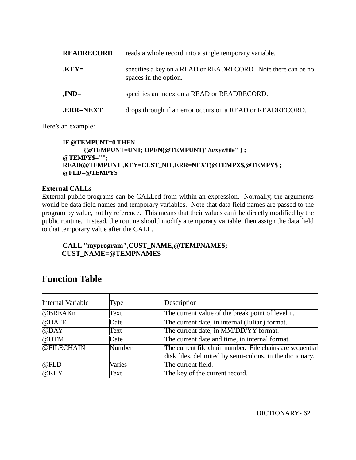| <b>READRECORD</b> | reads a whole record into a single temporary variable.                                 |  |  |  |
|-------------------|----------------------------------------------------------------------------------------|--|--|--|
| $XEY=$            | specifies a key on a READ or READRECORD. Note there can be no<br>spaces in the option. |  |  |  |
| $JND=$            | specifies an index on a READ or READRECORD.                                            |  |  |  |
| <b>,ERR=NEXT</b>  | drops through if an error occurs on a READ or READRECORD.                              |  |  |  |

Here's an example:

#### **IF @TEMPUNT=0 THEN {@TEMPUNT=UNT; OPEN(@TEMPUNT)"/u/xyz/file" } ; @TEMPY\$=""; READ(@TEMPUNT ,KEY=CUST\_NO ,ERR=NEXT)@TEMPX\$,@TEMPY\$ ; @FLD=@TEMPY\$**

## **External CALLs**

External public programs can be CALLed from within an expression. Normally, the arguments would be data field names and temporary variables. Note that data field names are passed to the program by value, not by reference. This means that their values can't be directly modified by the public routine. Instead, the routine should modify a temporary variable, then assign the data field to that temporary value after the CALL.

## **CALL "myprogram",CUST\_NAME,@TEMPNAME\$; CUST\_NAME=@TEMPNAME\$**

# **Function Table**

| Internal Variable | Type   | Description                                               |  |  |
|-------------------|--------|-----------------------------------------------------------|--|--|
| @BREAKn           | Text   | The current value of the break point of level n.          |  |  |
| @DATE             | Date   | The current date, in internal (Julian) format.            |  |  |
| $@$ DAY           | Text   | The current date, in MM/DD/YY format.                     |  |  |
| @DTM              | Date   | The current date and time, in internal format.            |  |  |
| @FILECHAIN        | Number | The current file chain number. File chains are sequential |  |  |
|                   |        | disk files, delimited by semi-colons, in the dictionary.  |  |  |
| @FLD              | Varies | The current field.                                        |  |  |
| @KEY              | Text   | The key of the current record.                            |  |  |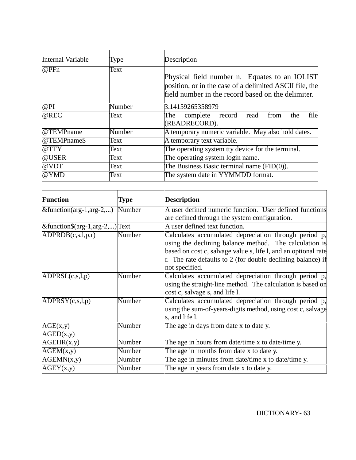| Internal Variable | Type   | Description                                                                                                                                                    |  |  |  |
|-------------------|--------|----------------------------------------------------------------------------------------------------------------------------------------------------------------|--|--|--|
| @PFn              | Text   | Physical field number n. Equates to an IOLIST<br>position, or in the case of a delimited ASCII file, the<br>field number in the record based on the delimiter. |  |  |  |
| @PI               | Number | 3.14159265358979                                                                                                                                               |  |  |  |
| @REC              | Text   | file<br>complete record<br>The<br>the<br>read<br>from<br>(READRECORD).                                                                                         |  |  |  |
| @TEMPname         | Number | A temporary numeric variable. May also hold dates.                                                                                                             |  |  |  |
| @TEMPname\$       | Text   | A temporary text variable.                                                                                                                                     |  |  |  |
| @TTY              | Text   | The operating system tty device for the terminal.                                                                                                              |  |  |  |
| @USER             | Text   | The operating system login name.                                                                                                                               |  |  |  |
| @VDT              | Text   | The Business Basic terminal name $(FID(0))$ .                                                                                                                  |  |  |  |
| @YMD              | Text   | The system date in YYMMDD format.                                                                                                                              |  |  |  |

| <b>Function</b>                        | <b>Type</b> | <b>Description</b>                                                                                                                                                                                                                                                 |  |  |  |
|----------------------------------------|-------------|--------------------------------------------------------------------------------------------------------------------------------------------------------------------------------------------------------------------------------------------------------------------|--|--|--|
| $\&$ function(arg-1,arg-2,)            | Number      | A user defined numeric function. User defined functions                                                                                                                                                                                                            |  |  |  |
|                                        |             | are defined through the system configuration.                                                                                                                                                                                                                      |  |  |  |
| &function $$(arg-1, arg-2,)$ Text      |             | A user defined text function.                                                                                                                                                                                                                                      |  |  |  |
| ADPRDB(c,s,l,p,r)                      | Number      | Calculates accumulated depreciation through period p,<br>using the declining balance method. The calculation is<br>based on cost c, salvage value s, life l, and an optional rate<br>r. The rate defaults to 2 (for double declining balance) if<br>not specified. |  |  |  |
| $\overline{\mathrm{ADPR}}$ SL(c,s,l,p) | Number      | Calculates accumulated depreciation through period p,<br>using the straight-line method. The calculation is based on<br>cost c, salvage s, and life l.                                                                                                             |  |  |  |
| ADPRSY(c,s,l,p)                        | Number      | Calculates accumulated depreciation through period p,<br>using the sum-of-years-digits method, using cost c, salvage<br>s, and life l.                                                                                                                             |  |  |  |
| AGE(x,y)<br>AGED(x,y)                  | Number      | The age in days from date x to date y.                                                                                                                                                                                                                             |  |  |  |
| $\overline{AGEHR}(x,y)$                | Number      | The age in hours from date/time x to date/time y.                                                                                                                                                                                                                  |  |  |  |
| AGEM(x,y)                              | Number      | The age in months from date x to date y.                                                                                                                                                                                                                           |  |  |  |
| AGEMN(x,y)                             | Number      | The age in minutes from date/time x to date/time y.                                                                                                                                                                                                                |  |  |  |
| AGEY(x,y)                              | Number      | The age in years from date x to date y.                                                                                                                                                                                                                            |  |  |  |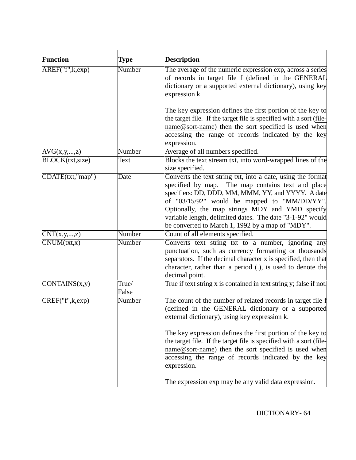| <b>Function</b>                 | Type           | <b>Description</b>                                                                                                                                                                                                                                                                                                                                                                                                                   |  |  |  |
|---------------------------------|----------------|--------------------------------------------------------------------------------------------------------------------------------------------------------------------------------------------------------------------------------------------------------------------------------------------------------------------------------------------------------------------------------------------------------------------------------------|--|--|--|
| AREF("f", k, exp)               | Number         | The average of the numeric expression exp, across a series<br>of records in target file f (defined in the GENERAL<br>dictionary or a supported external dictionary), using key<br>expression k.                                                                                                                                                                                                                                      |  |  |  |
|                                 |                | The key expression defines the first portion of the key to<br>the target file. If the target file is specified with a sort (file-<br>name@sort-name) then the sort specified is used when<br>accessing the range of records indicated by the key<br>expression.                                                                                                                                                                      |  |  |  |
| AVG(x,y,,z)                     | Number         | Average of all numbers specified.                                                                                                                                                                                                                                                                                                                                                                                                    |  |  |  |
| BLOCK(txt,size)                 | Text           | Blocks the text stream txt, into word-wrapped lines of the<br>size specified.                                                                                                                                                                                                                                                                                                                                                        |  |  |  |
| CDATE(txt,"map")                | Date           | Converts the text string txt, into a date, using the format<br>specified by map. The map contains text and place<br>specifiers: DD, DDD, MM, MMM, YY, and YYYY. A date<br>of "03/15/92" would be mapped to "MM/DD/YY".<br>Optionally, the map strings MDY and YMD specify<br>variable length, delimited dates. The date "3-1-92" would<br>be converted to March 1, 1992 by a map of "MDY".                                           |  |  |  |
| $\overline{\text{CNT}(x,y,,z)}$ | Number         | Count of all elements specified.                                                                                                                                                                                                                                                                                                                                                                                                     |  |  |  |
| CNUM(tx, x)                     | Number         | Converts text string txt to a number, ignoring any<br>punctuation, such as currency formatting or thousands<br>separators. If the decimal character x is specified, then that<br>character, rather than a period (.), is used to denote the<br>decimal point.                                                                                                                                                                        |  |  |  |
| CONTAINS(x,y)                   | True/<br>False | True if text string x is contained in text string y; false if not.                                                                                                                                                                                                                                                                                                                                                                   |  |  |  |
| CREF("f", k, exp)               | Number         | The count of the number of related records in target file f<br>(defined in the GENERAL dictionary or a supported<br>external dictionary), using key expression k.<br>The key expression defines the first portion of the key to<br>the target file. If the target file is specified with a sort (file-<br>name@sort-name) then the sort specified is used when<br>accessing the range of records indicated by the key<br>expression. |  |  |  |
|                                 |                | The expression exp may be any valid data expression.                                                                                                                                                                                                                                                                                                                                                                                 |  |  |  |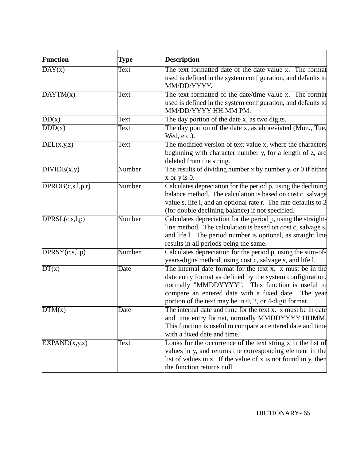| <b>Function</b>              | Type   | <b>Description</b>                                                                    |  |  |  |
|------------------------------|--------|---------------------------------------------------------------------------------------|--|--|--|
| DAY(x)                       | Text   | The text formatted date of the date value x. The format                               |  |  |  |
|                              |        | used is defined in the system configuration, and defaults to                          |  |  |  |
|                              |        | MM/DD/YYYY.                                                                           |  |  |  |
| $\overline{\text{DAYTM}(x)}$ | Text   | The text formatted of the date/time value x. The format                               |  |  |  |
|                              |        | used is defined in the system configuration, and defaults to                          |  |  |  |
|                              |        | MM/DD/YYYY HH:MM PM.                                                                  |  |  |  |
| DD(x)                        | Text   | The day portion of the date x, as two digits.                                         |  |  |  |
| DDD(x)                       | Text   | The day portion of the date x, as abbreviated (Mon., Tue,                             |  |  |  |
|                              |        | Wed, etc.).                                                                           |  |  |  |
| DEL(x,y,z)                   | Text   | The modified version of text value x, where the characters                            |  |  |  |
|                              |        | beginning with character number y, for a length of z, are<br>deleted from the string. |  |  |  |
| DIVIDE(x,y)                  | Number | The results of dividing number x by number y, or 0 if either                          |  |  |  |
|                              |        | $x$ or $y$ is 0.                                                                      |  |  |  |
| DPRDB(c,s,l,p,r)             | Number | Calculates depreciation for the period p, using the declining                         |  |  |  |
|                              |        | balance method. The calculation is based on cost c, salvage                           |  |  |  |
|                              |        | value s, life l, and an optional rate r. The rate defaults to 2                       |  |  |  |
|                              |        | (for double declining balance) if not specified.                                      |  |  |  |
| DPRSL(c,s,l,p)               | Number | Calculates depreciation for the period p, using the straight-                         |  |  |  |
|                              |        | line method. The calculation is based on cost c, salvage s,                           |  |  |  |
|                              |        | and life 1. The period number is optional, as straight line                           |  |  |  |
|                              |        | results in all periods being the same.                                                |  |  |  |
| DPRSY(c,s,l,p)               | Number | Calculates depreciation for the period p, using the sum-of-                           |  |  |  |
|                              |        | years-digits method, using cost c, salvage s, and life l.                             |  |  |  |
| DT(x)                        | Date   | The internal date format for the text x. x must be in the                             |  |  |  |
|                              |        | date entry format as defined by the system configuration,                             |  |  |  |
|                              |        | normally "MMDDYYYY". This function is useful to                                       |  |  |  |
|                              |        | compare an entered date with a fixed date.<br>The year                                |  |  |  |
|                              |        | portion of the text may be in 0, 2, or 4-digit format.                                |  |  |  |
| $\overline{DTM}(x)$          | Date   | The internal date and time for the text x, x must be in date                          |  |  |  |
|                              |        | and time entry format, normally MMDDYYYY HHMM.                                        |  |  |  |
|                              |        | This function is useful to compare an entered date and time                           |  |  |  |
|                              |        | with a fixed date and time.                                                           |  |  |  |
| EXPAND(x,y,z)                | Text   | Looks for the occurrence of the text string x in the list of                          |  |  |  |
|                              |        | values in y, and returns the corresponding element in the                             |  |  |  |
|                              |        | list of values in z. If the value of x is not found in y, then                        |  |  |  |
|                              |        | the function returns null.                                                            |  |  |  |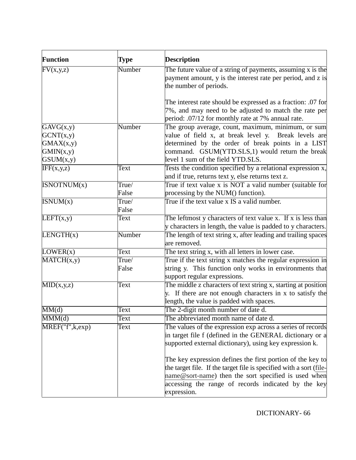| <b>Function</b>           | <b>Type</b> | <b>Description</b>                                                                                          |  |  |
|---------------------------|-------------|-------------------------------------------------------------------------------------------------------------|--|--|
| $\overline{FV}(x,y,z)$    | Number      | The future value of a string of payments, assuming $x$ is the                                               |  |  |
|                           |             | payment amount, y is the interest rate per period, and z is                                                 |  |  |
|                           |             | the number of periods.                                                                                      |  |  |
|                           |             | The interest rate should be expressed as a fraction: .07 for                                                |  |  |
|                           |             | 7%, and may need to be adjusted to match the rate per<br>period: .07/12 for monthly rate at 7% annual rate. |  |  |
| GAVG(x,y)                 | Number      | The group average, count, maximum, minimum, or sum                                                          |  |  |
| GCNT(x,y)                 |             | value of field x, at break level y. Break levels are                                                        |  |  |
| GMAX(x,y)                 |             | determined by the order of break points in a LIST                                                           |  |  |
| GMIN(x,y)                 |             | command. GSUM(YTD.SLS,1) would return the break                                                             |  |  |
| GSUM(x,y)                 |             | level 1 sum of the field YTD.SLS.                                                                           |  |  |
| IFF(x,y,z)                | Text        | Tests the condition specified by a relational expression x,                                                 |  |  |
|                           |             | and if true, returns text y, else returns text z.                                                           |  |  |
| ISNOTNUM(x)               | True/       | True if text value x is NOT a valid number (suitable for                                                    |  |  |
|                           | False       | processing by the NUM() function).                                                                          |  |  |
| ISNUM(x)                  | True/       | True if the text value x IS a valid number.                                                                 |  |  |
|                           | False       |                                                                                                             |  |  |
| LEFT(x,y)                 | Text        | The leftmost y characters of text value x. If x is less than                                                |  |  |
|                           |             | y characters in length, the value is padded to y characters.                                                |  |  |
| LENGTH(x)                 | Number      | The length of text string x, after leading and trailing spaces                                              |  |  |
|                           |             | are removed.                                                                                                |  |  |
| LOWER(x)                  | Text        | The text string x, with all letters in lower case.                                                          |  |  |
| MATCH(x,y)                | True/       | True if the text string x matches the regular expression in                                                 |  |  |
|                           | False       | string y. This function only works in environments that<br>support regular expressions.                     |  |  |
| MID(x,y,z)                | Text        | The middle z characters of text string x, starting at position                                              |  |  |
|                           |             | y. If there are not enough characters in x to satisfy the                                                   |  |  |
|                           |             | length, the value is padded with spaces.                                                                    |  |  |
| MM(d)                     | Text        | The 2-digit month number of date d.                                                                         |  |  |
| $\overline{\text{MM}}(d)$ | Text        | The abbreviated month name of date d.                                                                       |  |  |
| MREF("f",k,exp)           | Text        | The values of the expression exp across a series of records                                                 |  |  |
|                           |             | in target file f (defined in the GENERAL dictionary or a                                                    |  |  |
|                           |             | supported external dictionary), using key expression k.                                                     |  |  |
|                           |             |                                                                                                             |  |  |
|                           |             | The key expression defines the first portion of the key to                                                  |  |  |
|                           |             | the target file. If the target file is specified with a sort (file-                                         |  |  |
|                           |             | name@sort-name) then the sort specified is used when                                                        |  |  |
|                           |             | accessing the range of records indicated by the key                                                         |  |  |
|                           |             | expression.                                                                                                 |  |  |
|                           |             |                                                                                                             |  |  |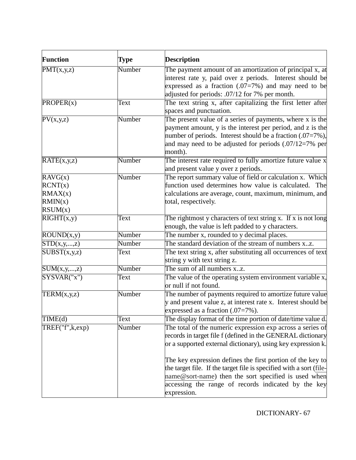| <b>Function</b>                                     | Type   | <b>Description</b>                                                                                                                                                                                                                                                                                                                                                                                                                                           |  |  |
|-----------------------------------------------------|--------|--------------------------------------------------------------------------------------------------------------------------------------------------------------------------------------------------------------------------------------------------------------------------------------------------------------------------------------------------------------------------------------------------------------------------------------------------------------|--|--|
| $\overline{PMT(x,y,z)}$                             | Number | The payment amount of an amortization of principal x, at<br>interest rate y, paid over z periods. Interest should be<br>expressed as a fraction $(.07=7%)$ and may need to be<br>adjusted for periods: .07/12 for 7% per month.                                                                                                                                                                                                                              |  |  |
| PROPER(x)                                           | Text   | The text string x, after capitalizing the first letter after<br>spaces and punctuation.                                                                                                                                                                                                                                                                                                                                                                      |  |  |
| $\overline{\text{PV}}(x,y,z)$                       | Number | The present value of a series of payments, where x is the<br>payment amount, y is the interest per period, and z is the<br>number of periods. Interest should be a fraction (.07=7%),<br>and may need to be adjusted for periods $(.07/12=7\%$ per<br>month).                                                                                                                                                                                                |  |  |
| RATE(x,y,z)                                         | Number | The interest rate required to fully amortize future value x<br>and present value y over z periods.                                                                                                                                                                                                                                                                                                                                                           |  |  |
| RAVG(x)<br>RCNT(x)<br>RMAX(x)<br>RMIN(x)<br>RSUM(x) | Number | The report summary value of field or calculation x. Which<br>function used determines how value is calculated. The<br>calculations are average, count, maximum, minimum, and<br>total, respectively.                                                                                                                                                                                                                                                         |  |  |
| $\overline{\text{RIGHT}(x,y)}$                      | Text   | The rightmost y characters of text string x. If x is not long<br>enough, the value is left padded to y characters.                                                                                                                                                                                                                                                                                                                                           |  |  |
| ROUND(x,y)                                          | Number | The number x, rounded to y decimal places.                                                                                                                                                                                                                                                                                                                                                                                                                   |  |  |
| STD(x,y,,z)                                         | Number | The standard deviation of the stream of numbers xz.                                                                                                                                                                                                                                                                                                                                                                                                          |  |  |
| SUBST(x,y,z)                                        | Text   | The text string x, after substituting all occurrences of text<br>string y with text string z.                                                                                                                                                                                                                                                                                                                                                                |  |  |
| SUM(x,y,,z)                                         | Number | The sum of all numbers x.z.                                                                                                                                                                                                                                                                                                                                                                                                                                  |  |  |
| SYSVAR("x")                                         | Text   | The value of the operating system environment variable x,<br>or null if not found.                                                                                                                                                                                                                                                                                                                                                                           |  |  |
| TERM(x,y,z)                                         | Number | The number of payments required to amortize future value<br>y and present value z, at interest rate x. Interest should be<br>expressed as a fraction $(.07=7\%)$ .                                                                                                                                                                                                                                                                                           |  |  |
| TIME(d)                                             | Text   | The display format of the time portion of date/time value d.                                                                                                                                                                                                                                                                                                                                                                                                 |  |  |
| TREF("f",k,exp)                                     | Number | The total of the numeric expression exp across a series of<br>records in target file f (defined in the GENERAL dictionary<br>or a supported external dictionary), using key expression k.<br>The key expression defines the first portion of the key to<br>the target file. If the target file is specified with a sort (file-<br>name@sort-name) then the sort specified is used when<br>accessing the range of records indicated by the key<br>expression. |  |  |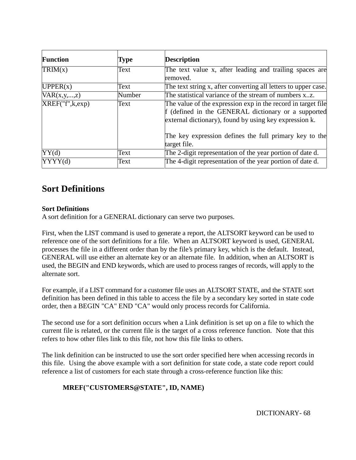| <b>Function</b>   | Type   | <b>Description</b>                                                                                                                                                                                                                                      |  |  |  |  |
|-------------------|--------|---------------------------------------------------------------------------------------------------------------------------------------------------------------------------------------------------------------------------------------------------------|--|--|--|--|
| TRIM(x)           | Text   | The text value x, after leading and trailing spaces are<br>removed.                                                                                                                                                                                     |  |  |  |  |
| UPPER(x)          | Text   | The text string x, after converting all letters to upper case.                                                                                                                                                                                          |  |  |  |  |
| VAR(x,y,,z)       | Number | The statistical variance of the stream of numbers xz.                                                                                                                                                                                                   |  |  |  |  |
| XREF("f", k, exp) | Text   | The value of the expression exp in the record in target file<br>f (defined in the GENERAL dictionary or a supported<br>external dictionary), found by using key expression k.<br>The key expression defines the full primary key to the<br>target file. |  |  |  |  |
| YY(d)             | Text   | The 2-digit representation of the year portion of date d.                                                                                                                                                                                               |  |  |  |  |
| YYYY(d)           | Text   | The 4-digit representation of the year portion of date d.                                                                                                                                                                                               |  |  |  |  |

# **Sort Definitions**

## **Sort Definitions**

A sort definition for a GENERAL dictionary can serve two purposes.

First, when the LIST command is used to generate a report, the ALTSORT keyword can be used to reference one of the sort definitions for a file. When an ALTSORT keyword is used, GENERAL processes the file in a different order than by the file's primary key, which is the default. Instead, GENERAL will use either an alternate key or an alternate file. In addition, when an ALTSORT is used, the BEGIN and END keywords, which are used to process ranges of records, will apply to the alternate sort.

For example, if a LIST command for a customer file uses an ALTSORT STATE, and the STATE sort definition has been defined in this table to access the file by a secondary key sorted in state code order, then a BEGIN "CA" END "CA" would only process records for California.

The second use for a sort definition occurs when a Link definition is set up on a file to which the current file is related, or the current file is the target of a cross reference function. Note that this refers to how other files link to this file, not how this file links to others.

The link definition can be instructed to use the sort order specified here when accessing records in this file. Using the above example with a sort definition for state code, a state code report could reference a list of customers for each state through a cross-reference function like this:

## **MREF("CUSTOMERS@STATE", ID, NAME)**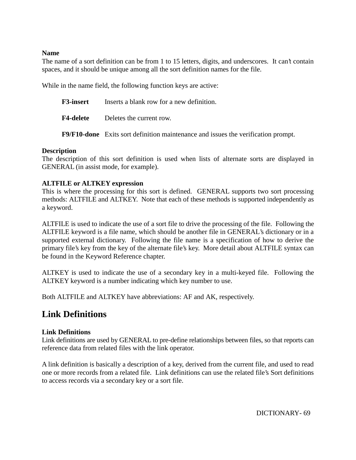#### **Name**

The name of a sort definition can be from 1 to 15 letters, digits, and underscores. It can't contain spaces, and it should be unique among all the sort definition names for the file.

While in the name field, the following function keys are active:

**F3-insert** Inserts a blank row for a new definition. **F4-delete** Deletes the current row.

**F9/F10-done** Exits sort definition maintenance and issues the verification prompt.

## **Description**

The description of this sort definition is used when lists of alternate sorts are displayed in GENERAL (in assist mode, for example).

## **ALTFILE or ALTKEY expression**

This is where the processing for this sort is defined. GENERAL supports two sort processing methods: ALTFILE and ALTKEY. Note that each of these methods is supported independently as a keyword.

ALTFILE is used to indicate the use of a sort file to drive the processing of the file. Following the ALTFILE keyword is a file name, which should be another file in GENERAL's dictionary or in a supported external dictionary. Following the file name is a specification of how to derive the primary file's key from the key of the alternate file's key. More detail about ALTFILE syntax can be found in the Keyword Reference chapter.

ALTKEY is used to indicate the use of a secondary key in a multi-keyed file. Following the ALTKEY keyword is a number indicating which key number to use.

Both ALTFILE and ALTKEY have abbreviations: AF and AK, respectively.

# **Link Definitions**

## **Link Definitions**

Link definitions are used by GENERAL to pre-define relationships between files, so that reports can reference data from related files with the link operator.

A link definition is basically a description of a key, derived from the current file, and used to read one or more records from a related file. Link definitions can use the related file's Sort definitions to access records via a secondary key or a sort file.

DICTIONARY- 69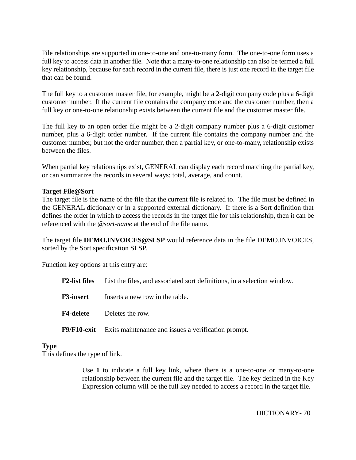File relationships are supported in one-to-one and one-to-many form. The one-to-one form uses a full key to access data in another file. Note that a many-to-one relationship can also be termed a full key relationship, because for each record in the current file, there is just one record in the target file that can be found.

The full key to a customer master file, for example, might be a 2-digit company code plus a 6-digit customer number. If the current file contains the company code and the customer number, then a full key or one-to-one relationship exists between the current file and the customer master file.

The full key to an open order file might be a 2-digit company number plus a 6-digit customer number, plus a 6-digit order number. If the current file contains the company number and the customer number, but not the order number, then a partial key, or one-to-many, relationship exists between the files.

When partial key relationships exist, GENERAL can display each record matching the partial key, or can summarize the records in several ways: total, average, and count.

#### **Target File@Sort**

The target file is the name of the file that the current file is related to. The file must be defined in the GENERAL dictionary or in a supported external dictionary. If there is a Sort definition that defines the order in which to access the records in the target file for this relationship, then it can be referenced with the @*sort-name* at the end of the file name.

The target file **DEMO.INVOICES@SLSP** would reference data in the file DEMO.INVOICES, sorted by the Sort specification SLSP.

Function key options at this entry are:

| <b>F2-list files</b> |  |  | List the files, and associated sort definitions, in a selection window. |  |  |
|----------------------|--|--|-------------------------------------------------------------------------|--|--|
|----------------------|--|--|-------------------------------------------------------------------------|--|--|

**F3-insert** Inserts a new row in the table.

**F4-delete** Deletes the row.

**F9/F10-exit** Exits maintenance and issues a verification prompt.

#### **Type**

This defines the type of link.

Use **1** to indicate a full key link, where there is a one-to-one or many-to-one relationship between the current file and the target file. The key defined in the Key Expression column will be the full key needed to access a record in the target file.

DICTIONARY- 70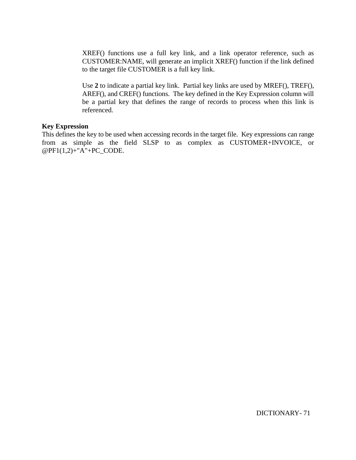XREF() functions use a full key link, and a link operator reference, such as CUSTOMER:NAME, will generate an implicit XREF() function if the link defined to the target file CUSTOMER is a full key link.

Use **2** to indicate a partial key link. Partial key links are used by MREF(), TREF(), AREF(), and CREF() functions. The key defined in the Key Expression column will be a partial key that defines the range of records to process when this link is referenced.

#### **Key Expression**

This defines the key to be used when accessing records in the target file. Key expressions can range from as simple as the field SLSP to as complex as CUSTOMER+INVOICE, or @PF1(1,2)+"A"+PC\_CODE.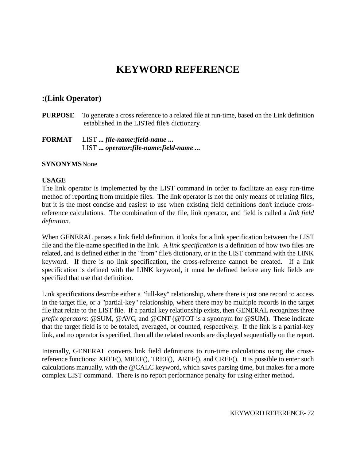# **KEYWORD REFERENCE**

## **:(Link Operator)**

**PURPOSE** To generate a cross reference to a related file at run-time, based on the Link definition established in the LISTed file's dictionary.

## **FORMAT** LIST **...** *file-name***:***field-name* **...** LIST **...** *operator***:***file-name***:***field-name* **...**

#### **SYNONYMS**None

#### **USAGE**

The link operator is implemented by the LIST command in order to facilitate an easy run-time method of reporting from multiple files. The link operator is not the only means of relating files, but it is the most concise and easiest to use when existing field definitions don't include crossreference calculations. The combination of the file, link operator, and field is called a *link field definition*.

When GENERAL parses a link field definition, it looks for a link specification between the LIST file and the file-name specified in the link. A *link specification* is a definition of how two files are related, and is defined either in the "from" file's dictionary, or in the LIST command with the LINK keyword. If there is no link specification, the cross-reference cannot be created. If a link specification is defined with the LINK keyword, it must be defined before any link fields are specified that use that definition.

Link specifications describe either a "full-key" relationship, where there is just one record to access in the target file, or a "partial-key" relationship, where there may be multiple records in the target file that relate to the LIST file. If a partial key relationship exists, then GENERAL recognizes three *prefix operators*: @SUM, @AVG, and @CNT (@TOT is a synonym for @SUM). These indicate that the target field is to be totaled, averaged, or counted, respectively. If the link is a partial-key link, and no operator is specified, then all the related records are displayed sequentially on the report.

Internally, GENERAL converts link field definitions to run-time calculations using the crossreference functions: XREF(), MREF(), TREF(), AREF(), and CREF(). It is possible to enter such calculations manually, with the @CALC keyword, which saves parsing time, but makes for a more complex LIST command. There is no report performance penalty for using either method.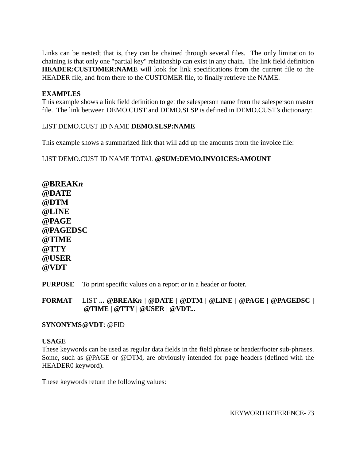Links can be nested; that is, they can be chained through several files. The only limitation to chaining is that only one "partial key" relationship can exist in any chain. The link field definition **HEADER:CUSTOMER:NAME** will look for link specifications from the current file to the HEADER file, and from there to the CUSTOMER file, to finally retrieve the NAME.

# **EXAMPLES**

This example shows a link field definition to get the salesperson name from the salesperson master file. The link between DEMO.CUST and DEMO.SLSP is defined in DEMO.CUST's dictionary:

## LIST DEMO.CUST ID NAME **DEMO.SLSP:NAME**

This example shows a summarized link that will add up the amounts from the invoice file:

## LIST DEMO.CUST ID NAME TOTAL **@SUM:DEMO.INVOICES:AMOUNT**

**@BREAK***n* **@DATE @DTM @LINE @PAGE @PAGEDSC @TIME @TTY @USER @VDT**

**PURPOSE** To print specific values on a report or in a header or footer.

**FORMAT** LIST **... @BREAK***n* **| @DATE | @DTM | @LINE | @PAGE | @PAGEDSC | @TIME | @TTY | @USER | @VDT...**

### **SYNONYMS@VDT**: @FID

### **USAGE**

These keywords can be used as regular data fields in the field phrase or header/footer sub-phrases. Some, such as @PAGE or @DTM, are obviously intended for page headers (defined with the HEADER0 keyword).

These keywords return the following values: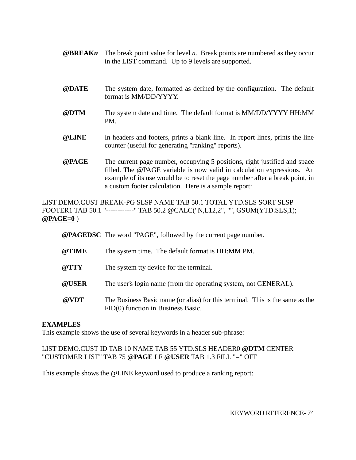- **@BREAK***n* The break point value for level *n*. Break points are numbered as they occur in the LIST command. Up to 9 levels are supported.
- **@DATE** The system date, formatted as defined by the configuration. The default format is MM/DD/YYYY.
- **@DTM** The system date and time. The default format is MM/DD/YYYY HH:MM PM.
- **@LINE** In headers and footers, prints a blank line. In report lines, prints the line counter (useful for generating "ranking" reports).
- **@PAGE** The current page number, occupying 5 positions, right justified and space filled. The @PAGE variable is now valid in calculation expressions. An example of its use would be to reset the page number after a break point, in a custom footer calculation. Here is a sample report:

LIST DEMO.CUST BREAK-PG SLSP NAME TAB 50.1 TOTAL YTD.SLS SORT SLSP FOOTER1 TAB 50.1 "------------" TAB 50.2 @CALC("N,L12,2", "", GSUM(YTD.SLS,1); **@PAGE=0** )

**@PAGEDSC** The word "PAGE", followed by the current page number.

- **@TIME** The system time. The default format is HH:MM PM.
- **@TTY** The system tty device for the terminal.
- **@USER** The user's login name (from the operating system, not GENERAL).
- **@VDT** The Business Basic name (or alias) for this terminal. This is the same as the FID(0) function in Business Basic.

### **EXAMPLES**

This example shows the use of several keywords in a header sub-phrase:

# LIST DEMO.CUST ID TAB 10 NAME TAB 55 YTD.SLS HEADER0 **@DTM** CENTER "CUSTOMER LIST" TAB 75 **@PAGE** LF **@USER** TAB 1.3 FILL "=" OFF

This example shows the @LINE keyword used to produce a ranking report: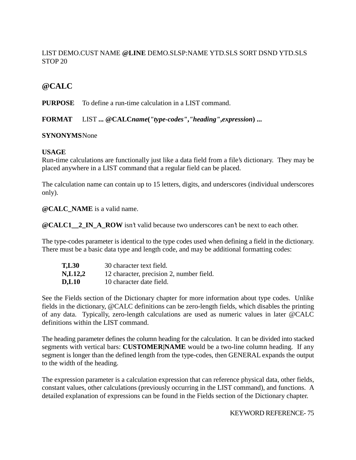# LIST DEMO.CUST NAME **@LINE** DEMO.SLSP:NAME YTD.SLS SORT DSND YTD.SLS STOP 20

# **@CALC**

**PURPOSE** To define a run-time calculation in a LIST command.

**FORMAT** LIST **... @CALC***name***(***"type-codes"***,***"heading"***,***expression***) ...**

# **SYNONYMS**None

# **USAGE**

Run-time calculations are functionally just like a data field from a file's dictionary. They may be placed anywhere in a LIST command that a regular field can be placed.

The calculation name can contain up to 15 letters, digits, and underscores (individual underscores only).

**@CALC\_NAME** is a valid name.

**@CALC1** 2 IN A ROW isn't valid because two underscores can't be next to each other.

The type-codes parameter is identical to the type codes used when defining a field in the dictionary. There must be a basic data type and length code, and may be additional formatting codes:

| <b>T,L30</b> | 30 character text field.                 |
|--------------|------------------------------------------|
| N, L12, 2    | 12 character, precision 2, number field. |
| <b>D.L10</b> | 10 character date field.                 |

See the Fields section of the Dictionary chapter for more information about type codes. Unlike fields in the dictionary, @CALC definitions can be zero-length fields, which disables the printing of any data. Typically, zero-length calculations are used as numeric values in later @CALC definitions within the LIST command.

The heading parameter defines the column heading for the calculation. It can be divided into stacked segments with vertical bars: **CUSTOMER|NAME** would be a two-line column heading. If any segment is longer than the defined length from the type-codes, then GENERAL expands the output to the width of the heading.

The expression parameter is a calculation expression that can reference physical data, other fields, constant values, other calculations (previously occurring in the LIST command), and functions. A detailed explanation of expressions can be found in the Fields section of the Dictionary chapter.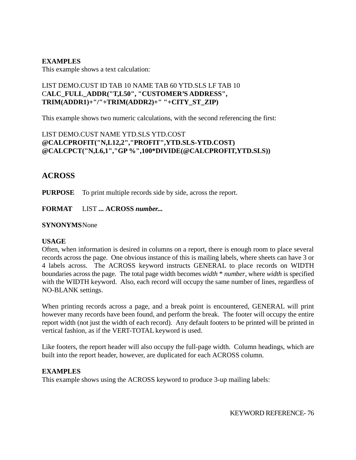## **EXAMPLES**

This example shows a text calculation:

# LIST DEMO.CUST ID TAB 10 NAME TAB 60 YTD.SLS LF TAB 10 C**ALC\_FULL\_ADDR("T,L50", "CUSTOMER'S ADDRESS", TRIM(ADDR1)+"/"+TRIM(ADDR2)+" "+CITY\_ST\_ZIP)**

This example shows two numeric calculations, with the second referencing the first:

# LIST DEMO.CUST NAME YTD.SLS YTD.COST **@CALCPROFIT("N,L12,2","PROFIT",YTD.SLS-YTD.COST) @CALCPCT("N,L6,1","GP %",100\*DIVIDE(@CALCPROFIT,YTD.SLS))**

# **ACROSS**

**PURPOSE** To print multiple records side by side, across the report.

**FORMAT** LIST **... ACROSS** *number...*

## **SYNONYMS**None

### **USAGE**

Often, when information is desired in columns on a report, there is enough room to place several records across the page. One obvious instance of this is mailing labels, where sheets can have 3 or 4 labels across. The ACROSS keyword instructs GENERAL to place records on WIDTH boundaries across the page. The total page width becomes *width* \* *number*, where *width* is specified with the WIDTH keyword. Also, each record will occupy the same number of lines, regardless of NO-BLANK settings.

When printing records across a page, and a break point is encountered, GENERAL will print however many records have been found, and perform the break. The footer will occupy the entire report width (not just the width of each record). Any default footers to be printed will be printed in vertical fashion, as if the VERT-TOTAL keyword is used.

Like footers, the report header will also occupy the full-page width. Column headings, which are built into the report header, however, are duplicated for each ACROSS column.

### **EXAMPLES**

This example shows using the ACROSS keyword to produce 3-up mailing labels: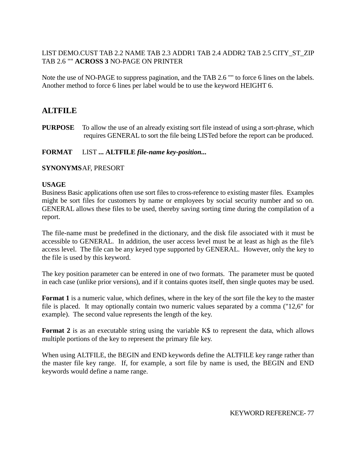# LIST DEMO.CUST TAB 2.2 NAME TAB 2.3 ADDR1 TAB 2.4 ADDR2 TAB 2.5 CITY\_ST\_ZIP TAB 2.6 "" **ACROSS 3** NO-PAGE ON PRINTER

Note the use of NO-PAGE to suppress pagination, and the TAB 2.6 "" to force 6 lines on the labels. Another method to force 6 lines per label would be to use the keyword HEIGHT 6.

# **ALTFILE**

**PURPOSE** To allow the use of an already existing sort file instead of using a sort-phrase, which requires GENERAL to sort the file being LISTed before the report can be produced.

# **FORMAT** LIST **... ALTFILE** *file-name key-position...*

# **SYNONYMS**AF, PRESORT

## **USAGE**

Business Basic applications often use sort files to cross-reference to existing master files. Examples might be sort files for customers by name or employees by social security number and so on. GENERAL allows these files to be used, thereby saving sorting time during the compilation of a report.

The file-name must be predefined in the dictionary, and the disk file associated with it must be accessible to GENERAL. In addition, the user access level must be at least as high as the file's access level. The file can be any keyed type supported by GENERAL. However, only the key to the file is used by this keyword.

The key position parameter can be entered in one of two formats. The parameter must be quoted in each case (unlike prior versions), and if it contains quotes itself, then single quotes may be used.

**Format 1** is a numeric value, which defines, where in the key of the sort file the key to the master file is placed. It may optionally contain two numeric values separated by a comma ("12,6" for example). The second value represents the length of the key.

**Format 2** is as an executable string using the variable K\$ to represent the data, which allows multiple portions of the key to represent the primary file key.

When using ALTFILE, the BEGIN and END keywords define the ALTFILE key range rather than the master file key range. If, for example, a sort file by name is used, the BEGIN and END keywords would define a name range.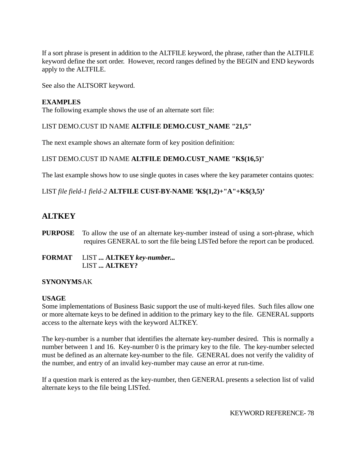If a sort phrase is present in addition to the ALTFILE keyword, the phrase, rather than the ALTFILE keyword define the sort order. However, record ranges defined by the BEGIN and END keywords apply to the ALTFILE.

See also the ALTSORT keyword.

### **EXAMPLES**

The following example shows the use of an alternate sort file:

# LIST DEMO.CUST ID NAME **ALTFILE DEMO.CUST\_NAME "21,5"**

The next example shows an alternate form of key position definition:

# LIST DEMO.CUST ID NAME **ALTFILE DEMO.CUST\_NAME "K\$(16,5)**"

The last example shows how to use single quotes in cases where the key parameter contains quotes:

LIST *file field-1 field-2* **ALTFILE CUST-BY-NAME 'K\$(1,2)+"A"+K\$(3,5)'**

# **ALTKEY**

- **PURPOSE** To allow the use of an alternate key-number instead of using a sort-phrase, which requires GENERAL to sort the file being LISTed before the report can be produced.
- **FORMAT** LIST **... ALTKEY** *key-number...* LIST **... ALTKEY?**

# **SYNONYMS**AK

### **USAGE**

Some implementations of Business Basic support the use of multi-keyed files. Such files allow one or more alternate keys to be defined in addition to the primary key to the file. GENERAL supports access to the alternate keys with the keyword ALTKEY.

The key-number is a number that identifies the alternate key-number desired. This is normally a number between 1 and 16. Key-number 0 is the primary key to the file. The key-number selected must be defined as an alternate key-number to the file. GENERAL does not verify the validity of the number, and entry of an invalid key-number may cause an error at run-time.

If a question mark is entered as the key-number, then GENERAL presents a selection list of valid alternate keys to the file being LISTed.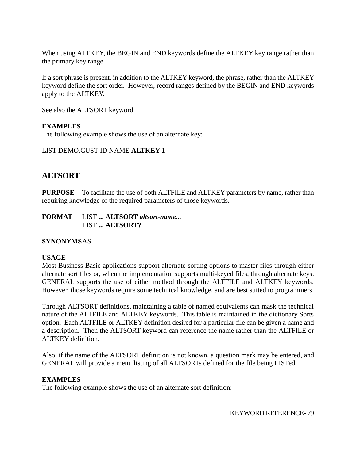When using ALTKEY, the BEGIN and END keywords define the ALTKEY key range rather than the primary key range.

If a sort phrase is present, in addition to the ALTKEY keyword, the phrase, rather than the ALTKEY keyword define the sort order. However, record ranges defined by the BEGIN and END keywords apply to the ALTKEY.

See also the ALTSORT keyword.

# **EXAMPLES**

The following example shows the use of an alternate key:

# LIST DEMO.CUST ID NAME **ALTKEY 1**

# **ALTSORT**

**PURPOSE** To facilitate the use of both ALTFILE and ALTKEY parameters by name, rather than requiring knowledge of the required parameters of those keywords.

**FORMAT** LIST **... ALTSORT** *altsort-name...* LIST **... ALTSORT?**

# **SYNONYMS**AS

# **USAGE**

Most Business Basic applications support alternate sorting options to master files through either alternate sort files or, when the implementation supports multi-keyed files, through alternate keys. GENERAL supports the use of either method through the ALTFILE and ALTKEY keywords. However, those keywords require some technical knowledge, and are best suited to programmers.

Through ALTSORT definitions, maintaining a table of named equivalents can mask the technical nature of the ALTFILE and ALTKEY keywords. This table is maintained in the dictionary Sorts option. Each ALTFILE or ALTKEY definition desired for a particular file can be given a name and a description. Then the ALTSORT keyword can reference the name rather than the ALTFILE or ALTKEY definition.

Also, if the name of the ALTSORT definition is not known, a question mark may be entered, and GENERAL will provide a menu listing of all ALTSORTs defined for the file being LISTed.

# **EXAMPLES**

The following example shows the use of an alternate sort definition: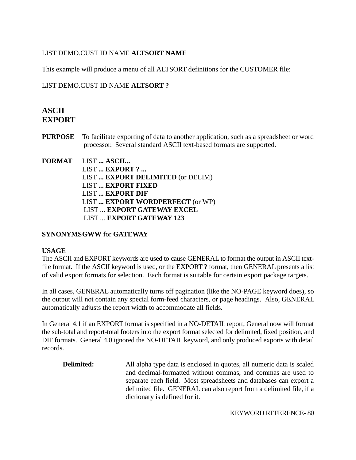# LIST DEMO.CUST ID NAME **ALTSORT NAME**

This example will produce a menu of all ALTSORT definitions for the CUSTOMER file:

# LIST DEMO.CUST ID NAME **ALTSORT ?**

# **ASCII EXPORT**

**PURPOSE** To facilitate exporting of data to another application, such as a spreadsheet or word processor. Several standard ASCII text-based formats are supported.

# **FORMAT** LIST **... ASCII...** LIST **... EXPORT ? ...** LIST **... EXPORT DELIMITED** (or DELIM) LIST **... EXPORT FIXED** LIST **... EXPORT DIF** LIST **... EXPORT WORDPERFECT** (or WP) LIST ... **EXPORT GATEWAY EXCEL** LIST ... **EXPORT GATEWAY 123**

# **SYNONYMSGWW** for **GATEWAY**

### **USAGE**

The ASCII and EXPORT keywords are used to cause GENERAL to format the output in ASCII textfile format. If the ASCII keyword is used, or the EXPORT ? format, then GENERAL presents a list of valid export formats for selection. Each format is suitable for certain export package targets.

In all cases, GENERAL automatically turns off pagination (like the NO-PAGE keyword does), so the output will not contain any special form-feed characters, or page headings. Also, GENERAL automatically adjusts the report width to accommodate all fields.

In General 4.1 if an EXPORT format is specified in a NO-DETAIL report, General now will format the sub-total and report-total footers into the export format selected for delimited, fixed position, and DIF formats. General 4.0 ignored the NO-DETAIL keyword, and only produced exports with detail records.

**Delimited:** All alpha type data is enclosed in quotes, all numeric data is scaled and decimal-formatted without commas, and commas are used to separate each field. Most spreadsheets and databases can export a delimited file. GENERAL can also report from a delimited file, if a dictionary is defined for it.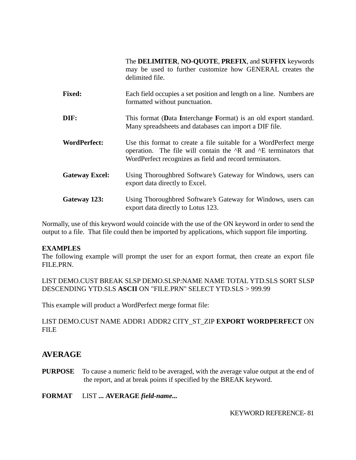The **DELIMITER**, **NO-QUOTE**, **PREFIX**, and **SUFFIX** keywords may be used to further customize how GENERAL creates the delimited file.

- **Fixed:** Each field occupies a set position and length on a line. Numbers are formatted without punctuation.
- **DIF:** This format (Data Interchange Format) is an old export standard. Many spreadsheets and databases can import a DIF file.
- **WordPerfect:** Use this format to create a file suitable for a WordPerfect merge operation. The file will contain the ^R and ^E terminators that WordPerfect recognizes as field and record terminators.
- **Gateway Excel:** Using Thoroughbred Software's Gateway for Windows, users can export data directly to Excel.
- **Gateway 123:** Using Thoroughbred Software's Gateway for Windows, users can export data directly to Lotus 123.

Normally, use of this keyword would coincide with the use of the ON keyword in order to send the output to a file. That file could then be imported by applications, which support file importing.

# **EXAMPLES**

The following example will prompt the user for an export format, then create an export file FILE.PRN.

LIST DEMO.CUST BREAK SLSP DEMO.SLSP:NAME NAME TOTAL YTD.SLS SORT SLSP DESCENDING YTD.SLS **ASCII** ON "FILE.PRN" SELECT YTD.SLS > 999.99

This example will product a WordPerfect merge format file:

# LIST DEMO.CUST NAME ADDR1 ADDR2 CITY\_ST\_ZIP **EXPORT WORDPERFECT** ON FILE

# **AVERAGE**

- **PURPOSE** To cause a numeric field to be averaged, with the average value output at the end of the report, and at break points if specified by the BREAK keyword.
- **FORMAT** LIST **... AVERAGE** *field-name...*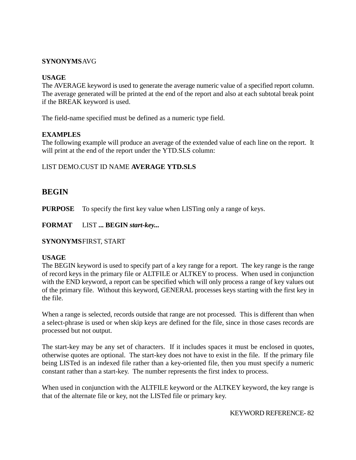## **SYNONYMS**AVG

### **USAGE**

The AVERAGE keyword is used to generate the average numeric value of a specified report column. The average generated will be printed at the end of the report and also at each subtotal break point if the BREAK keyword is used.

The field-name specified must be defined as a numeric type field.

# **EXAMPLES**

The following example will produce an average of the extended value of each line on the report. It will print at the end of the report under the YTD.SLS column:

## LIST DEMO.CUST ID NAME **AVERAGE YTD.SLS**

# **BEGIN**

**PURPOSE** To specify the first key value when LISTing only a range of keys.

**FORMAT** LIST **... BEGIN** *start-key...*

**SYNONYMS**FIRST, START

### **USAGE**

The BEGIN keyword is used to specify part of a key range for a report. The key range is the range of record keys in the primary file or ALTFILE or ALTKEY to process. When used in conjunction with the END keyword, a report can be specified which will only process a range of key values out of the primary file. Without this keyword, GENERAL processes keys starting with the first key in the file.

When a range is selected, records outside that range are not processed. This is different than when a select-phrase is used or when skip keys are defined for the file, since in those cases records are processed but not output.

The start-key may be any set of characters. If it includes spaces it must be enclosed in quotes, otherwise quotes are optional. The start-key does not have to exist in the file. If the primary file being LISTed is an indexed file rather than a key-oriented file, then you must specify a numeric constant rather than a start-key. The number represents the first index to process.

When used in conjunction with the ALTFILE keyword or the ALTKEY keyword, the key range is that of the alternate file or key, not the LISTed file or primary key.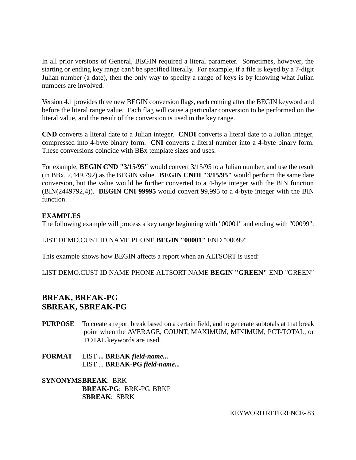In all prior versions of General, BEGIN required a literal parameter. Sometimes, however, the starting or ending key range can't be specified literally. For example, if a file is keyed by a 7-digit Julian number (a date), then the only way to specify a range of keys is by knowing what Julian numbers are involved.

Version 4.1 provides three new BEGIN conversion flags, each coming after the BEGIN keyword and before the literal range value. Each flag will cause a particular conversion to be performed on the literal value, and the result of the conversion is used in the key range.

**CND** converts a literal date to a Julian integer. **CNDI** converts a literal date to a Julian integer, compressed into 4-byte binary form. **CNI** converts a literal number into a 4-byte binary form. These conversions coincide with BBx template sizes and uses.

For example, **BEGIN CND "3/15/95"** would convert 3/15/95 to a Julian number, and use the result (in BBx, 2,449,792) as the BEGIN value. **BEGIN CNDI "3/15/95"** would perform the same date conversion, but the value would be further converted to a 4-byte integer with the BIN function (BIN(2449792,4)). **BEGIN CNI 99995** would convert 99,995 to a 4-byte integer with the BIN function.

# **EXAMPLES**

The following example will process a key range beginning with "00001" and ending with "00099":

LIST DEMO.CUST ID NAME PHONE **BEGIN "00001"** END "00099"

This example shows how BEGIN affects a report when an ALTSORT is used:

LIST DEMO.CUST ID NAME PHONE ALTSORT NAME **BEGIN "GREEN"** END "GREEN"

# **BREAK, BREAK-PG SBREAK, SBREAK-PG**

- **PURPOSE** To create a report break based on a certain field, and to generate subtotals at that break point when the AVERAGE, COUNT, MAXIMUM, MINIMUM, PCT-TOTAL, or TOTAL keywords are used.
- **FORMAT** LIST **... BREAK** *field-name...* LIST ... **BREAK-PG** *field-name...*

**SYNONYMSBREAK**: BRK **BREAK-PG**: BRK-PG, BRKP **SBREAK**: SBRK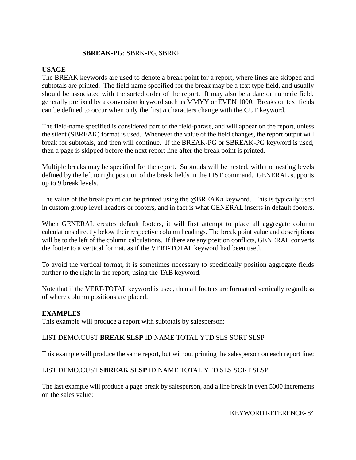## **SBREAK-PG**: SBRK-PG, SBRKP

#### **USAGE**

The BREAK keywords are used to denote a break point for a report, where lines are skipped and subtotals are printed. The field-name specified for the break may be a text type field, and usually should be associated with the sorted order of the report. It may also be a date or numeric field, generally prefixed by a conversion keyword such as MMYY or EVEN 1000. Breaks on text fields can be defined to occur when only the first *n* characters change with the CUT keyword.

The field-name specified is considered part of the field-phrase, and will appear on the report, unless the silent (SBREAK) format is used. Whenever the value of the field changes, the report output will break for subtotals, and then will continue. If the BREAK-PG or SBREAK-PG keyword is used, then a page is skipped before the next report line after the break point is printed.

Multiple breaks may be specified for the report. Subtotals will be nested, with the nesting levels defined by the left to right position of the break fields in the LIST command. GENERAL supports up to 9 break levels.

The value of the break point can be printed using the @BREAK*n* keyword. This is typically used in custom group level headers or footers, and in fact is what GENERAL inserts in default footers.

When GENERAL creates default footers, it will first attempt to place all aggregate column calculations directly below their respective column headings. The break point value and descriptions will be to the left of the column calculations. If there are any position conflicts, GENERAL converts the footer to a vertical format, as if the VERT-TOTAL keyword had been used.

To avoid the vertical format, it is sometimes necessary to specifically position aggregate fields further to the right in the report, using the TAB keyword.

Note that if the VERT-TOTAL keyword is used, then all footers are formatted vertically regardless of where column positions are placed.

### **EXAMPLES**

This example will produce a report with subtotals by salesperson:

### LIST DEMO.CUST **BREAK SLSP** ID NAME TOTAL YTD.SLS SORT SLSP

This example will produce the same report, but without printing the salesperson on each report line:

### LIST DEMO.CUST **SBREAK SLSP** ID NAME TOTAL YTD.SLS SORT SLSP

The last example will produce a page break by salesperson, and a line break in even 5000 increments on the sales value: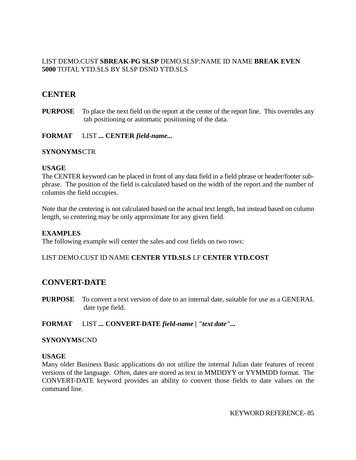# LIST DEMO.CUST **SBREAK-PG SLSP** DEMO.SLSP:NAME ID NAME **BREAK EVEN 5000** TOTAL YTD.SLS BY SLSP DSND YTD.SLS

# **CENTER**

**PURPOSE** To place the next field on the report at the center of the report line. This overrides any tab positioning or automatic positioning of the data.

**FORMAT** LIST **... CENTER** *field-name...*

### **SYNONYMS**CTR

#### **USAGE**

The CENTER keyword can be placed in front of any data field in a field phrase or header/footer subphrase. The position of the field is calculated based on the width of the report and the number of columns the field occupies.

Note that the centering is not calculated based on the actual text length, but instead based on column length, so centering may be only approximate for any given field.

#### **EXAMPLES**

The following example will center the sales and cost fields on two rows:

### LIST DEMO.CUST ID NAME **CENTER YTD.SLS** LF **CENTER YTD.COST**

# **CONVERT-DATE**

- **PURPOSE** To convert a text version of date to an internal date, suitable for use as a GENERAL date type field.
- **FORMAT** LIST **... CONVERT-DATE** *field-name | "text date"...*

#### **SYNONYMS**CND

#### **USAGE**

Many older Business Basic applications do not utilize the internal Julian date features of recent versions of the language. Often, dates are stored as text in MMDDYY or YYMMDD format. The CONVERT-DATE keyword provides an ability to convert those fields to date values on the command line.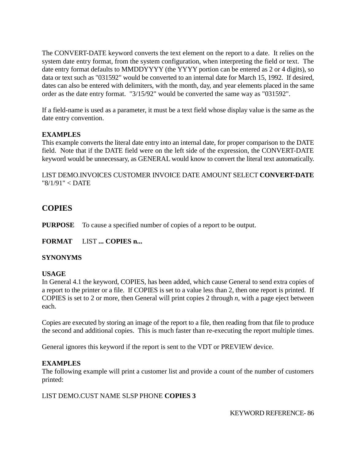The CONVERT-DATE keyword converts the text element on the report to a date. It relies on the system date entry format, from the system configuration, when interpreting the field or text. The date entry format defaults to MMDDYYYY (the YYYY portion can be entered as 2 or 4 digits), so data or text such as "031592" would be converted to an internal date for March 15, 1992. If desired, dates can also be entered with delimiters, with the month, day, and year elements placed in the same order as the date entry format. "3/15/92" would be converted the same way as "031592".

If a field-name is used as a parameter, it must be a text field whose display value is the same as the date entry convention.

# **EXAMPLES**

This example converts the literal date entry into an internal date, for proper comparison to the DATE field. Note that if the DATE field were on the left side of the expression, the CONVERT-DATE keyword would be unnecessary, as GENERAL would know to convert the literal text automatically.

LIST DEMO.INVOICES CUSTOMER INVOICE DATE AMOUNT SELECT **CONVERT-DATE** "8/1/91" < DATE

# **COPIES**

**PURPOSE** To cause a specified number of copies of a report to be output.

**FORMAT** LIST **... COPIES n...**

# **SYNONYMS**

### **USAGE**

In General 4.1 the keyword, COPIES, has been added, which cause General to send extra copies of a report to the printer or a file. If COPIES is set to a value less than 2, then one report is printed. If COPIES is set to 2 or more, then General will print copies 2 through *n*, with a page eject between each.

Copies are executed by storing an image of the report to a file, then reading from that file to produce the second and additional copies. This is much faster than re-executing the report multiple times.

General ignores this keyword if the report is sent to the VDT or PREVIEW device.

# **EXAMPLES**

The following example will print a customer list and provide a count of the number of customers printed:

# LIST DEMO.CUST NAME SLSP PHONE **COPIES 3**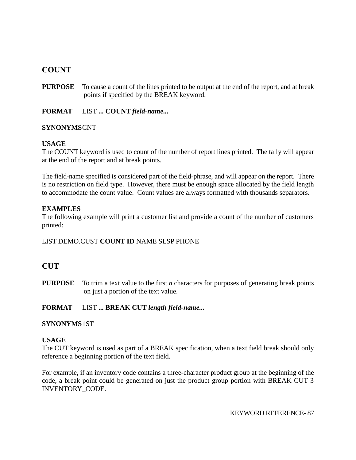# **COUNT**

**PURPOSE** To cause a count of the lines printed to be output at the end of the report, and at break points if specified by the BREAK keyword.

**FORMAT** LIST **... COUNT** *field-name...*

## **SYNONYMS**CNT

## **USAGE**

The COUNT keyword is used to count of the number of report lines printed. The tally will appear at the end of the report and at break points.

The field-name specified is considered part of the field-phrase, and will appear on the report. There is no restriction on field type. However, there must be enough space allocated by the field length to accommodate the count value. Count values are always formatted with thousands separators.

## **EXAMPLES**

The following example will print a customer list and provide a count of the number of customers printed:

# LIST DEMO.CUST **COUNT ID** NAME SLSP PHONE

# **CUT**

**PURPOSE** To trim a text value to the first *n* characters for purposes of generating break points on just a portion of the text value.

# **FORMAT** LIST **... BREAK CUT** *length field-name...*

### **SYNONYMS**1ST

### **USAGE**

The CUT keyword is used as part of a BREAK specification, when a text field break should only reference a beginning portion of the text field.

For example, if an inventory code contains a three-character product group at the beginning of the code, a break point could be generated on just the product group portion with BREAK CUT 3 INVENTORY\_CODE.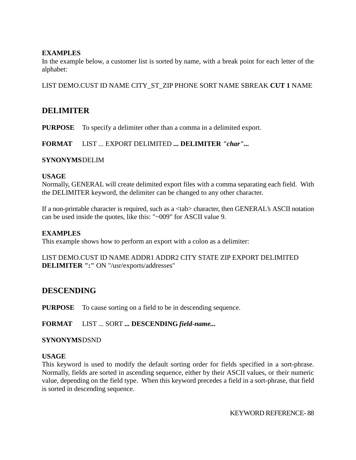# **EXAMPLES**

In the example below, a customer list is sorted by name, with a break point for each letter of the alphabet:

LIST DEMO.CUST ID NAME CITY\_ST\_ZIP PHONE SORT NAME SBREAK **CUT 1** NAME

# **DELIMITER**

**PURPOSE** To specify a delimiter other than a comma in a delimited export.

**FORMAT** LIST ... EXPORT DELIMITED **... DELIMITER** *"char"...*

### **SYNONYMS**DELIM

### **USAGE**

Normally, GENERAL will create delimited export files with a comma separating each field. With the DELIMITER keyword, the delimiter can be changed to any other character.

If a non-printable character is required, such as a <tab> character, then GENERAL's ASCII notation can be used inside the quotes, like this: "~009" for ASCII value 9.

### **EXAMPLES**

This example shows how to perform an export with a colon as a delimiter:

### LIST DEMO.CUST ID NAME ADDR1 ADDR2 CITY STATE ZIP EXPORT DELIMITED **DELIMITER ":"** ON "/usr/exports/addresses"

# **DESCENDING**

**PURPOSE** To cause sorting on a field to be in descending sequence.

### **FORMAT** LIST ... SORT **... DESCENDING** *field-name...*

### **SYNONYMS**DSND

#### **USAGE**

This keyword is used to modify the default sorting order for fields specified in a sort-phrase. Normally, fields are sorted in ascending sequence, either by their ASCII values, or their numeric value, depending on the field type. When this keyword precedes a field in a sort-phrase, that field is sorted in descending sequence.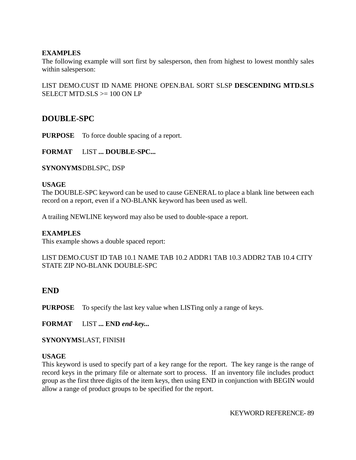# **EXAMPLES**

The following example will sort first by salesperson, then from highest to lowest monthly sales within salesperson:

LIST DEMO.CUST ID NAME PHONE OPEN.BAL SORT SLSP **DESCENDING MTD.SLS** SELECT MTD.SLS  $\ge$  100 ON LP

# **DOUBLE-SPC**

**PURPOSE** To force double spacing of a report.

**FORMAT** LIST **... DOUBLE-SPC...**

**SYNONYMS**DBLSPC, DSP

### **USAGE**

The DOUBLE-SPC keyword can be used to cause GENERAL to place a blank line between each record on a report, even if a NO-BLANK keyword has been used as well.

A trailing NEWLINE keyword may also be used to double-space a report.

## **EXAMPLES**

This example shows a double spaced report:

LIST DEMO.CUST ID TAB 10.1 NAME TAB 10.2 ADDR1 TAB 10.3 ADDR2 TAB 10.4 CITY STATE ZIP NO-BLANK DOUBLE-SPC

# **END**

**PURPOSE** To specify the last key value when LISTing only a range of keys.

**FORMAT** LIST **... END** *end-key...*

**SYNONYMS**LAST, FINISH

### **USAGE**

This keyword is used to specify part of a key range for the report. The key range is the range of record keys in the primary file or alternate sort to process. If an inventory file includes product group as the first three digits of the item keys, then using END in conjunction with BEGIN would allow a range of product groups to be specified for the report.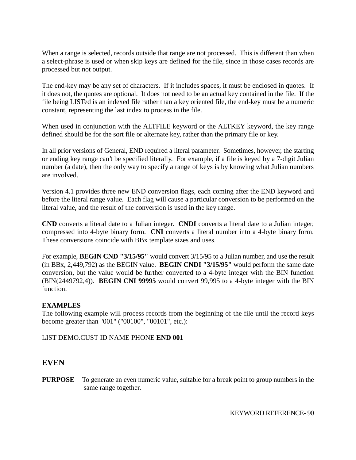When a range is selected, records outside that range are not processed. This is different than when a select-phrase is used or when skip keys are defined for the file, since in those cases records are processed but not output.

The end-key may be any set of characters. If it includes spaces, it must be enclosed in quotes. If it does not, the quotes are optional. It does not need to be an actual key contained in the file. If the file being LISTed is an indexed file rather than a key oriented file, the end-key must be a numeric constant, representing the last index to process in the file.

When used in conjunction with the ALTFILE keyword or the ALTKEY keyword, the key range defined should be for the sort file or alternate key, rather than the primary file or key.

In all prior versions of General, END required a literal parameter. Sometimes, however, the starting or ending key range can't be specified literally. For example, if a file is keyed by a 7-digit Julian number (a date), then the only way to specify a range of keys is by knowing what Julian numbers are involved.

Version 4.1 provides three new END conversion flags, each coming after the END keyword and before the literal range value. Each flag will cause a particular conversion to be performed on the literal value, and the result of the conversion is used in the key range.

**CND** converts a literal date to a Julian integer. **CNDI** converts a literal date to a Julian integer, compressed into 4-byte binary form. **CNI** converts a literal number into a 4-byte binary form. These conversions coincide with BBx template sizes and uses.

For example, **BEGIN CND "3/15/95"** would convert 3/15/95 to a Julian number, and use the result (in BBx, 2,449,792) as the BEGIN value. **BEGIN CNDI "3/15/95"** would perform the same date conversion, but the value would be further converted to a 4-byte integer with the BIN function (BIN(2449792,4)). **BEGIN CNI 99995** would convert 99,995 to a 4-byte integer with the BIN function.

# **EXAMPLES**

The following example will process records from the beginning of the file until the record keys become greater than "001" ("00100", "00101", etc.):

### LIST DEMO.CUST ID NAME PHONE **END 001**

# **EVEN**

**PURPOSE** To generate an even numeric value, suitable for a break point to group numbers in the same range together.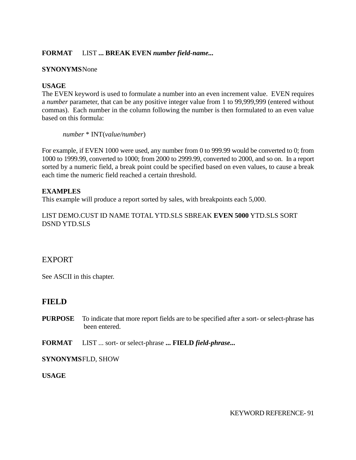# **FORMAT** LIST **... BREAK EVEN** *number field-name...*

### **SYNONYMS**None

# **USAGE**

The EVEN keyword is used to formulate a number into an even increment value. EVEN requires a *number* parameter, that can be any positive integer value from 1 to 99,999,999 (entered without commas). Each number in the column following the number is then formulated to an even value based on this formula:

#### *number* \* INT(*value/number*)

For example, if EVEN 1000 were used, any number from 0 to 999.99 would be converted to 0; from 1000 to 1999.99, converted to 1000; from 2000 to 2999.99, converted to 2000, and so on. In a report sorted by a numeric field, a break point could be specified based on even values, to cause a break each time the numeric field reached a certain threshold.

## **EXAMPLES**

This example will produce a report sorted by sales, with breakpoints each 5,000.

LIST DEMO.CUST ID NAME TOTAL YTD.SLS SBREAK **EVEN 5000** YTD.SLS SORT DSND YTD.SLS

# **EXPORT**

See ASCII in this chapter.

# **FIELD**

- **PURPOSE** To indicate that more report fields are to be specified after a sort- or select-phrase has been entered.
- **FORMAT** LIST ... sort- or select-phrase **... FIELD** *field-phrase...*

**SYNONYMS**FLD, SHOW

**USAGE**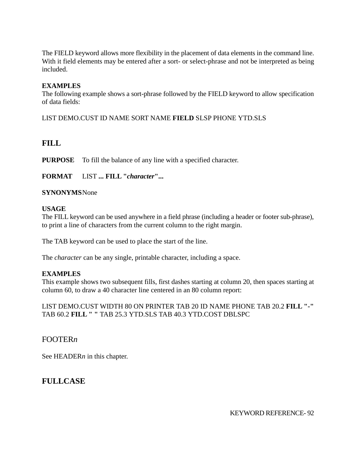The FIELD keyword allows more flexibility in the placement of data elements in the command line. With it field elements may be entered after a sort- or select-phrase and not be interpreted as being included.

# **EXAMPLES**

The following example shows a sort-phrase followed by the FIELD keyword to allow specification of data fields:

LIST DEMO.CUST ID NAME SORT NAME **FIELD** SLSP PHONE YTD.SLS

# **FILL**

**PURPOSE** To fill the balance of any line with a specified character.

**FORMAT** LIST **... FILL "***character***"...**

## **SYNONYMS**None

## **USAGE**

The FILL keyword can be used anywhere in a field phrase (including a header or footer sub-phrase), to print a line of characters from the current column to the right margin.

The TAB keyword can be used to place the start of the line.

The *character* can be any single, printable character, including a space.

# **EXAMPLES**

This example shows two subsequent fills, first dashes starting at column 20, then spaces starting at column 60, to draw a 40 character line centered in an 80 column report:

LIST DEMO.CUST WIDTH 80 ON PRINTER TAB 20 ID NAME PHONE TAB 20.2 **FILL "-"** TAB 60.2 **FILL " "** TAB 25.3 YTD.SLS TAB 40.3 YTD.COST DBLSPC

# FOOTER*n*

See HEADER*n* in this chapter.

# **FULLCASE**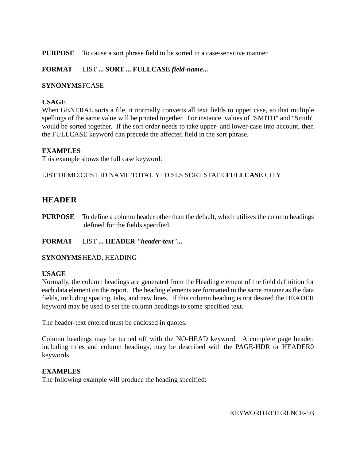**PURPOSE** To cause a sort phrase field to be sorted in a case-sensitive manner.

# **FORMAT** LIST **... SORT ... FULLCASE** *field-name***...**

## **SYNONYMS**FCASE

## **USAGE**

When GENERAL sorts a file, it normally converts all text fields to upper case, so that multiple spellings of the same value will be printed together. For instance, values of "SMITH" and "Smith" would be sorted together. If the sort order needs to take upper- and lower-case into account, then the FULLCASE keyword can precede the affected field in the sort phrase.

# **EXAMPLES**

This example shows the full case keyword:

LIST DEMO.CUST ID NAME TOTAL YTD.SLS SORT STATE **FULLCASE** CITY

# **HEADER**

**PURPOSE** To define a column header other than the default, which utilizes the column headings defined for the fields specified.

# **FORMAT** LIST **... HEADER** *"header-text"...*

# **SYNONYMS**HEAD, HEADING

### **USAGE**

Normally, the column headings are generated from the Heading element of the field definition for each data element on the report. The heading elements are formatted in the same manner as the data fields, including spacing, tabs, and new lines. If this column heading is not desired the HEADER keyword may be used to set the column headings to some specified text.

The header-text entered must be enclosed in quotes.

Column headings may be turned off with the NO-HEAD keyword. A complete page header, including titles and column headings, may be described with the PAGE-HDR or HEADER0 keywords.

### **EXAMPLES**

The following example will produce the heading specified: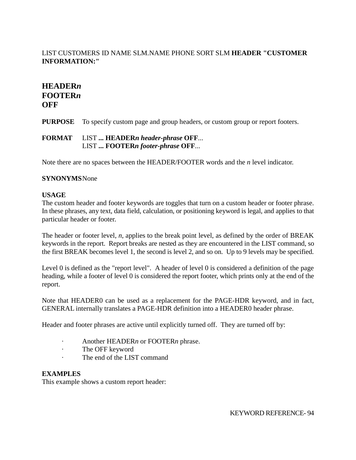# LIST CUSTOMERS ID NAME SLM.NAME PHONE SORT SLM **HEADER "CUSTOMER INFORMATION:"**

# **HEADER***n* **FOOTER***n* **OFF**

**PURPOSE** To specify custom page and group headers, or custom group or report footers.

# **FORMAT** LIST **... HEADER***n header-phrase* **OFF**... LIST **... FOOTER***n footer-phrase* **OFF**...

Note there are no spaces between the HEADER/FOOTER words and the *n* level indicator.

# **SYNONYMS**None

## **USAGE**

The custom header and footer keywords are toggles that turn on a custom header or footer phrase. In these phrases, any text, data field, calculation, or positioning keyword is legal, and applies to that particular header or footer.

The header or footer level, *n*, applies to the break point level, as defined by the order of BREAK keywords in the report. Report breaks are nested as they are encountered in the LIST command, so the first BREAK becomes level 1, the second is level 2, and so on. Up to 9 levels may be specified.

Level 0 is defined as the "report level". A header of level 0 is considered a definition of the page heading, while a footer of level 0 is considered the report footer, which prints only at the end of the report.

Note that HEADER0 can be used as a replacement for the PAGE-HDR keyword, and in fact, GENERAL internally translates a PAGE-HDR definition into a HEADER0 header phrase.

Header and footer phrases are active until explicitly turned off. They are turned off by:

- · Another HEADER*n* or FOOTER*n* phrase.
- The OFF keyword
- · The end of the LIST command

# **EXAMPLES**

This example shows a custom report header: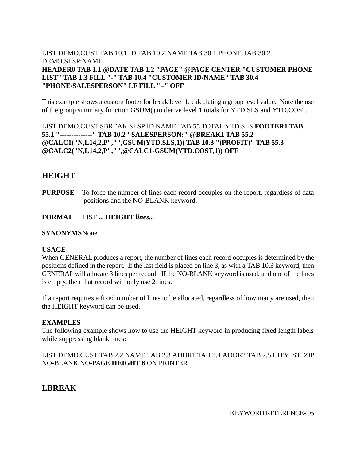# LIST DEMO.CUST TAB 10.1 ID TAB 10.2 NAME TAB 30.1 PHONE TAB 30.2 DEMO.SLSP:NAME **HEADER0 TAB 1.1 @DATE TAB 1.2 "PAGE" @PAGE CENTER "CUSTOMER PHONE LIST" TAB 1.3 FILL "-" TAB 10.4 "CUSTOMER ID/NAME" TAB 30.4 "PHONE/SALESPERSON" LF FILL "=" OFF**

This example shows a custom footer for break level 1, calculating a group level value. Note the use of the group summary function GSUM() to derive level 1 totals for YTD.SLS and YTD.COST.

LIST DEMO.CUST SBREAK SLSP ID NAME TAB 55 TOTAL YTD.SLS **FOOTER1 TAB 55.1 "--------------" TAB 10.2 "SALESPERSON:" @BREAK1 TAB 55.2 @CALC1("N,L14,2,P","",GSUM(YTD.SLS,1)) TAB 10.3 "(PROFIT)" TAB 55.3 @CALC2("N,L14,2,P","",@CALC1-GSUM(YTD.COST,1)) OFF**

# **HEIGHT**

**PURPOSE** To force the number of lines each record occupies on the report, regardless of data positions and the NO-BLANK keyword.

**FORMAT** LIST **... HEIGHT** *lines...*

### **SYNONYMS**None

### **USAGE**

When GENERAL produces a report, the number of lines each record occupies is determined by the positions defined in the report. If the last field is placed on line 3, as with a TAB 10.3 keyword, then GENERAL will allocate 3 lines per record. If the NO-BLANK keyword is used, and one of the lines is empty, then that record will only use 2 lines.

If a report requires a fixed number of lines to be allocated, regardless of how many are used, then the HEIGHT keyword can be used.

### **EXAMPLES**

The following example shows how to use the HEIGHT keyword in producing fixed length labels while suppressing blank lines:

LIST DEMO.CUST TAB 2.2 NAME TAB 2.3 ADDR1 TAB 2.4 ADDR2 TAB 2.5 CITY\_ST\_ZIP NO-BLANK NO-PAGE **HEIGHT 6** ON PRINTER

# **LBREAK**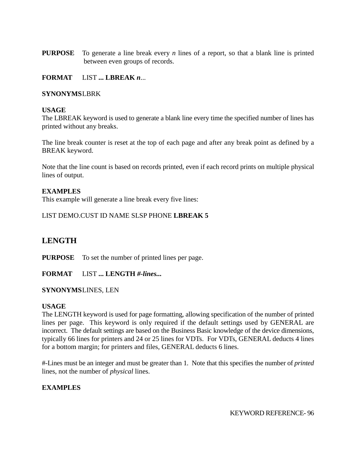**PURPOSE** To generate a line break every *n* lines of a report, so that a blank line is printed between even groups of records.

## **FORMAT** LIST **... LBREAK** *n*...

#### **SYNONYMS**LBRK

#### **USAGE**

The LBREAK keyword is used to generate a blank line every time the specified number of lines has printed without any breaks.

The line break counter is reset at the top of each page and after any break point as defined by a BREAK keyword.

Note that the line count is based on records printed, even if each record prints on multiple physical lines of output.

### **EXAMPLES**

This example will generate a line break every five lines:

### LIST DEMO.CUST ID NAME SLSP PHONE **LBREAK 5**

# **LENGTH**

**PURPOSE** To set the number of printed lines per page.

**FORMAT** LIST **... LENGTH** *#-lines...*

#### **SYNONYMS**LINES, LEN

#### **USAGE**

The LENGTH keyword is used for page formatting, allowing specification of the number of printed lines per page. This keyword is only required if the default settings used by GENERAL are incorrect. The default settings are based on the Business Basic knowledge of the device dimensions, typically 66 lines for printers and 24 or 25 lines for VDTs. For VDTs, GENERAL deducts 4 lines for a bottom margin; for printers and files, GENERAL deducts 6 lines.

#-Lines must be an integer and must be greater than 1. Note that this specifies the number of *printed* lines, not the number of *physical* lines.

### **EXAMPLES**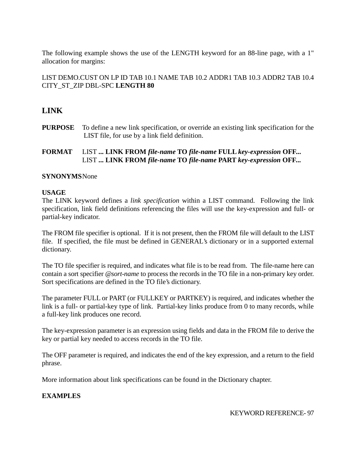The following example shows the use of the LENGTH keyword for an 88-line page, with a 1" allocation for margins:

LIST DEMO.CUST ON LP ID TAB 10.1 NAME TAB 10.2 ADDR1 TAB 10.3 ADDR2 TAB 10.4 CITY\_ST\_ZIP DBL-SPC **LENGTH 80**

# **LINK**

**PURPOSE** To define a new link specification, or override an existing link specification for the LIST file, for use by a link field definition.

# **FORMAT** LIST **... LINK FROM** *file-name* **TO** *file-name* **FULL** *key-expression* **OFF...** LIST **... LINK FROM** *file-name* **TO** *file-name* **PART** *key-expression* **OFF...**

# **SYNONYMS**None

## **USAGE**

The LINK keyword defines a *link specification* within a LIST command. Following the link specification, link field definitions referencing the files will use the key-expression and full- or partial-key indicator.

The FROM file specifier is optional. If it is not present, then the FROM file will default to the LIST file. If specified, the file must be defined in GENERAL's dictionary or in a supported external dictionary.

The TO file specifier is required, and indicates what file is to be read from. The file-name here can contain a sort specifier @*sort-name* to process the records in the TO file in a non-primary key order. Sort specifications are defined in the TO file's dictionary.

The parameter FULL or PART (or FULLKEY or PARTKEY) is required, and indicates whether the link is a full- or partial-key type of link. Partial-key links produce from 0 to many records, while a full-key link produces one record.

The key-expression parameter is an expression using fields and data in the FROM file to derive the key or partial key needed to access records in the TO file.

The OFF parameter is required, and indicates the end of the key expression, and a return to the field phrase.

More information about link specifications can be found in the Dictionary chapter.

# **EXAMPLES**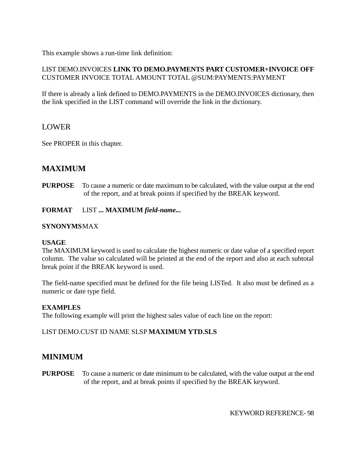This example shows a run-time link definition:

# LIST DEMO.INVOICES **LINK TO DEMO.PAYMENTS PART CUSTOMER+INVOICE OFF** CUSTOMER INVOICE TOTAL AMOUNT TOTAL @SUM:PAYMENTS:PAYMENT

If there is already a link defined to DEMO.PAYMENTS in the DEMO.INVOICES dictionary, then the link specified in the LIST command will override the link in the dictionary.

# LOWER

See PROPER in this chapter.

# **MAXIMUM**

**PURPOSE** To cause a numeric or date maximum to be calculated, with the value output at the end of the report, and at break points if specified by the BREAK keyword.

**FORMAT** LIST **... MAXIMUM** *field-name...*

## **SYNONYMS**MAX

### **USAGE**

The MAXIMUM keyword is used to calculate the highest numeric or date value of a specified report column. The value so calculated will be printed at the end of the report and also at each subtotal break point if the BREAK keyword is used.

The field-name specified must be defined for the file being LISTed. It also must be defined as a numeric or date type field.

### **EXAMPLES**

The following example will print the highest sales value of each line on the report:

# LIST DEMO.CUST ID NAME SLSP **MAXIMUM YTD.SLS**

# **MINIMUM**

**PURPOSE** To cause a numeric or date minimum to be calculated, with the value output at the end of the report, and at break points if specified by the BREAK keyword.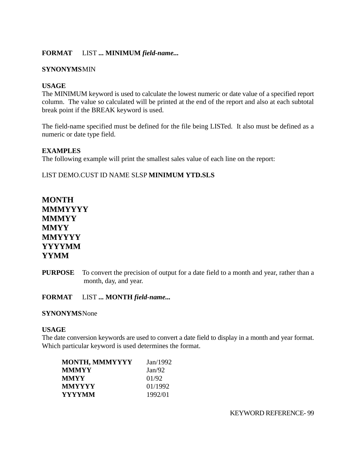# **FORMAT** LIST **... MINIMUM** *field-name...*

## **SYNONYMS**MIN

# **USAGE**

The MINIMUM keyword is used to calculate the lowest numeric or date value of a specified report column. The value so calculated will be printed at the end of the report and also at each subtotal break point if the BREAK keyword is used.

The field-name specified must be defined for the file being LISTed. It also must be defined as a numeric or date type field.

## **EXAMPLES**

The following example will print the smallest sales value of each line on the report:

# LIST DEMO.CUST ID NAME SLSP **MINIMUM YTD.SLS**

# **MONTH MMMYYYY MMMYY MMYY MMYYYY YYYYMM YYMM**

**PURPOSE** To convert the precision of output for a date field to a month and year, rather than a month, day, and year.

**FORMAT** LIST **... MONTH** *field-name...*

### **SYNONYMS**None

### **USAGE**

The date conversion keywords are used to convert a date field to display in a month and year format. Which particular keyword is used determines the format.

| MONTH, MMMYYYY | Jan/1992 |  |
|----------------|----------|--|
| MMMYY          | Jan/92   |  |
| MMYY           | 01/92    |  |
| MMYYYY         | 01/1992  |  |
| YYYYMM         | 1992/01  |  |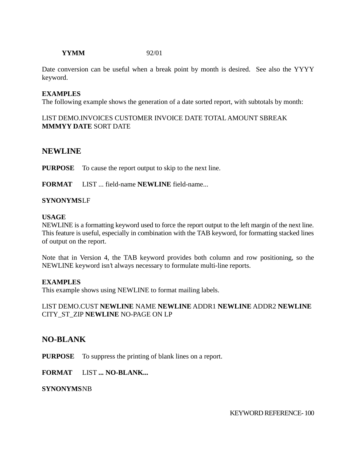## **YYMM** 92/01

Date conversion can be useful when a break point by month is desired. See also the YYYY keyword.

### **EXAMPLES**

The following example shows the generation of a date sorted report, with subtotals by month:

## LIST DEMO.INVOICES CUSTOMER INVOICE DATE TOTAL AMOUNT SBREAK **MMMYY DATE** SORT DATE

# **NEWLINE**

**PURPOSE** To cause the report output to skip to the next line.

**FORMAT** LIST ... field-name **NEWLINE** field-name...

### **SYNONYMS**LF

#### **USAGE**

NEWLINE is a formatting keyword used to force the report output to the left margin of the next line. This feature is useful, especially in combination with the TAB keyword, for formatting stacked lines of output on the report.

Note that in Version 4, the TAB keyword provides both column and row positioning, so the NEWLINE keyword isn't always necessary to formulate multi-line reports.

### **EXAMPLES**

This example shows using NEWLINE to format mailing labels.

### LIST DEMO.CUST **NEWLINE** NAME **NEWLINE** ADDR1 **NEWLINE** ADDR2 **NEWLINE** CITY\_ST\_ZIP **NEWLINE** NO-PAGE ON LP

# **NO-BLANK**

**PURPOSE** To suppress the printing of blank lines on a report.

### **FORMAT** LIST **... NO-BLANK...**

### **SYNONYMS**NB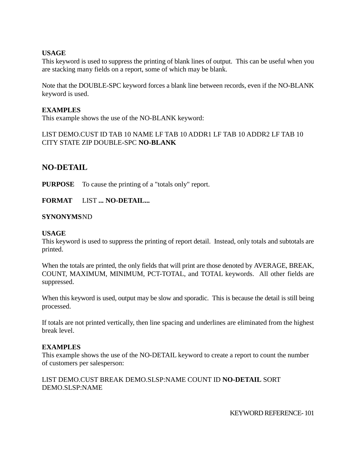## **USAGE**

This keyword is used to suppress the printing of blank lines of output. This can be useful when you are stacking many fields on a report, some of which may be blank.

Note that the DOUBLE-SPC keyword forces a blank line between records, even if the NO-BLANK keyword is used.

## **EXAMPLES**

This example shows the use of the NO-BLANK keyword:

LIST DEMO.CUST ID TAB 10 NAME LF TAB 10 ADDR1 LF TAB 10 ADDR2 LF TAB 10 CITY STATE ZIP DOUBLE-SPC **NO-BLANK**

# **NO-DETAIL**

**PURPOSE** To cause the printing of a "totals only" report.

**FORMAT** LIST **... NO-DETAIL...**

## **SYNONYMS**ND

### **USAGE**

This keyword is used to suppress the printing of report detail. Instead, only totals and subtotals are printed.

When the totals are printed, the only fields that will print are those denoted by AVERAGE, BREAK, COUNT, MAXIMUM, MINIMUM, PCT-TOTAL, and TOTAL keywords. All other fields are suppressed.

When this keyword is used, output may be slow and sporadic. This is because the detail is still being processed.

If totals are not printed vertically, then line spacing and underlines are eliminated from the highest break level.

### **EXAMPLES**

This example shows the use of the NO-DETAIL keyword to create a report to count the number of customers per salesperson:

LIST DEMO.CUST BREAK DEMO.SLSP:NAME COUNT ID **NO-DETAIL** SORT DEMO.SLSP:NAME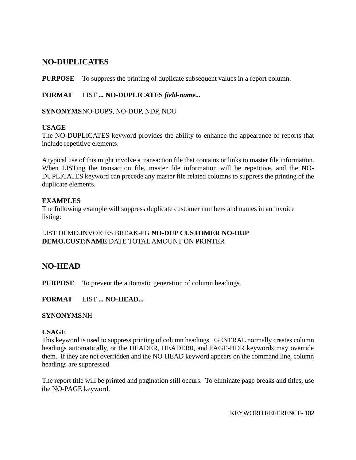# **NO-DUPLICATES**

**PURPOSE** To suppress the printing of duplicate subsequent values in a report column.

# **FORMAT** LIST **... NO-DUPLICATES** *field-name...*

**SYNONYMS**NO-DUPS, NO-DUP, NDP, NDU

## **USAGE**

The NO-DUPLICATES keyword provides the ability to enhance the appearance of reports that include repetitive elements.

A typical use of this might involve a transaction file that contains or links to master file information. When LISTing the transaction file, master file information will be repetitive, and the NO-DUPLICATES keyword can precede any master file related columns to suppress the printing of the duplicate elements.

# **EXAMPLES**

The following example will suppress duplicate customer numbers and names in an invoice listing:

# LIST DEMO.INVOICES BREAK-PG **NO-DUP CUSTOMER NO-DUP DEMO.CUST:NAME** DATE TOTAL AMOUNT ON PRINTER

# **NO-HEAD**

**PURPOSE** To prevent the automatic generation of column headings.

**FORMAT** LIST **... NO-HEAD...**

### **SYNONYMS**NH

### **USAGE**

This keyword is used to suppress printing of column headings. GENERAL normally creates column headings automatically, or the HEADER, HEADER0, and PAGE-HDR keywords may override them. If they are not overridden and the NO-HEAD keyword appears on the command line, column headings are suppressed.

The report title will be printed and pagination still occurs. To eliminate page breaks and titles, use the NO-PAGE keyword.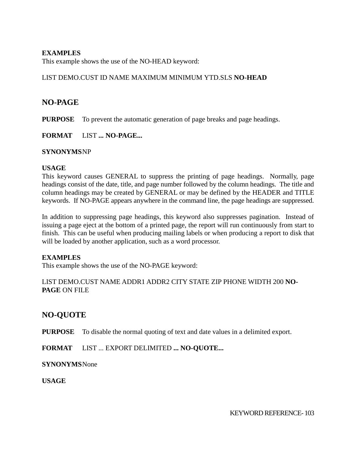## **EXAMPLES**

This example shows the use of the NO-HEAD keyword:

## LIST DEMO.CUST ID NAME MAXIMUM MINIMUM YTD.SLS **NO-HEAD**

# **NO-PAGE**

**PURPOSE** To prevent the automatic generation of page breaks and page headings.

**FORMAT** LIST **... NO-PAGE...**

### **SYNONYMS**NP

### **USAGE**

This keyword causes GENERAL to suppress the printing of page headings. Normally, page headings consist of the date, title, and page number followed by the column headings. The title and column headings may be created by GENERAL or may be defined by the HEADER and TITLE keywords. If NO-PAGE appears anywhere in the command line, the page headings are suppressed.

In addition to suppressing page headings, this keyword also suppresses pagination. Instead of issuing a page eject at the bottom of a printed page, the report will run continuously from start to finish. This can be useful when producing mailing labels or when producing a report to disk that will be loaded by another application, such as a word processor.

### **EXAMPLES**

This example shows the use of the NO-PAGE keyword:

## LIST DEMO.CUST NAME ADDR1 ADDR2 CITY STATE ZIP PHONE WIDTH 200 **NO-PAGE** ON FILE

# **NO-QUOTE**

**PURPOSE** To disable the normal quoting of text and date values in a delimited export.

**FORMAT** LIST ... EXPORT DELIMITED **... NO-QUOTE...**

### **SYNONYMS**None

**USAGE**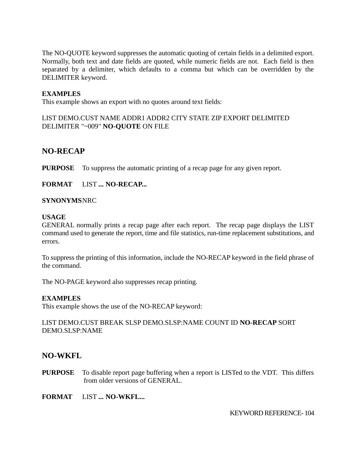The NO-QUOTE keyword suppresses the automatic quoting of certain fields in a delimited export. Normally, both text and date fields are quoted, while numeric fields are not. Each field is then separated by a delimiter, which defaults to a comma but which can be overridden by the DELIMITER keyword.

## **EXAMPLES**

This example shows an export with no quotes around text fields:

LIST DEMO.CUST NAME ADDR1 ADDR2 CITY STATE ZIP EXPORT DELIMITED DELIMITER "~009" **NO-QUOTE** ON FILE

# **NO-RECAP**

**PURPOSE** To suppress the automatic printing of a recap page for any given report.

**FORMAT** LIST **... NO-RECAP...**

#### **SYNONYMS**NRC

#### **USAGE**

GENERAL normally prints a recap page after each report. The recap page displays the LIST command used to generate the report, time and file statistics, run-time replacement substitutions, and errors.

To suppress the printing of this information, include the NO-RECAP keyword in the field phrase of the command.

The NO-PAGE keyword also suppresses recap printing.

### **EXAMPLES**

This example shows the use of the NO-RECAP keyword:

LIST DEMO.CUST BREAK SLSP DEMO.SLSP:NAME COUNT ID **NO-RECAP** SORT DEMO.SLSP:NAME

# **NO-WKFL**

**PURPOSE** To disable report page buffering when a report is LISTed to the VDT. This differs from older versions of GENERAL.

**FORMAT** LIST **... NO-WKFL...**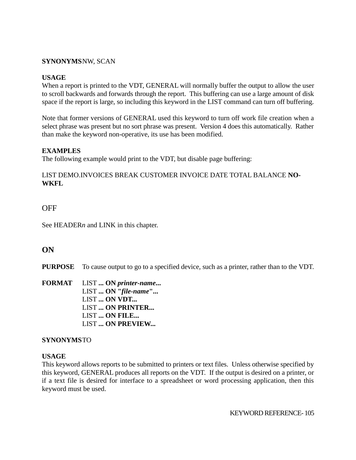## **SYNONYMS**NW, SCAN

### **USAGE**

When a report is printed to the VDT, GENERAL will normally buffer the output to allow the user to scroll backwards and forwards through the report. This buffering can use a large amount of disk space if the report is large, so including this keyword in the LIST command can turn off buffering.

Note that former versions of GENERAL used this keyword to turn off work file creation when a select phrase was present but no sort phrase was present. Version 4 does this automatically. Rather than make the keyword non-operative, its use has been modified.

## **EXAMPLES**

The following example would print to the VDT, but disable page buffering:

## LIST DEMO.INVOICES BREAK CUSTOMER INVOICE DATE TOTAL BALANCE **NO-WKFL**

# **OFF**

See HEADER*n* and LINK in this chapter.

# **ON**

**PURPOSE** To cause output to go to a specified device, such as a printer, rather than to the VDT.

**FORMAT** LIST **... ON** *printer-name***...** LIST **... ON "***file-name***"...** LIST **... ON VDT...** LIST **... ON PRINTER...** LIST **... ON FILE...** LIST **... ON PREVIEW...**

### **SYNONYMS**TO

### **USAGE**

This keyword allows reports to be submitted to printers or text files. Unless otherwise specified by this keyword, GENERAL produces all reports on the VDT. If the output is desired on a printer, or if a text file is desired for interface to a spreadsheet or word processing application, then this keyword must be used.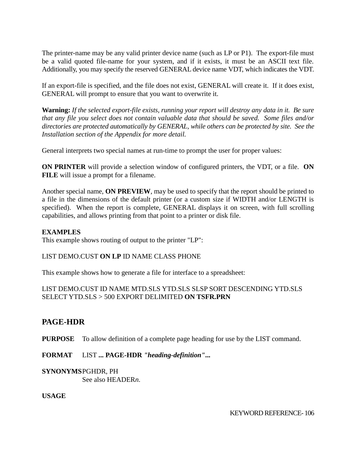The printer-name may be any valid printer device name (such as LP or P1). The export-file must be a valid quoted file-name for your system, and if it exists, it must be an ASCII text file. Additionally, you may specify the reserved GENERAL device name VDT, which indicates the VDT.

If an export-file is specified, and the file does not exist, GENERAL will create it. If it does exist, GENERAL will prompt to ensure that you want to overwrite it.

**Warning:** *If the selected export-file exists, running your report will destroy any data in it. Be sure that any file you select does not contain valuable data that should be saved. Some files and/or directories are protected automatically by GENERAL, while others can be protected by site. See the Installation section of the Appendix for more detail.*

General interprets two special names at run-time to prompt the user for proper values:

**ON PRINTER** will provide a selection window of configured printers, the VDT, or a file. **ON FILE** will issue a prompt for a filename.

Another special name, **ON PREVIEW**, may be used to specify that the report should be printed to a file in the dimensions of the default printer (or a custom size if WIDTH and/or LENGTH is specified). When the report is complete, GENERAL displays it on screen, with full scrolling capabilities, and allows printing from that point to a printer or disk file.

### **EXAMPLES**

This example shows routing of output to the printer "LP":

### LIST DEMO.CUST **ON LP** ID NAME CLASS PHONE

This example shows how to generate a file for interface to a spreadsheet:

## LIST DEMO.CUST ID NAME MTD.SLS YTD.SLS SLSP SORT DESCENDING YTD.SLS SELECT YTD.SLS > 500 EXPORT DELIMITED **ON TSFR.PRN**

# **PAGE-HDR**

**PURPOSE** To allow definition of a complete page heading for use by the LIST command.

**FORMAT** LIST **... PAGE-HDR** *"heading-definition"***...**

# **SYNONYMS**PGHDR, PH

See also HEADER*n*.

**USAGE**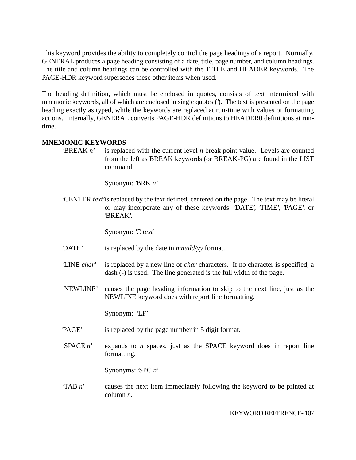This keyword provides the ability to completely control the page headings of a report. Normally, GENERAL produces a page heading consisting of a date, title, page number, and column headings. The title and column headings can be controlled with the TITLE and HEADER keywords. The PAGE-HDR keyword supersedes these other items when used.

The heading definition, which must be enclosed in quotes, consists of text intermixed with mnemonic keywords, all of which are enclosed in single quotes ('). The text is presented on the page heading exactly as typed, while the keywords are replaced at run-time with values or formatting actions. Internally, GENERAL converts PAGE-HDR definitions to HEADER0 definitions at runtime.

## **MNEMONIC KEYWORDS**

 $BREAK n'$  is replaced with the current level *n* break point value. Levels are counted from the left as BREAK keywords (or BREAK-PG) are found in the LIST command.

Synonym: 'BRK *n*'

'CENTER *text*'is replaced by the text defined, centered on the page. The text may be literal or may incorporate any of these keywords: 'DATE', 'TIME', 'PAGE', or 'BREAK'.

Synonym: 'C *text*'

- 'DATE' is replaced by the date in *mm/dd/yy* format.
- 'LINE *char*' is replaced by a new line of *char* characters. If no character is specified, a dash (-) is used. The line generated is the full width of the page.
- 'NEWLINE' causes the page heading information to skip to the next line, just as the NEWLINE keyword does with report line formatting.

Synonym: 'LF'

- 'PAGE' is replaced by the page number in 5 digit format.
- $S$  PACE *n*' expands to *n* spaces, just as the SPACE keyword does in report lineformatting.

Synonyms: 'SPC *n*'

'TAB *n*' causes the next item immediately following the keyword to be printed at column *n*.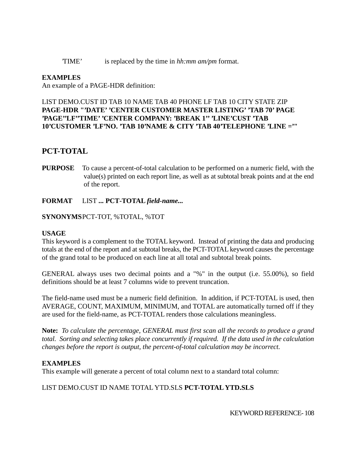'TIME' is replaced by the time in *hh:mm am/pm* format.

## **EXAMPLES**

An example of a PAGE-HDR definition:

## LIST DEMO.CUST ID TAB 10 NAME TAB 40 PHONE LF TAB 10 CITY STATE ZIP **PAGE-HDR "'DATE' 'CENTER CUSTOMER MASTER LISTING' 'TAB 70' PAGE 'PAGE''LF''TIME' 'CENTER COMPANY: 'BREAK 1'' 'LINE'CUST 'TAB 10'CUSTOMER 'LF'NO. 'TAB 10'NAME & CITY 'TAB 40'TELEPHONE 'LINE ='"**

# **PCT-TOTAL**

**PURPOSE** To cause a percent-of-total calculation to be performed on a numeric field, with the value(s) printed on each report line, as well as at subtotal break points and at the end of the report.

### **FORMAT** LIST **... PCT-TOTAL** *field-name...*

### **SYNONYMS**PCT-TOT, %TOTAL, %TOT

#### **USAGE**

This keyword is a complement to the TOTAL keyword. Instead of printing the data and producing totals at the end of the report and at subtotal breaks, the PCT-TOTAL keyword causes the percentage of the grand total to be produced on each line at all total and subtotal break points.

GENERAL always uses two decimal points and a "%" in the output (i.e. 55.00%), so field definitions should be at least 7 columns wide to prevent truncation.

The field-name used must be a numeric field definition. In addition, if PCT-TOTAL is used, then AVERAGE, COUNT, MAXIMUM, MINIMUM, and TOTAL are automatically turned off if they are used for the field-name, as PCT-TOTAL renders those calculations meaningless.

**Note:** *To calculate the percentage, GENERAL must first scan all the records to produce a grand total. Sorting and selecting takes place concurrently if required. If the data used in the calculation changes before the report is output, the percent-of-total calculation may be incorrect.*

### **EXAMPLES**

This example will generate a percent of total column next to a standard total column:

# LIST DEMO.CUST ID NAME TOTAL YTD.SLS **PCT-TOTAL YTD.SLS**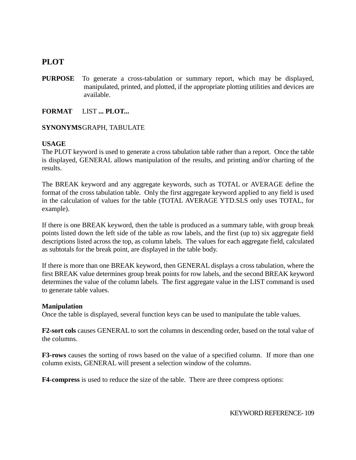## **PLOT**

**PURPOSE** To generate a cross-tabulation or summary report, which may be displayed, manipulated, printed, and plotted, if the appropriate plotting utilities and devices are available.

**FORMAT** LIST **... PLOT...**

#### **SYNONYMS**GRAPH, TABULATE

#### **USAGE**

The PLOT keyword is used to generate a cross tabulation table rather than a report. Once the table is displayed, GENERAL allows manipulation of the results, and printing and/or charting of the results.

The BREAK keyword and any aggregate keywords, such as TOTAL or AVERAGE define the format of the cross tabulation table. Only the first aggregate keyword applied to any field is used in the calculation of values for the table (TOTAL AVERAGE YTD.SLS only uses TOTAL, for example).

If there is one BREAK keyword, then the table is produced as a summary table, with group break points listed down the left side of the table as row labels, and the first (up to) six aggregate field descriptions listed across the top, as column labels. The values for each aggregate field, calculated as subtotals for the break point, are displayed in the table body.

If there is more than one BREAK keyword, then GENERAL displays a cross tabulation, where the first BREAK value determines group break points for row labels, and the second BREAK keyword determines the value of the column labels. The first aggregate value in the LIST command is used to generate table values.

#### **Manipulation**

Once the table is displayed, several function keys can be used to manipulate the table values.

**F2-sort cols** causes GENERAL to sort the columns in descending order, based on the total value of the columns.

**F3-rows** causes the sorting of rows based on the value of a specified column. If more than one column exists, GENERAL will present a selection window of the columns.

**F4-compress** is used to reduce the size of the table. There are three compress options: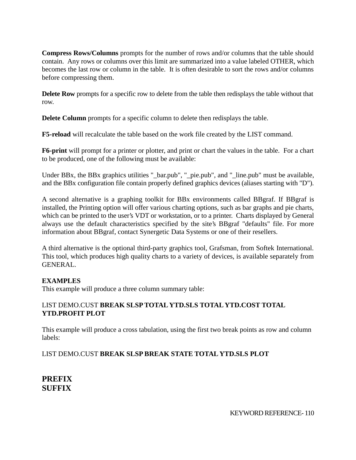**Compress Rows/Columns** prompts for the number of rows and/or columns that the table should contain. Any rows or columns over this limit are summarized into a value labeled OTHER, which becomes the last row or column in the table. It is often desirable to sort the rows and/or columns before compressing them.

**Delete Row** prompts for a specific row to delete from the table then redisplays the table without that row.

**Delete Column** prompts for a specific column to delete then redisplays the table.

**F5-reload** will recalculate the table based on the work file created by the LIST command.

**F6-print** will prompt for a printer or plotter, and print or chart the values in the table. For a chart to be produced, one of the following must be available:

Under BBx, the BBx graphics utilities "\_bar.pub", "\_pie.pub", and "\_line.pub" must be available, and the BBx configuration file contain properly defined graphics devices (aliases starting with "D").

A second alternative is a graphing toolkit for BBx environments called BBgraf. If BBgraf is installed, the Printing option will offer various charting options, such as bar graphs and pie charts, which can be printed to the user's VDT or workstation, or to a printer. Charts displayed by General always use the default characteristics specified by the site's BBgraf "defaults" file. For more information about BBgraf, contact Synergetic Data Systems or one of their resellers.

A third alternative is the optional third-party graphics tool, Grafsman, from Softek International. This tool, which produces high quality charts to a variety of devices, is available separately from GENERAL.

## **EXAMPLES**

This example will produce a three column summary table:

## LIST DEMO.CUST **BREAK SLSP TOTAL YTD.SLS TOTAL YTD.COST TOTAL YTD.PROFIT PLOT**

This example will produce a cross tabulation, using the first two break points as row and column labels:

## LIST DEMO.CUST **BREAK SLSP BREAK STATE TOTAL YTD.SLS PLOT**

**PREFIX SUFFIX**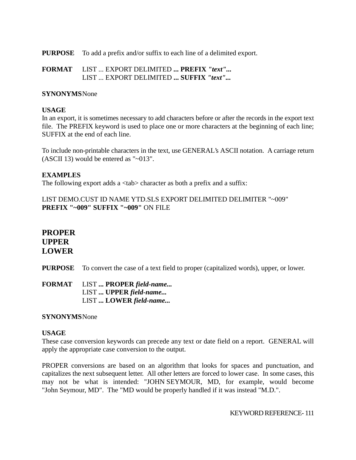**PURPOSE** To add a prefix and/or suffix to each line of a delimited export.

**FORMAT** LIST ... EXPORT DELIMITED **... PREFIX** *"text"...* LIST ... EXPORT DELIMITED **... SUFFIX** *"text"...*

#### **SYNONYMS**None

#### **USAGE**

In an export, it is sometimes necessary to add characters before or after the records in the export text file. The PREFIX keyword is used to place one or more characters at the beginning of each line; SUFFIX at the end of each line.

To include non-printable characters in the text, use GENERAL's ASCII notation. A carriage return (ASCII 13) would be entered as "~013".

#### **EXAMPLES**

The following export adds a  $\langle$ tab $\rangle$  character as both a prefix and a suffix:

LIST DEMO.CUST ID NAME YTD.SLS EXPORT DELIMITED DELIMITER "~009" **PREFIX "~009" SUFFIX "~009"** ON FILE

## **PROPER UPPER LOWER**

**PURPOSE** To convert the case of a text field to proper (capitalized words), upper, or lower.

**FORMAT** LIST **... PROPER** *field-name...* LIST **... UPPER** *field-name...* LIST **... LOWER** *field-name...*

#### **SYNONYMS**None

#### **USAGE**

These case conversion keywords can precede any text or date field on a report. GENERAL will apply the appropriate case conversion to the output.

PROPER conversions are based on an algorithm that looks for spaces and punctuation, and capitalizes the next subsequent letter. All other letters are forced to lower case. In some cases, this may not be what is intended: "JOHN SEYMOUR, MD, for example, would become "John Seymour, MD". The "MD would be properly handled if it was instead "M.D.".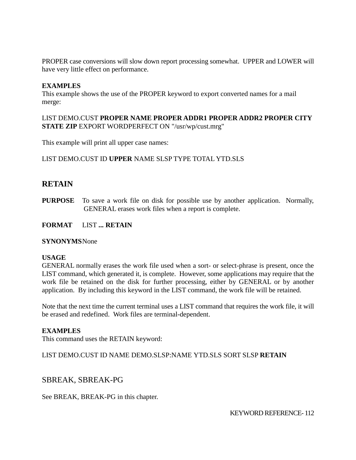PROPER case conversions will slow down report processing somewhat. UPPER and LOWER will have very little effect on performance.

#### **EXAMPLES**

This example shows the use of the PROPER keyword to export converted names for a mail merge:

#### LIST DEMO.CUST **PROPER NAME PROPER ADDR1 PROPER ADDR2 PROPER CITY STATE ZIP** EXPORT WORDPERFECT ON "/usr/wp/cust.mrg"

This example will print all upper case names:

#### LIST DEMO.CUST ID **UPPER** NAME SLSP TYPE TOTAL YTD.SLS

## **RETAIN**

**PURPOSE** To save a work file on disk for possible use by another application. Normally, GENERAL erases work files when a report is complete.

#### **FORMAT** LIST **... RETAIN**

#### **SYNONYMS**None

#### **USAGE**

GENERAL normally erases the work file used when a sort- or select-phrase is present, once the LIST command, which generated it, is complete. However, some applications may require that the work file be retained on the disk for further processing, either by GENERAL or by another application. By including this keyword in the LIST command, the work file will be retained.

Note that the next time the current terminal uses a LIST command that requires the work file, it will be erased and redefined. Work files are terminal-dependent.

#### **EXAMPLES**

This command uses the RETAIN keyword:

#### LIST DEMO.CUST ID NAME DEMO.SLSP:NAME YTD.SLS SORT SLSP **RETAIN**

## SBREAK, SBREAK-PG

#### See BREAK, BREAK-PG in this chapter.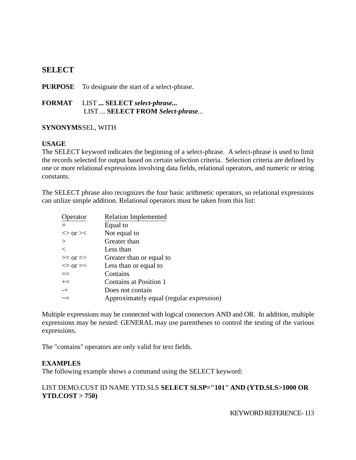## **SELECT**

**PURPOSE** To designate the start of a select-phrase.

**FORMAT** LIST **... SELECT** *select-phrase...* LIST ... **SELECT FROM** *Select-phrase*...

## **SYNONYMS**SEL, WITH

#### **USAGE**

The SELECT keyword indicates the beginning of a select-phrase. A select-phrase is used to limit the records selected for output based on certain selection criteria. Selection criteria are defined by one or more relational expressions involving data fields, relational operators, and numeric or string constants.

The SELECT phrase also recognizes the four basic arithmetic operators, so relational expressions can utilize simple addition. Relational operators must be taken from this list:

| perator                | <b>Relation Implemented</b>              |
|------------------------|------------------------------------------|
|                        | Equal to                                 |
| $\langle$ or $\rangle$ | Not equal to                             |
| $\rm{>}$               | Greater than                             |
| $\,<\,$                | Less than                                |
| $>=$ or $=$            | Greater than or equal to                 |
| $\leq$ or $=\leq$      | Less than or equal to                    |
| $==$                   | Contains                                 |
| $+=$                   | Contains at Position 1                   |
| $=$                    | Does not contain                         |
| $\sim =$               | Approximately equal (regular expression) |
|                        |                                          |

Multiple expressions may be connected with logical connectors AND and OR. In addition, multiple expressions may be nested: GENERAL may use parentheses to control the testing of the various expressions.

The "contains" operators are only valid for text fields.

## **EXAMPLES**

The following example shows a command using the SELECT keyword:

## LIST DEMO.CUST ID NAME YTD.SLS **SELECT SLSP="101" AND (YTD.SLS>1000 OR YTD.COST > 750)**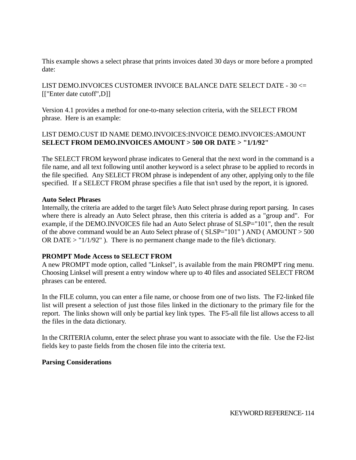This example shows a select phrase that prints invoices dated 30 days or more before a prompted date:

LIST DEMO.INVOICES CUSTOMER INVOICE BALANCE DATE SELECT DATE - 30 <= [["Enter date cutoff",D]]

Version 4.1 provides a method for one-to-many selection criteria, with the SELECT FROM phrase. Here is an example:

## LIST DEMO.CUST ID NAME DEMO.INVOICES:INVOICE DEMO.INVOICES:AMOUNT **SELECT FROM DEMO.INVOICES AMOUNT > 500 OR DATE > "1/1/92"**

The SELECT FROM keyword phrase indicates to General that the next word in the command is a file name, and all text following until another keyword is a select phrase to be applied to records in the file specified. Any SELECT FROM phrase is independent of any other, applying only to the file specified. If a SELECT FROM phrase specifies a file that isn't used by the report, it is ignored.

#### **Auto Select Phrases**

Internally, the criteria are added to the target file's Auto Select phrase during report parsing. In cases where there is already an Auto Select phrase, then this criteria is added as a "group and". For example, if the DEMO.INVOICES file had an Auto Select phrase of SLSP="101", then the result of the above command would be an Auto Select phrase of ( SLSP="101" ) AND ( AMOUNT > 500 OR DATE  $>$  "1/1/92"). There is no permanent change made to the file's dictionary.

## **PROMPT Mode Access to SELECT FROM**

A new PROMPT mode option, called "Linksel", is available from the main PROMPT ring menu. Choosing Linksel will present a entry window where up to 40 files and associated SELECT FROM phrases can be entered.

In the FILE column, you can enter a file name, or choose from one of two lists. The F2-linked file list will present a selection of just those files linked in the dictionary to the primary file for the report. The links shown will only be partial key link types. The F5-all file list allows access to all the files in the data dictionary.

In the CRITERIA column, enter the select phrase you want to associate with the file. Use the F2-list fields key to paste fields from the chosen file into the criteria text.

#### **Parsing Considerations**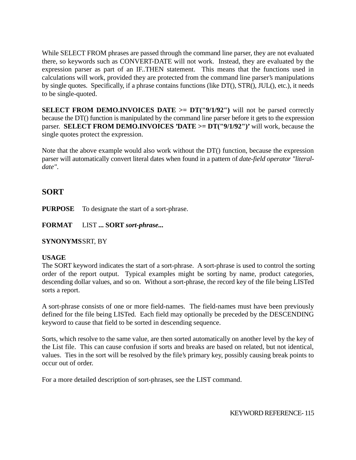While SELECT FROM phrases are passed through the command line parser, they are not evaluated there, so keywords such as CONVERT-DATE will not work. Instead, they are evaluated by the expression parser as part of an IF..THEN statement. This means that the functions used in calculations will work, provided they are protected from the command line parser's manipulations by single quotes. Specifically, if a phrase contains functions (like DT(), STR(), JUL(), etc.), it needs to be single-quoted.

**SELECT FROM DEMO.INVOICES DATE**  $>= D T("9/1/92")$  will not be parsed correctly because the DT() function is manipulated by the command line parser before it gets to the expression parser. **SELECT FROM DEMO.INVOICES 'DATE >= DT("9/1/92")'** will work, because the single quotes protect the expression.

Note that the above example would also work without the DT() function, because the expression parser will automatically convert literal dates when found in a pattern of *date-field operator "literaldate"*.

## **SORT**

**PURPOSE** To designate the start of a sort-phrase.

**FORMAT** LIST **... SORT** *sort-phrase...*

## **SYNONYMS**SRT, BY

## **USAGE**

The SORT keyword indicates the start of a sort-phrase. A sort-phrase is used to control the sorting order of the report output. Typical examples might be sorting by name, product categories, descending dollar values, and so on. Without a sort-phrase, the record key of the file being LISTed sorts a report.

A sort-phrase consists of one or more field-names. The field-names must have been previously defined for the file being LISTed. Each field may optionally be preceded by the DESCENDING keyword to cause that field to be sorted in descending sequence.

Sorts, which resolve to the same value, are then sorted automatically on another level by the key of the List file. This can cause confusion if sorts and breaks are based on related, but not identical, values. Ties in the sort will be resolved by the file's primary key, possibly causing break points to occur out of order.

For a more detailed description of sort-phrases, see the LIST command.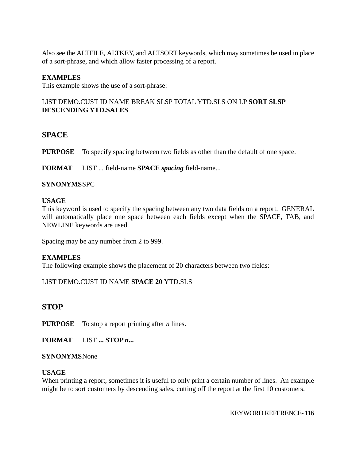Also see the ALTFILE, ALTKEY, and ALTSORT keywords, which may sometimes be used in place of a sort-phrase, and which allow faster processing of a report.

### **EXAMPLES**

This example shows the use of a sort-phrase:

## LIST DEMO.CUST ID NAME BREAK SLSP TOTAL YTD.SLS ON LP **SORT SLSP DESCENDING YTD.SALES**

## **SPACE**

**PURPOSE** To specify spacing between two fields as other than the default of one space.

**FORMAT** LIST ... field-name **SPACE** *spacing* field-name...

#### **SYNONYMS**SPC

#### **USAGE**

This keyword is used to specify the spacing between any two data fields on a report. GENERAL will automatically place one space between each fields except when the SPACE, TAB, and NEWLINE keywords are used.

Spacing may be any number from 2 to 999.

#### **EXAMPLES**

The following example shows the placement of 20 characters between two fields:

#### LIST DEMO.CUST ID NAME **SPACE 20** YTD.SLS

## **STOP**

**PURPOSE** To stop a report printing after *n* lines.

**FORMAT** LIST **... STOP** *n...*

#### **SYNONYMS**None

#### **USAGE**

When printing a report, sometimes it is useful to only print a certain number of lines. An example might be to sort customers by descending sales, cutting off the report at the first 10 customers.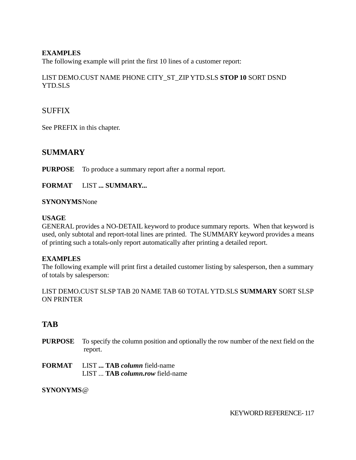## **EXAMPLES**

The following example will print the first 10 lines of a customer report:

## LIST DEMO.CUST NAME PHONE CITY\_ST\_ZIP YTD.SLS **STOP 10** SORT DSND YTD.SLS

## **SUFFIX**

See PREFIX in this chapter.

## **SUMMARY**

**PURPOSE** To produce a summary report after a normal report.

**FORMAT** LIST **... SUMMARY...**

#### **SYNONYMS**None

#### **USAGE**

GENERAL provides a NO-DETAIL keyword to produce summary reports. When that keyword is used, only subtotal and report-total lines are printed. The SUMMARY keyword provides a means of printing such a totals-only report automatically after printing a detailed report.

## **EXAMPLES**

The following example will print first a detailed customer listing by salesperson, then a summary of totals by salesperson:

LIST DEMO.CUST SLSP TAB 20 NAME TAB 60 TOTAL YTD.SLS **SUMMARY** SORT SLSP ON PRINTER

## **TAB**

- **PURPOSE** To specify the column position and optionally the row number of the next field on the report.
- **FORMAT** LIST **... TAB** *column* field-name LIST ... **TAB** *column.row* field-name

#### **SYNONYMS**@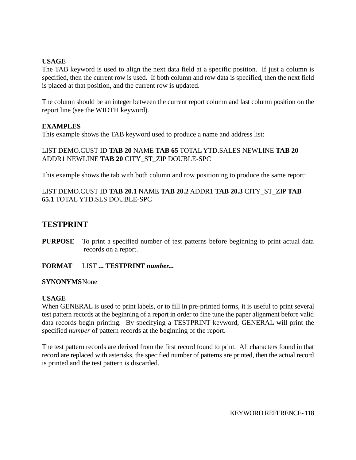### **USAGE**

The TAB keyword is used to align the next data field at a specific position. If just a column is specified, then the current row is used. If both column and row data is specified, then the next field is placed at that position, and the current row is updated.

The column should be an integer between the current report column and last column position on the report line (see the WIDTH keyword).

#### **EXAMPLES**

This example shows the TAB keyword used to produce a name and address list:

LIST DEMO.CUST ID **TAB 20** NAME **TAB 65** TOTAL YTD.SALES NEWLINE **TAB 20** ADDR1 NEWLINE **TAB 20** CITY\_ST\_ZIP DOUBLE-SPC

This example shows the tab with both column and row positioning to produce the same report:

#### LIST DEMO.CUST ID **TAB 20.1** NAME **TAB 20.2** ADDR1 **TAB 20.3** CITY\_ST\_ZIP **TAB 65.1** TOTAL YTD.SLS DOUBLE-SPC

## **TESTPRINT**

- **PURPOSE** To print a specified number of test patterns before beginning to print actual data records on a report.
- **FORMAT** LIST **... TESTPRINT** *number...*

#### **SYNONYMS**None

#### **USAGE**

When GENERAL is used to print labels, or to fill in pre-printed forms, it is useful to print several test pattern records at the beginning of a report in order to fine tune the paper alignment before valid data records begin printing. By specifying a TESTPRINT keyword, GENERAL will print the specified *number* of pattern records at the beginning of the report.

The test pattern records are derived from the first record found to print. All characters found in that record are replaced with asterisks, the specified number of patterns are printed, then the actual record is printed and the test pattern is discarded.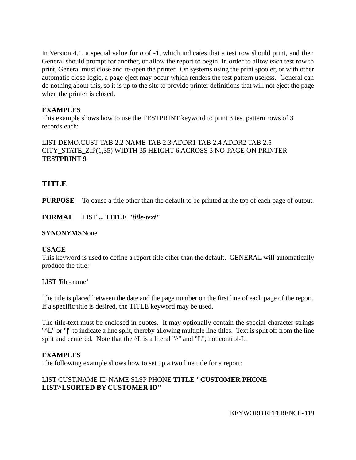In Version 4.1, a special value for *n* of -1, which indicates that a test row should print, and then General should prompt for another, or allow the report to begin. In order to allow each test row to print, General must close and re-open the printer. On systems using the print spooler, or with other automatic close logic, a page eject may occur which renders the test pattern useless. General can do nothing about this, so it is up to the site to provide printer definitions that will not eject the page when the printer is closed.

## **EXAMPLES**

This example shows how to use the TESTPRINT keyword to print 3 test pattern rows of 3 records each:

## LIST DEMO.CUST TAB 2.2 NAME TAB 2.3 ADDR1 TAB 2.4 ADDR2 TAB 2.5 CITY\_STATE\_ZIP(1,35) WIDTH 35 HEIGHT 6 ACROSS 3 NO-PAGE ON PRINTER **TESTPRINT 9**

## **TITLE**

**PURPOSE** To cause a title other than the default to be printed at the top of each page of output.

**FORMAT** LIST **... TITLE** *"title-text"*

### **SYNONYMS**None

## **USAGE**

This keyword is used to define a report title other than the default. GENERAL will automatically produce the title:

LIST 'file-name'

The title is placed between the date and the page number on the first line of each page of the report. If a specific title is desired, the TITLE keyword may be used.

The title-text must be enclosed in quotes. It may optionally contain the special character strings "^L" or "|" to indicate a line split, thereby allowing multiple line titles. Text is split off from the line split and centered. Note that the  $\Delta$  is a literal " $\Delta$ " and "L", not control-L.

## **EXAMPLES**

The following example shows how to set up a two line title for a report:

## LIST CUST.NAME ID NAME SLSP PHONE **TITLE "CUSTOMER PHONE LIST^LSORTED BY CUSTOMER ID"**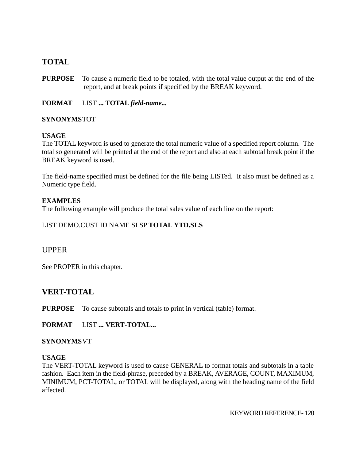## **TOTAL**

**PURPOSE** To cause a numeric field to be totaled, with the total value output at the end of the report, and at break points if specified by the BREAK keyword.

**FORMAT** LIST **... TOTAL** *field-name...*

## **SYNONYMS**TOT

## **USAGE**

The TOTAL keyword is used to generate the total numeric value of a specified report column. The total so generated will be printed at the end of the report and also at each subtotal break point if the BREAK keyword is used.

The field-name specified must be defined for the file being LISTed. It also must be defined as a Numeric type field.

## **EXAMPLES**

The following example will produce the total sales value of each line on the report:

## LIST DEMO.CUST ID NAME SLSP **TOTAL YTD.SLS**

## UPPER

See PROPER in this chapter.

## **VERT-TOTAL**

**PURPOSE** To cause subtotals and totals to print in vertical (table) format.

**FORMAT** LIST **... VERT-TOTAL...**

## **SYNONYMS**VT

## **USAGE**

The VERT-TOTAL keyword is used to cause GENERAL to format totals and subtotals in a table fashion. Each item in the field-phrase, preceded by a BREAK, AVERAGE, COUNT, MAXIMUM, MINIMUM, PCT-TOTAL, or TOTAL will be displayed, along with the heading name of the field affected.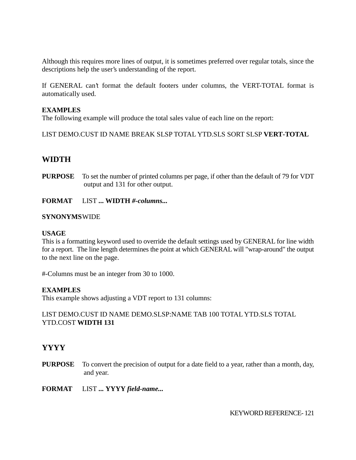Although this requires more lines of output, it is sometimes preferred over regular totals, since the descriptions help the user's understanding of the report.

If GENERAL can't format the default footers under columns, the VERT-TOTAL format is automatically used.

#### **EXAMPLES**

The following example will produce the total sales value of each line on the report:

LIST DEMO.CUST ID NAME BREAK SLSP TOTAL YTD.SLS SORT SLSP **VERT-TOTAL**

## **WIDTH**

- **PURPOSE** To set the number of printed columns per page, if other than the default of 79 for VDT output and 131 for other output.
- **FORMAT** LIST **... WIDTH** *#-columns...*

#### **SYNONYMS**WIDE

#### **USAGE**

This is a formatting keyword used to override the default settings used by GENERAL for line width for a report. The line length determines the point at which GENERAL will "wrap-around" the output to the next line on the page.

#-Columns must be an integer from 30 to 1000.

#### **EXAMPLES**

This example shows adjusting a VDT report to 131 columns:

## LIST DEMO.CUST ID NAME DEMO.SLSP:NAME TAB 100 TOTAL YTD.SLS TOTAL YTD.COST **WIDTH 131**

## **YYYY**

**PURPOSE** To convert the precision of output for a date field to a year, rather than a month, day, and year.

**FORMAT** LIST **... YYYY** *field-name...*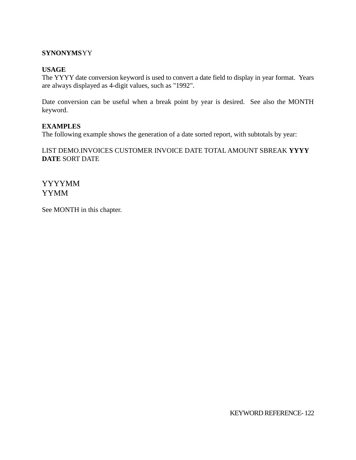## **SYNONYMS**YY

#### **USAGE**

The YYYY date conversion keyword is used to convert a date field to display in year format. Years are always displayed as 4-digit values, such as "1992".

Date conversion can be useful when a break point by year is desired. See also the MONTH keyword.

#### **EXAMPLES**

The following example shows the generation of a date sorted report, with subtotals by year:

## LIST DEMO.INVOICES CUSTOMER INVOICE DATE TOTAL AMOUNT SBREAK **YYYY DATE** SORT DATE

YYYYMM YYMM

See MONTH in this chapter.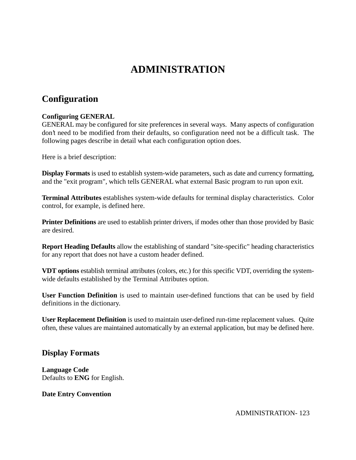# **ADMINISTRATION**

## **Configuration**

## **Configuring GENERAL**

GENERAL may be configured for site preferences in several ways. Many aspects of configuration don't need to be modified from their defaults, so configuration need not be a difficult task. The following pages describe in detail what each configuration option does.

Here is a brief description:

**Display Formats** is used to establish system-wide parameters, such as date and currency formatting, and the "exit program", which tells GENERAL what external Basic program to run upon exit.

**Terminal Attributes** establishes system-wide defaults for terminal display characteristics. Color control, for example, is defined here.

**Printer Definitions** are used to establish printer drivers, if modes other than those provided by Basic are desired.

**Report Heading Defaults** allow the establishing of standard "site-specific" heading characteristics for any report that does not have a custom header defined.

**VDT options** establish terminal attributes (colors, etc.) for this specific VDT, overriding the systemwide defaults established by the Terminal Attributes option.

**User Function Definition** is used to maintain user-defined functions that can be used by field definitions in the dictionary.

**User Replacement Definition** is used to maintain user-defined run-time replacement values. Quite often, these values are maintained automatically by an external application, but may be defined here.

## **Display Formats**

**Language Code** Defaults to **ENG** for English.

## **Date Entry Convention**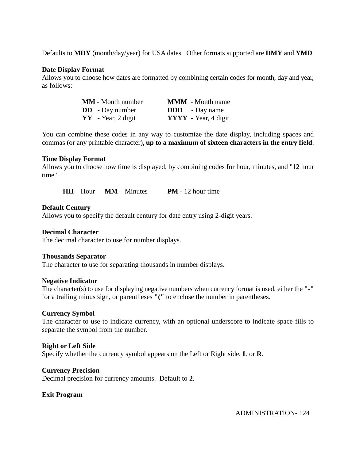Defaults to **MDY** (month/day/year) for USA dates. Other formats supported are **DMY** and **YMD**.

#### **Date Display Format**

Allows you to choose how dates are formatted by combining certain codes for month, day and year, as follows:

| <b>MM</b> - Month number | <b>MMM</b> - Month name |
|--------------------------|-------------------------|
| <b>DD</b> - Day number   | <b>DDD</b> - Day name   |
| $YY$ - Year, 2 digit     | YYYY - Year, 4 digit    |

You can combine these codes in any way to customize the date display, including spaces and commas (or any printable character), **up to a maximum of sixteen characters in the entry field**.

#### **Time Display Format**

Allows you to choose how time is displayed, by combining codes for hour, minutes, and "12 hour time".

**HH** – Hour **MM** – Minutes **PM** - 12 hour time

#### **Default Century**

Allows you to specify the default century for date entry using 2-digit years.

#### **Decimal Character**

The decimal character to use for number displays.

#### **Thousands Separator**

The character to use for separating thousands in number displays.

#### **Negative Indicator**

The character(s) to use for displaying negative numbers when currency format is used, either the **"-"** for a trailing minus sign, or parentheses **"("** to enclose the number in parentheses.

#### **Currency Symbol**

The character to use to indicate currency, with an optional underscore to indicate space fills to separate the symbol from the number.

#### **Right or Left Side**

Specify whether the currency symbol appears on the Left or Right side, **L** or **R**.

#### **Currency Precision**

Decimal precision for currency amounts. Default to **2**.

#### **Exit Program**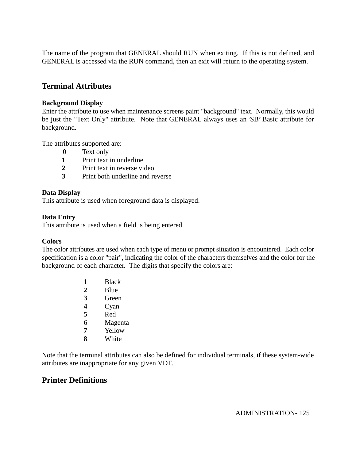The name of the program that GENERAL should RUN when exiting. If this is not defined, and GENERAL is accessed via the RUN command, then an exit will return to the operating system.

## **Terminal Attributes**

#### **Background Display**

Enter the attribute to use when maintenance screens paint "background" text. Normally, this would be just the "Text Only" attribute. Note that GENERAL always uses an 'SB' Basic attribute for background.

The attributes supported are:

- **0** Text only
- **1** Print text in underline
- **2** Print text in reverse video
- **3** Print both underline and reverse

#### **Data Display**

This attribute is used when foreground data is displayed.

#### **Data Entry**

This attribute is used when a field is being entered.

#### **Colors**

The color attributes are used when each type of menu or prompt situation is encountered. Each color specification is a color "pair", indicating the color of the characters themselves and the color for the background of each character. The digits that specify the colors are:

- **1** Black **2** Blue **3** Green **4** Cyan **5** Red 6 Magenta
- **7** Yellow
- **8** White

Note that the terminal attributes can also be defined for individual terminals, if these system-wide attributes are inappropriate for any given VDT.

## **Printer Definitions**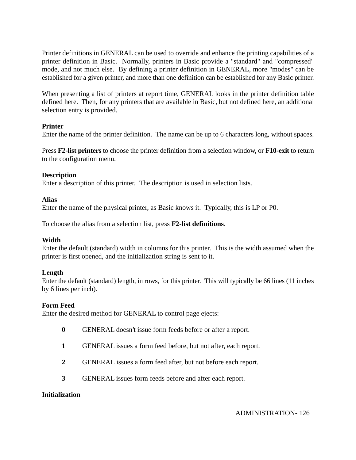Printer definitions in GENERAL can be used to override and enhance the printing capabilities of a printer definition in Basic. Normally, printers in Basic provide a "standard" and "compressed" mode, and not much else. By defining a printer definition in GENERAL, more "modes" can be established for a given printer, and more than one definition can be established for any Basic printer.

When presenting a list of printers at report time, GENERAL looks in the printer definition table defined here. Then, for any printers that are available in Basic, but not defined here, an additional selection entry is provided.

## **Printer**

Enter the name of the printer definition. The name can be up to 6 characters long, without spaces.

Press **F2-list printers** to choose the printer definition from a selection window, or **F10-exit** to return to the configuration menu.

## **Description**

Enter a description of this printer. The description is used in selection lists.

## **Alias**

Enter the name of the physical printer, as Basic knows it. Typically, this is LP or P0.

To choose the alias from a selection list, press **F2-list definitions**.

## **Width**

Enter the default (standard) width in columns for this printer. This is the width assumed when the printer is first opened, and the initialization string is sent to it.

## **Length**

Enter the default (standard) length, in rows, for this printer. This will typically be 66 lines (11 inches by 6 lines per inch).

## **Form Feed**

Enter the desired method for GENERAL to control page ejects:

- **0** GENERAL doesn't issue form feeds before or after a report.
- **1** GENERAL issues a form feed before, but not after, each report.
- **2** GENERAL issues a form feed after, but not before each report.
- **3** GENERAL issues form feeds before and after each report.

## **Initialization**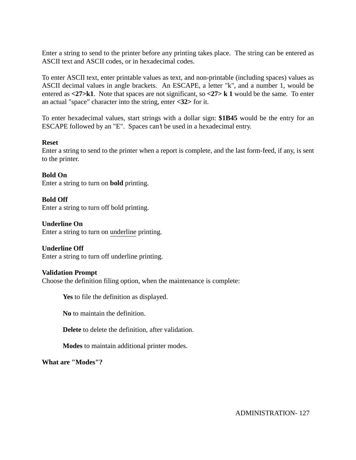Enter a string to send to the printer before any printing takes place. The string can be entered as ASCII text and ASCII codes, or in hexadecimal codes.

To enter ASCII text, enter printable values as text, and non-printable (including spaces) values as ASCII decimal values in angle brackets. An ESCAPE, a letter "k", and a number 1, would be entered as **<27>k1**. Note that spaces are not significant, so **<27> k 1** would be the same. To enter an actual "space" character into the string, enter **<32>** for it.

To enter hexadecimal values, start strings with a dollar sign: **\$1B45** would be the entry for an ESCAPE followed by an "E". Spaces can't be used in a hexadecimal entry.

#### **Reset**

Enter a string to send to the printer when a report is complete, and the last form-feed, if any, is sent to the printer.

**Bold On** Enter a string to turn on **bold** printing.

**Bold Off** Enter a string to turn off bold printing.

**Underline On** Enter a string to turn on underline printing.

**Underline Off**

Enter a string to turn off underline printing.

#### **Validation Prompt**

Choose the definition filing option, when the maintenance is complete:

**Yes** to file the definition as displayed.

**No** to maintain the definition.

**Delete** to delete the definition, after validation.

**Modes** to maintain additional printer modes.

**What are "Modes"?**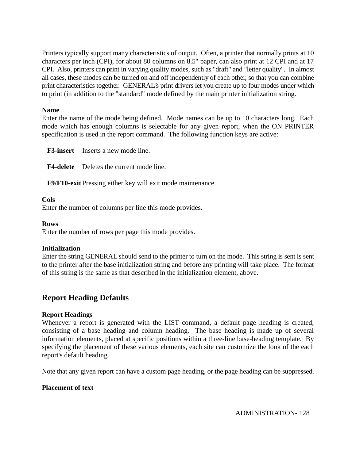Printers typically support many characteristics of output. Often, a printer that normally prints at 10 characters per inch (CPI), for about 80 columns on 8.5" paper, can also print at 12 CPI and at 17 CPI. Also, printers can print in varying quality modes, such as "draft" and "letter quality". In almost all cases, these modes can be turned on and off independently of each other, so that you can combine print characteristics together. GENERAL's print drivers let you create up to four modes under which to print (in addition to the "standard" mode defined by the main printer initialization string.

#### **Name**

Enter the name of the mode being defined. Mode names can be up to 10 characters long. Each mode which has enough columns is selectable for any given report, when the ON PRINTER specification is used in the report command. The following function keys are active:

**F3-insert** Inserts a new mode line.

**F4-delete** Deletes the current mode line.

**F9/F10-exit** Pressing either key will exit mode maintenance.

#### **Cols**

Enter the number of columns per line this mode provides.

#### **Rows**

Enter the number of rows per page this mode provides.

#### **Initialization**

Enter the string GENERAL should send to the printer to turn on the mode. This string is sent is sent to the printer after the base initialization string and before any printing will take place. The format of this string is the same as that described in the initialization element, above.

## **Report Heading Defaults**

## **Report Headings**

Whenever a report is generated with the LIST command, a default page heading is created, consisting of a base heading and column heading. The base heading is made up of several information elements, placed at specific positions within a three-line base-heading template. By specifying the placement of these various elements, each site can customize the look of the each report's default heading.

Note that any given report can have a custom page heading, or the page heading can be suppressed.

#### **Placement of text**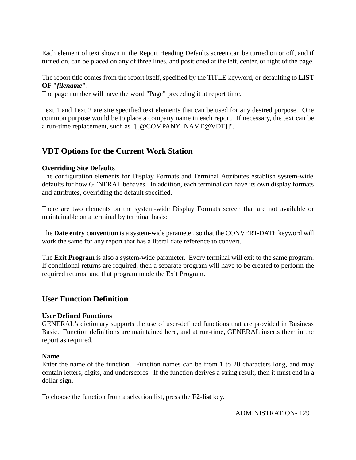Each element of text shown in the Report Heading Defaults screen can be turned on or off, and if turned on, can be placed on any of three lines, and positioned at the left, center, or right of the page.

The report title comes from the report itself, specified by the TITLE keyword, or defaulting to **LIST OF "***filename***"**.

The page number will have the word "Page" preceding it at report time.

Text 1 and Text 2 are site specified text elements that can be used for any desired purpose. One common purpose would be to place a company name in each report. If necessary, the text can be a run-time replacement, such as "[[@COMPANY\_NAME@VDT]]".

## **VDT Options for the Current Work Station**

## **Overriding Site Defaults**

The configuration elements for Display Formats and Terminal Attributes establish system-wide defaults for how GENERAL behaves. In addition, each terminal can have its own display formats and attributes, overriding the default specified.

There are two elements on the system-wide Display Formats screen that are not available or maintainable on a terminal by terminal basis:

The **Date entry convention** is a system-wide parameter, so that the CONVERT-DATE keyword will work the same for any report that has a literal date reference to convert.

The **Exit Program** is also a system-wide parameter. Every terminal will exit to the same program. If conditional returns are required, then a separate program will have to be created to perform the required returns, and that program made the Exit Program.

## **User Function Definition**

#### **User Defined Functions**

GENERAL's dictionary supports the use of user-defined functions that are provided in Business Basic. Function definitions are maintained here, and at run-time, GENERAL inserts them in the report as required.

#### **Name**

Enter the name of the function. Function names can be from 1 to 20 characters long, and may contain letters, digits, and underscores. If the function derives a string result, then it must end in a dollar sign.

To choose the function from a selection list, press the **F2-list** key.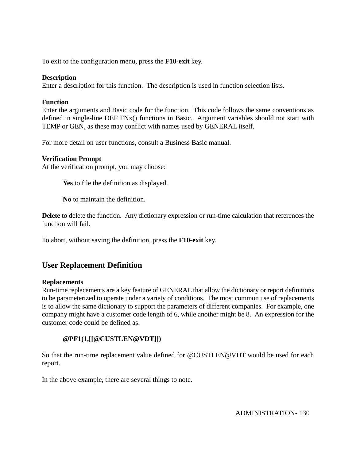To exit to the configuration menu, press the **F10-exit** key.

#### **Description**

Enter a description for this function. The description is used in function selection lists.

### **Function**

Enter the arguments and Basic code for the function. This code follows the same conventions as defined in single-line DEF FNx() functions in Basic. Argument variables should not start with TEMP or GEN, as these may conflict with names used by GENERAL itself.

For more detail on user functions, consult a Business Basic manual.

#### **Verification Prompt**

At the verification prompt, you may choose:

**Yes** to file the definition as displayed.

**No** to maintain the definition.

**Delete** to delete the function. Any dictionary expression or run-time calculation that references the function will fail.

To abort, without saving the definition, press the **F10-exit** key.

## **User Replacement Definition**

#### **Replacements**

Run-time replacements are a key feature of GENERAL that allow the dictionary or report definitions to be parameterized to operate under a variety of conditions. The most common use of replacements is to allow the same dictionary to support the parameters of different companies. For example, one company might have a customer code length of 6, while another might be 8. An expression for the customer code could be defined as:

## **@PF1(1,[[@CUSTLEN@VDT]])**

So that the run-time replacement value defined for @CUSTLEN@VDT would be used for each report.

In the above example, there are several things to note.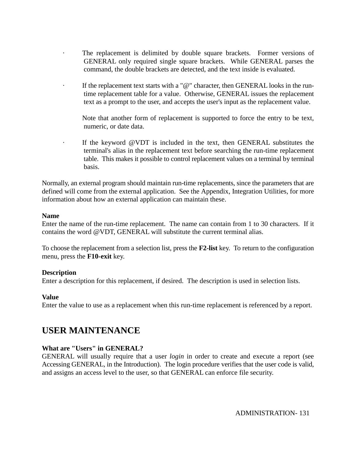- The replacement is delimited by double square brackets. Former versions of GENERAL only required single square brackets. While GENERAL parses the command, the double brackets are detected, and the text inside is evaluated.
- · If the replacement text starts with a "@" character, then GENERAL looks in the runtime replacement table for a value. Otherwise, GENERAL issues the replacement text as a prompt to the user, and accepts the user's input as the replacement value.

Note that another form of replacement is supported to force the entry to be text, numeric, or date data.

If the keyword @VDT is included in the text, then GENERAL substitutes the terminal's alias in the replacement text before searching the run-time replacement table. This makes it possible to control replacement values on a terminal by terminal basis.

Normally, an external program should maintain run-time replacements, since the parameters that are defined will come from the external application. See the Appendix, Integration Utilities, for more information about how an external application can maintain these.

#### **Name**

Enter the name of the run-time replacement. The name can contain from 1 to 30 characters. If it contains the word @VDT, GENERAL will substitute the current terminal alias.

To choose the replacement from a selection list, press the **F2-list** key. To return to the configuration menu, press the **F10-exit** key.

#### **Description**

Enter a description for this replacement, if desired. The description is used in selection lists.

#### **Value**

Enter the value to use as a replacement when this run-time replacement is referenced by a report.

## **USER MAINTENANCE**

#### **What are "Users" in GENERAL?**

GENERAL will usually require that a user *login* in order to create and execute a report (see Accessing GENERAL, in the Introduction). The login procedure verifies that the user code is valid, and assigns an access level to the user, so that GENERAL can enforce file security.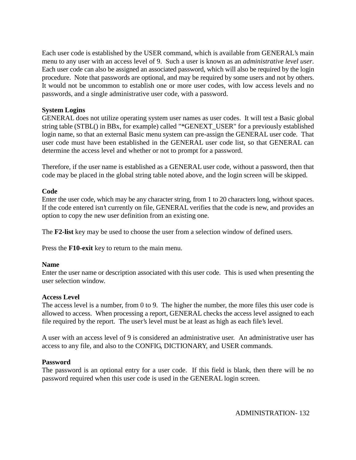Each user code is established by the USER command, which is available from GENERAL's main menu to any user with an access level of 9. Such a user is known as an *administrative level user*. Each user code can also be assigned an associated password, which will also be required by the login procedure. Note that passwords are optional, and may be required by some users and not by others. It would not be uncommon to establish one or more user codes, with low access levels and no passwords, and a single administrative user code, with a password.

## **System Logins**

GENERAL does not utilize operating system user names as user codes. It will test a Basic global string table (STBL() in BBx, for example) called "\*GENEXT\_USER" for a previously established login name, so that an external Basic menu system can pre-assign the GENERAL user code. That user code must have been established in the GENERAL user code list, so that GENERAL can determine the access level and whether or not to prompt for a password.

Therefore, if the user name is established as a GENERAL user code, without a password, then that code may be placed in the global string table noted above, and the login screen will be skipped.

## **Code**

Enter the user code, which may be any character string, from 1 to 20 characters long, without spaces. If the code entered isn't currently on file, GENERAL verifies that the code is new, and provides an option to copy the new user definition from an existing one.

The **F2-list** key may be used to choose the user from a selection window of defined users.

Press the **F10-exit** key to return to the main menu.

#### **Name**

Enter the user name or description associated with this user code. This is used when presenting the user selection window.

## **Access Level**

The access level is a number, from 0 to 9. The higher the number, the more files this user code is allowed to access. When processing a report, GENERAL checks the access level assigned to each file required by the report. The user's level must be at least as high as each file's level.

A user with an access level of 9 is considered an administrative user. An administrative user has access to any file, and also to the CONFIG, DICTIONARY, and USER commands.

#### **Password**

The password is an optional entry for a user code. If this field is blank, then there will be no password required when this user code is used in the GENERAL login screen.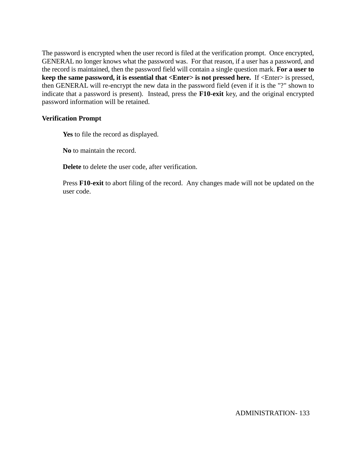The password is encrypted when the user record is filed at the verification prompt. Once encrypted, GENERAL no longer knows what the password was. For that reason, if a user has a password, and the record is maintained, then the password field will contain a single question mark. **For a user to keep the same password, it is essential that <Enter> is not pressed here.** If <Enter> is pressed, then GENERAL will re-encrypt the new data in the password field (even if it is the "?" shown to indicate that a password is present). Instead, press the **F10-exit** key, and the original encrypted password information will be retained.

#### **Verification Prompt**

**Yes** to file the record as displayed.

**No** to maintain the record.

**Delete** to delete the user code, after verification.

Press **F10-exit** to abort filing of the record. Any changes made will not be updated on the user code.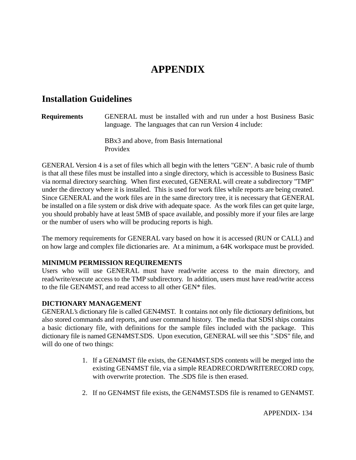# **APPENDIX**

## **Installation Guidelines**

#### **Requirements** GENERAL must be installed with and run under a host Business Basic language. The languages that can run Version 4 include:

BBx3 and above, from Basis International Providex

GENERAL Version 4 is a set of files which all begin with the letters "GEN". A basic rule of thumb is that all these files must be installed into a single directory, which is accessible to Business Basic via normal directory searching. When first executed, GENERAL will create a subdirectory "TMP" under the directory where it is installed. This is used for work files while reports are being created. Since GENERAL and the work files are in the same directory tree, it is necessary that GENERAL be installed on a file system or disk drive with adequate space. As the work files can get quite large, you should probably have at least 5MB of space available, and possibly more if your files are large or the number of users who will be producing reports is high.

The memory requirements for GENERAL vary based on how it is accessed (RUN or CALL) and on how large and complex file dictionaries are. At a minimum, a 64K workspace must be provided.

## **MINIMUM PERMISSION REQUIREMENTS**

Users who will use GENERAL must have read/write access to the main directory, and read/write/execute access to the TMP subdirectory. In addition, users must have read/write access to the file GEN4MST, and read access to all other GEN\* files.

## **DICTIONARY MANAGEMENT**

GENERAL's dictionary file is called GEN4MST. It contains not only file dictionary definitions, but also stored commands and reports, and user command history. The media that SDSI ships contains a basic dictionary file, with definitions for the sample files included with the package. This dictionary file is named GEN4MST.SDS. Upon execution, GENERAL will see this ".SDS" file, and will do one of two things:

- 1. If a GEN4MST file exists, the GEN4MST.SDS contents will be merged into the existing GEN4MST file, via a simple READRECORD/WRITERECORD copy, with overwrite protection. The .SDS file is then erased.
- 2. If no GEN4MST file exists, the GEN4MST.SDS file is renamed to GEN4MST.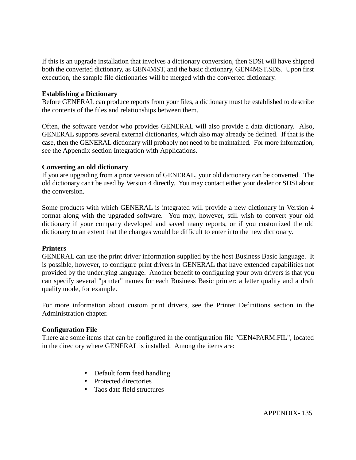If this is an upgrade installation that involves a dictionary conversion, then SDSI will have shipped both the converted dictionary, as GEN4MST, and the basic dictionary, GEN4MST.SDS. Upon first execution, the sample file dictionaries will be merged with the converted dictionary.

### **Establishing a Dictionary**

Before GENERAL can produce reports from your files, a dictionary must be established to describe the contents of the files and relationships between them.

Often, the software vendor who provides GENERAL will also provide a data dictionary. Also, GENERAL supports several external dictionaries, which also may already be defined. If that is the case, then the GENERAL dictionary will probably not need to be maintained. For more information, see the Appendix section Integration with Applications.

#### **Converting an old dictionary**

If you are upgrading from a prior version of GENERAL, your old dictionary can be converted. The old dictionary can't be used by Version 4 directly. You may contact either your dealer or SDSI about the conversion.

Some products with which GENERAL is integrated will provide a new dictionary in Version 4 format along with the upgraded software. You may, however, still wish to convert your old dictionary if your company developed and saved many reports, or if you customized the old dictionary to an extent that the changes would be difficult to enter into the new dictionary.

#### **Printers**

GENERAL can use the print driver information supplied by the host Business Basic language. It is possible, however, to configure print drivers in GENERAL that have extended capabilities not provided by the underlying language. Another benefit to configuring your own drivers is that you can specify several "printer" names for each Business Basic printer: a letter quality and a draft quality mode, for example.

For more information about custom print drivers, see the Printer Definitions section in the Administration chapter.

## **Configuration File**

There are some items that can be configured in the configuration file "GEN4PARM.FIL", located in the directory where GENERAL is installed. Among the items are:

- Default form feed handling
- Protected directories
- Taos date field structures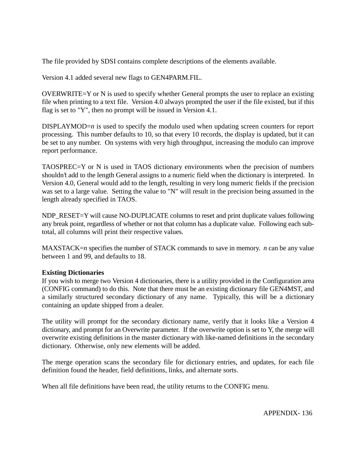The file provided by SDSI contains complete descriptions of the elements available.

Version 4.1 added several new flags to GEN4PARM.FIL.

OVERWRITE=Y or N is used to specify whether General prompts the user to replace an existing file when printing to a text file. Version 4.0 always prompted the user if the file existed, but if this flag is set to "Y", then no prompt will be issued in Version 4.1.

DISPLAYMOD=*n* is used to specify the modulo used when updating screen counters for report processing. This number defaults to 10, so that every 10 records, the display is updated, but it can be set to any number. On systems with very high throughput, increasing the modulo can improve report performance.

TAOSPREC=Y or N is used in TAOS dictionary environments when the precision of numbers shouldn't add to the length General assigns to a numeric field when the dictionary is interpreted. In Version 4.0, General would add to the length, resulting in very long numeric fields if the precision was set to a large value. Setting the value to "N" will result in the precision being assumed in the length already specified in TAOS.

NDP\_RESET=Y will cause NO-DUPLICATE columns to reset and print duplicate values following any break point, regardless of whether or not that column has a duplicate value. Following each subtotal, all columns will print their respective values.

MAXSTACK=*n* specifies the number of STACK commands to save in memory. *n* can be any value between 1 and 99, and defaults to 18.

## **Existing Dictionaries**

If you wish to merge two Version 4 dictionaries, there is a utility provided in the Configuration area (CONFIG command) to do this. Note that there must be an existing dictionary file GEN4MST, and a similarly structured secondary dictionary of any name. Typically, this will be a dictionary containing an update shipped from a dealer.

The utility will prompt for the secondary dictionary name, verify that it looks like a Version 4 dictionary, and prompt for an Overwrite parameter. If the overwrite option is set to Y, the merge will overwrite existing definitions in the master dictionary with like-named definitions in the secondary dictionary. Otherwise, only new elements will be added.

The merge operation scans the secondary file for dictionary entries, and updates, for each file definition found the header, field definitions, links, and alternate sorts.

When all file definitions have been read, the utility returns to the CONFIG menu.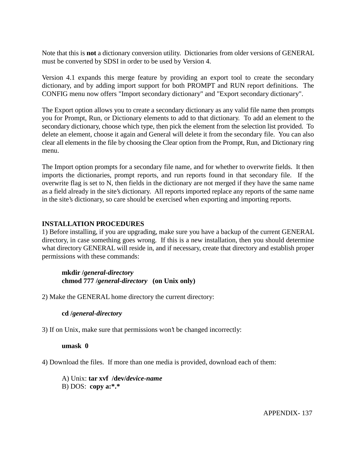Note that this is **not** a dictionary conversion utility. Dictionaries from older versions of GENERAL must be converted by SDSI in order to be used by Version 4.

Version 4.1 expands this merge feature by providing an export tool to create the secondary dictionary, and by adding import support for both PROMPT and RUN report definitions. The CONFIG menu now offers "Import secondary dictionary" and "Export secondary dictionary".

The Export option allows you to create a secondary dictionary as any valid file name then prompts you for Prompt, Run, or Dictionary elements to add to that dictionary. To add an element to the secondary dictionary, choose which type, then pick the element from the selection list provided. To delete an element, choose it again and General will delete it from the secondary file. You can also clear all elements in the file by choosing the Clear option from the Prompt, Run, and Dictionary ring menu.

The Import option prompts for a secondary file name, and for whether to overwrite fields. It then imports the dictionaries, prompt reports, and run reports found in that secondary file. If the overwrite flag is set to N, then fields in the dictionary are not merged if they have the same name as a field already in the site's dictionary. All reports imported replace any reports of the same name in the site's dictionary, so care should be exercised when exporting and importing reports.

## **INSTALLATION PROCEDURES**

1) Before installing, if you are upgrading, make sure you have a backup of the current GENERAL directory, in case something goes wrong. If this is a new installation, then you should determine what directory GENERAL will reside in, and if necessary, create that directory and establish proper permissions with these commands:

## **mkdir /***general-directory* **chmod 777 /***general-directory* **(on Unix only)**

2) Make the GENERAL home directory the current directory:

## **cd /***general-directory*

3) If on Unix, make sure that permissions won't be changed incorrectly:

## **umask 0**

4) Download the files. If more than one media is provided, download each of them:

A) Unix: **tar xvf /dev/***device-name* B) DOS: **copy a:\*.\***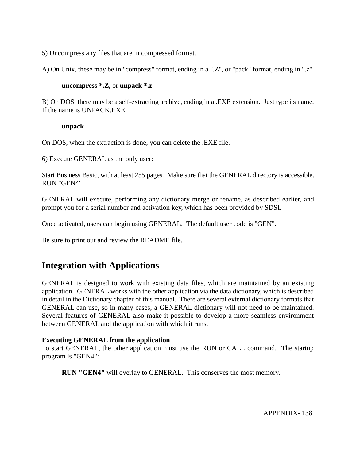5) Uncompress any files that are in compressed format.

A) On Unix, these may be in "compress" format, ending in a ".Z", or "pack" format, ending in ".z".

#### **uncompress \*.Z**, or **unpack \*.z**

B) On DOS, there may be a self-extracting archive, ending in a .EXE extension. Just type its name. If the name is UNPACK.EXE:

#### **unpack**

On DOS, when the extraction is done, you can delete the .EXE file.

6) Execute GENERAL as the only user:

Start Business Basic, with at least 255 pages. Make sure that the GENERAL directory is accessible. RUN "GEN4"

GENERAL will execute, performing any dictionary merge or rename, as described earlier, and prompt you for a serial number and activation key, which has been provided by SDSI.

Once activated, users can begin using GENERAL. The default user code is "GEN".

Be sure to print out and review the README file.

## **Integration with Applications**

GENERAL is designed to work with existing data files, which are maintained by an existing application. GENERAL works with the other application via the data dictionary, which is described in detail in the Dictionary chapter of this manual. There are several external dictionary formats that GENERAL can use, so in many cases, a GENERAL dictionary will not need to be maintained. Several features of GENERAL also make it possible to develop a more seamless environment between GENERAL and the application with which it runs.

## **Executing GENERAL from the application**

To start GENERAL, the other application must use the RUN or CALL command. The startup program is "GEN4":

**RUN "GEN4"** will overlay to GENERAL. This conserves the most memory.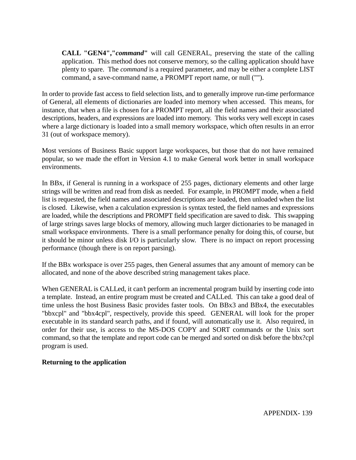**CALL "GEN4","***command***"** will call GENERAL, preserving the state of the calling application. This method does not conserve memory, so the calling application should have plenty to spare. The *command* is a required parameter, and may be either a complete LIST command, a save-command name, a PROMPT report name, or null ("").

In order to provide fast access to field selection lists, and to generally improve run-time performance of General, all elements of dictionaries are loaded into memory when accessed. This means, for instance, that when a file is chosen for a PROMPT report, all the field names and their associated descriptions, headers, and expressions are loaded into memory. This works very well except in cases where a large dictionary is loaded into a small memory workspace, which often results in an error 31 (out of workspace memory).

Most versions of Business Basic support large workspaces, but those that do not have remained popular, so we made the effort in Version 4.1 to make General work better in small workspace environments.

In BBx, if General is running in a workspace of 255 pages, dictionary elements and other large strings will be written and read from disk as needed. For example, in PROMPT mode, when a field list is requested, the field names and associated descriptions are loaded, then unloaded when the list is closed. Likewise, when a calculation expression is syntax tested, the field names and expressions are loaded, while the descriptions and PROMPT field specification are saved to disk. This swapping of large strings saves large blocks of memory, allowing much larger dictionaries to be managed in small workspace environments. There is a small performance penalty for doing this, of course, but it should be minor unless disk I/O is particularly slow. There is no impact on report processing performance (though there is on report parsing).

If the BBx workspace is over 255 pages, then General assumes that any amount of memory can be allocated, and none of the above described string management takes place.

When GENERAL is CALLed, it can't perform an incremental program build by inserting code into a template. Instead, an entire program must be created and CALLed. This can take a good deal of time unless the host Business Basic provides faster tools. On BBx3 and BBx4, the executables "bbxcpl" and "bbx4cpl", respectively, provide this speed. GENERAL will look for the proper executable in its standard search paths, and if found, will automatically use it. Also required, in order for their use, is access to the MS-DOS COPY and SORT commands or the Unix sort command, so that the template and report code can be merged and sorted on disk before the bbx?cpl program is used.

## **Returning to the application**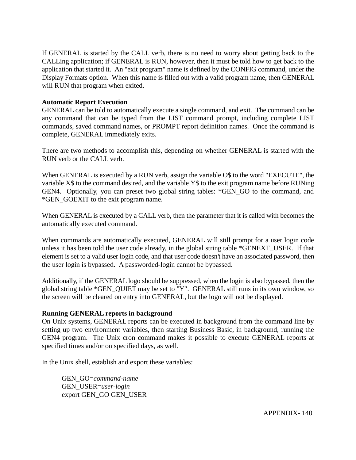If GENERAL is started by the CALL verb, there is no need to worry about getting back to the CALLing application; if GENERAL is RUN, however, then it must be told how to get back to the application that started it. An "exit program" name is defined by the CONFIG command, under the Display Formats option. When this name is filled out with a valid program name, then GENERAL will RUN that program when exited.

#### **Automatic Report Execution**

GENERAL can be told to automatically execute a single command, and exit. The command can be any command that can be typed from the LIST command prompt, including complete LIST commands, saved command names, or PROMPT report definition names. Once the command is complete, GENERAL immediately exits.

There are two methods to accomplish this, depending on whether GENERAL is started with the RUN verb or the CALL verb.

When GENERAL is executed by a RUN verb, assign the variable O\$ to the word "EXECUTE", the variable X\$ to the command desired, and the variable Y\$ to the exit program name before RUNing GEN4. Optionally, you can preset two global string tables: \*GEN\_GO to the command, and \*GEN\_GOEXIT to the exit program name.

When GENERAL is executed by a CALL verb, then the parameter that it is called with becomes the automatically executed command.

When commands are automatically executed, GENERAL will still prompt for a user login code unless it has been told the user code already, in the global string table \*GENEXT\_USER. If that element is set to a valid user login code, and that user code doesn't have an associated password, then the user login is bypassed. A passworded-login cannot be bypassed.

Additionally, if the GENERAL logo should be suppressed, when the login is also bypassed, then the global string table \*GEN\_QUIET may be set to "Y". GENERAL still runs in its own window, so the screen will be cleared on entry into GENERAL, but the logo will not be displayed.

#### **Running GENERAL reports in background**

On Unix systems, GENERAL reports can be executed in background from the command line by setting up two environment variables, then starting Business Basic, in background, running the GEN4 program. The Unix cron command makes it possible to execute GENERAL reports at specified times and/or on specified days, as well.

In the Unix shell, establish and export these variables:

GEN\_GO=*command-name* GEN\_USER=*user-login* export GEN\_GO GEN\_USER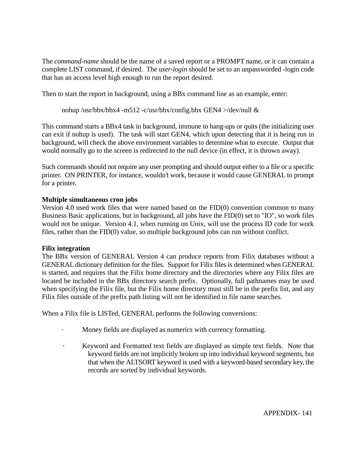The *command-name* should be the name of a saved report or a PROMPT name, or it can contain a complete LIST command, if desired. The *user-login* should be set to an unpassworded -login code that has an access level high enough to run the report desired.

Then to start the report in background, using a BBx command line as an example, enter:

nohup /usr/bbx/bbx4 -m512 -c/usr/bbx/config.bbx GEN4 >/dev/null &

This command starts a BBx4 task in background, immune to hang-ups or quits (the initializing user can exit if nohup is used). The task will start GEN4, which upon detecting that it is being run in background, will check the above environment variables to determine what to execute. Output that would normally go to the screen is redirected to the null device (in effect, it is thrown away).

Such commands should not require any user prompting and should output either to a file or a specific printer. ON PRINTER, for instance, wouldn't work, because it would cause GENERAL to prompt for a printer.

#### **Multiple simultaneous cron jobs**

Version 4.0 used work files that were named based on the FID(0) convention common to many Business Basic applications, but in background, all jobs have the FID(0) set to "IO", so work files would not be unique. Version 4.1, when running on Unix, will use the process ID code for work files, rather than the FID(0) value, so multiple background jobs can run without conflict.

#### **Filix integration**

The BBx version of GENERAL Version 4 can produce reports from Filix databases without a GENERAL dictionary definition for the files. Support for Filix files is determined when GENERAL is started, and requires that the Filix home directory and the directories where any Filix files are located be included in the BBx directory search prefix. Optionally, full pathnames may be used when specifying the Filix file, but the Filix home directory must still be in the prefix list, and any Filix files outside of the prefix path listing will not be identified in file name searches.

When a Filix file is LISTed, GENERAL performs the following conversions:

- Money fields are displayed as numerics with currency formatting.
- · Keyword and Formatted text fields are displayed as simple text fields. Note that keyword fields are not implicitly broken up into individual keyword segments, but that when the ALTSORT keyword is used with a keyword-based secondary key, the records are sorted by individual keywords.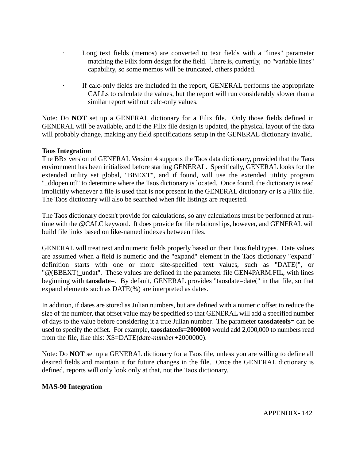- Long text fields (memos) are converted to text fields with a "lines" parameter matching the Filix form design for the field. There is, currently, no "variable lines" capability, so some memos will be truncated, others padded.
- If calc-only fields are included in the report, GENERAL performs the appropriate CALLs to calculate the values, but the report will run considerably slower than a similar report without calc-only values.

Note: Do **NOT** set up a GENERAL dictionary for a Filix file. Only those fields defined in GENERAL will be available, and if the Filix file design is updated, the physical layout of the data will probably change, making any field specifications setup in the GENERAL dictionary invalid.

#### **Taos Integration**

The BBx version of GENERAL Version 4 supports the Taos data dictionary, provided that the Taos environment has been initialized before starting GENERAL. Specifically, GENERAL looks for the extended utility set global, "BBEXT", and if found, will use the extended utility program "\_ddopen.utl" to determine where the Taos dictionary is located. Once found, the dictionary is read implicitly whenever a file is used that is not present in the GENERAL dictionary or is a Filix file. The Taos dictionary will also be searched when file listings are requested.

The Taos dictionary doesn't provide for calculations, so any calculations must be performed at runtime with the @CALC keyword. It does provide for file relationships, however, and GENERAL will build file links based on like-named indexes between files.

GENERAL will treat text and numeric fields properly based on their Taos field types. Date values are assumed when a field is numeric and the "expand" element in the Taos dictionary "expand" definition starts with one or more site-specified text values, such as "DATE(", or "@(BBEXT)\_undat". These values are defined in the parameter file GEN4PARM.FIL, with lines beginning with **taosdate=**. By default, GENERAL provides "taosdate=date(" in that file, so that expand elements such as DATE(%) are interpreted as dates.

In addition, if dates are stored as Julian numbers, but are defined with a numeric offset to reduce the size of the number, that offset value may be specified so that GENERAL will add a specified number of days to the value before considering it a true Julian number. The parameter **taosdateofs=** can be used to specify the offset. For example, **taosdateofs=2000000** would add 2,000,000 to numbers read from the file, like this: X\$=DATE(*date-number*+2000000).

Note: Do **NOT** set up a GENERAL dictionary for a Taos file, unless you are willing to define all desired fields and maintain it for future changes in the file. Once the GENERAL dictionary is defined, reports will only look only at that, not the Taos dictionary.

#### **MAS-90 Integration**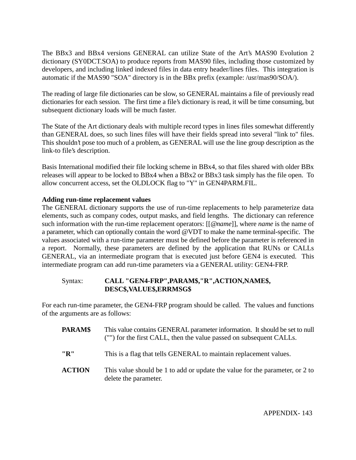The BBx3 and BBx4 versions GENERAL can utilize State of the Art's MAS90 Evolution 2 dictionary (SY0DCT.SOA) to produce reports from MAS90 files, including those customized by developers, and including linked indexed files in data entry header/lines files. This integration is automatic if the MAS90 "SOA" directory is in the BBx prefix (example: /usr/mas90/SOA/).

The reading of large file dictionaries can be slow, so GENERAL maintains a file of previously read dictionaries for each session. The first time a file's dictionary is read, it will be time consuming, but subsequent dictionary loads will be much faster.

The State of the Art dictionary deals with multiple record types in lines files somewhat differently than GENERAL does, so such lines files will have their fields spread into several "link to" files. This shouldn't pose too much of a problem, as GENERAL will use the line group description as the link-to file's description.

Basis International modified their file locking scheme in BBx4, so that files shared with older BBx releases will appear to be locked to BBx4 when a BBx2 or BBx3 task simply has the file open. To allow concurrent access, set the OLDLOCK flag to "Y" in GEN4PARM.FIL.

## **Adding run-time replacement values**

The GENERAL dictionary supports the use of run-time replacements to help parameterize data elements, such as company codes, output masks, and field lengths. The dictionary can reference such information with the run-time replacement operators: [[@*name*]], where *name* is the name of a parameter, which can optionally contain the word @VDT to make the name terminal-specific. The values associated with a run-time parameter must be defined before the parameter is referenced in a report. Normally, these parameters are defined by the application that RUNs or CALLs GENERAL, via an intermediate program that is executed just before GEN4 is executed. This intermediate program can add run-time parameters via a GENERAL utility: GEN4-FRP.

## Syntax: **CALL "GEN4-FRP",PARAM\$,"R",ACTION,NAME\$, DESC\$,VALUE\$,ERRMSG\$**

For each run-time parameter, the GEN4-FRP program should be called. The values and functions of the arguments are as follows:

- **PARAM\$** This value contains GENERAL parameter information. It should be set to null ("") for the first CALL, then the value passed on subsequent CALLs.
- **"R"** This is a flag that tells GENERAL to maintain replacement values.
- **ACTION** This value should be 1 to add or update the value for the parameter, or 2 to delete the parameter.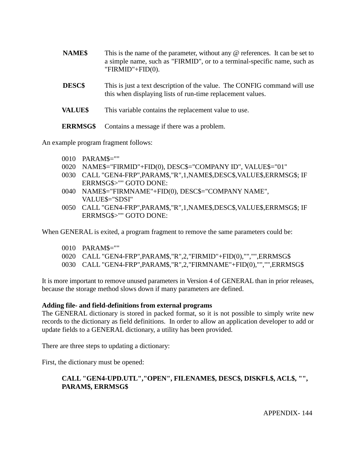- **NAME\$** This is the name of the parameter, without any @ references. It can be set to a simple name, such as "FIRMID", or to a terminal-specific name, such as "FIRMID"+FID(0).
- **DESC\$** This is just a text description of the value. The CONFIG command will use this when displaying lists of run-time replacement values.
- **VALUE\$** This variable contains the replacement value to use.
- **ERRMSG\$** Contains a message if there was a problem.

An example program fragment follows:

- 0010 PARAM\$=""
- 0020 NAME\$="FIRMID"+FID(0), DESC\$="COMPANY ID", VALUE\$="01"
- 0030 CALL "GEN4-FRP",PARAM\$,"R",1,NAME\$,DESC\$,VALUE\$,ERRMSG\$; IF ERRMSG\$>"" GOTO DONE:
- 0040 NAME\$="FIRMNAME"+FID(0), DESC\$="COMPANY NAME", VALUE\$="SDSI"
- 0050 CALL "GEN4-FRP",PARAM\$,"R",1,NAME\$,DESC\$,VALUE\$,ERRMSG\$; IF ERRMSG\$>"" GOTO DONE:

When GENERAL is exited, a program fragment to remove the same parameters could be:

- 0010 PARAM\$=""
- 0020 CALL "GEN4-FRP",PARAM\$,"R",2,"FIRMID"+FID(0),"","",ERRMSG\$
- 0030 CALL "GEN4-FRP",PARAM\$,"R",2,"FIRMNAME"+FID(0),"","",ERRMSG\$

It is more important to remove unused parameters in Version 4 of GENERAL than in prior releases, because the storage method slows down if many parameters are defined.

#### **Adding file- and field-definitions from external programs**

The GENERAL dictionary is stored in packed format, so it is not possible to simply write new records to the dictionary as field definitions. In order to allow an application developer to add or update fields to a GENERAL dictionary, a utility has been provided.

There are three steps to updating a dictionary:

First, the dictionary must be opened:

## **CALL "GEN4-UPD.UTL","OPEN", FILENAME\$, DESC\$, DISKFL\$, ACL\$, "", PARAM\$, ERRMSG\$**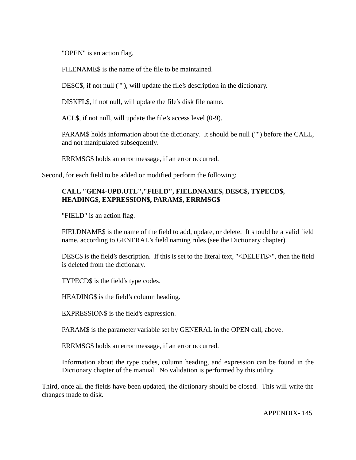"OPEN" is an action flag.

FILENAME\$ is the name of the file to be maintained.

DESC\$, if not null (""), will update the file's description in the dictionary.

DISKFL\$, if not null, will update the file's disk file name.

ACL\$, if not null, will update the file's access level (0-9).

PARAM\$ holds information about the dictionary. It should be null ("") before the CALL, and not manipulated subsequently.

ERRMSG\$ holds an error message, if an error occurred.

Second, for each field to be added or modified perform the following:

# **CALL "GEN4-UPD.UTL","FIELD", FIELDNAME\$, DESC\$, TYPECD\$, HEADING\$, EXPRESSION\$, PARAM\$, ERRMSG\$**

"FIELD" is an action flag.

FIELDNAME\$ is the name of the field to add, update, or delete. It should be a valid field name, according to GENERAL's field naming rules (see the Dictionary chapter).

DESC\$ is the field's description. If this is set to the literal text, "<DELETE>", then the field is deleted from the dictionary.

TYPECD\$ is the field's type codes.

HEADING\$ is the field's column heading.

EXPRESSION\$ is the field's expression.

PARAM\$ is the parameter variable set by GENERAL in the OPEN call, above.

ERRMSG\$ holds an error message, if an error occurred.

Information about the type codes, column heading, and expression can be found in the Dictionary chapter of the manual. No validation is performed by this utility.

Third, once all the fields have been updated, the dictionary should be closed. This will write the changes made to disk.

APPENDIX- 145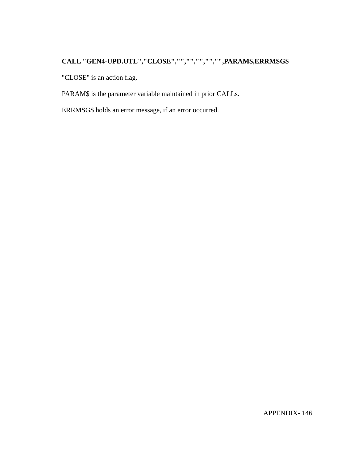# **CALL "GEN4-UPD.UTL","CLOSE","","","","","",PARAM\$,ERRMSG\$**

"CLOSE" is an action flag.

PARAM\$ is the parameter variable maintained in prior CALLs.

ERRMSG\$ holds an error message, if an error occurred.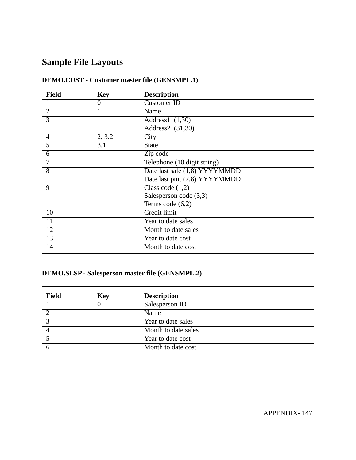# **Sample File Layouts**

| <b>Field</b>   | <b>Key</b> | <b>Description</b>            |
|----------------|------------|-------------------------------|
|                | $\theta$   | Customer ID                   |
| $\overline{2}$ |            | Name                          |
| $\overline{3}$ |            | Address1 $(1,30)$             |
|                |            | Address2 (31,30)              |
| 4              | 2, 3.2     | City                          |
| 5              | 3.1        | <b>State</b>                  |
| 6              |            | Zip code                      |
| 7              |            | Telephone (10 digit string)   |
| 8              |            | Date last sale (1,8) YYYYMMDD |
|                |            | Date last pmt (7,8) YYYYMMDD  |
| 9              |            | Class code $(1,2)$            |
|                |            | Salesperson code (3,3)        |
|                |            | Terms code $(6,2)$            |
| 10             |            | Credit limit                  |
| 11             |            | Year to date sales            |
| 12             |            | Month to date sales           |
| 13             |            | Year to date cost             |
| 14             |            | Month to date cost            |

# **DEMO.CUST - Customer master file (GENSMPL.1)**

# **DEMO.SLSP - Salesperson master file (GENSMPL.2)**

| <b>Field</b> | <b>Key</b> | <b>Description</b>  |
|--------------|------------|---------------------|
|              |            | Salesperson ID      |
|              |            | Name                |
|              |            | Year to date sales  |
| 4            |            | Month to date sales |
|              |            | Year to date cost   |
|              |            | Month to date cost  |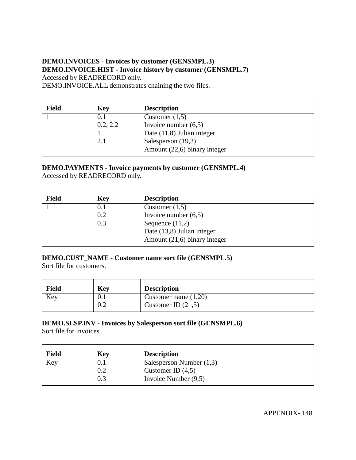# **DEMO.INVOICES - Invoices by customer (GENSMPL.3) DEMO.INVOICE.HIST - Invoice history by customer (GENSMPL.7)** Accessed by READRECORD only.

DEMO.INVOICE.ALL demonstrates chaining the two files.

| <b>Field</b> | <b>Key</b> | <b>Description</b>           |
|--------------|------------|------------------------------|
|              | U.I        | Customer $(1,5)$             |
|              | 0.2, 2.2   | Invoice number $(6,5)$       |
|              |            | Date $(11,8)$ Julian integer |
|              | 2.1        | Salesperson (19,3)           |
|              |            | Amount (22,6) binary integer |

# **DEMO.PAYMENTS - Invoice payments by customer (GENSMPL.4)**

Accessed by READRECORD only.

| <b>Field</b> | <b>Key</b> | <b>Description</b>           |
|--------------|------------|------------------------------|
|              | 0.1        | Customer $(1,5)$             |
|              | 0.2        | Invoice number $(6,5)$       |
|              | 0.3        | Sequence $(11,2)$            |
|              |            | Date (13,8) Julian integer   |
|              |            | Amount (21,6) binary integer |

# **DEMO.CUST\_NAME - Customer name sort file (GENSMPL.5)**

Sort file for customers.

| <b>Field</b> | <b>Key</b> | <b>Description</b>     |
|--------------|------------|------------------------|
| Key          | V. I       | Customer name $(1,20)$ |
|              | 0.2        | Customer ID $(21,5)$   |

# **DEMO.SLSP.INV - Invoices by Salesperson sort file (GENSMPL.6)**

Sort file for invoices.

| <b>Field</b> | <b>Key</b> | <b>Description</b>         |
|--------------|------------|----------------------------|
| Key          | U.I        | Salesperson Number $(1,3)$ |
|              | 0.2        | Customer ID $(4,5)$        |
|              | 0.3        | Invoice Number $(9,5)$     |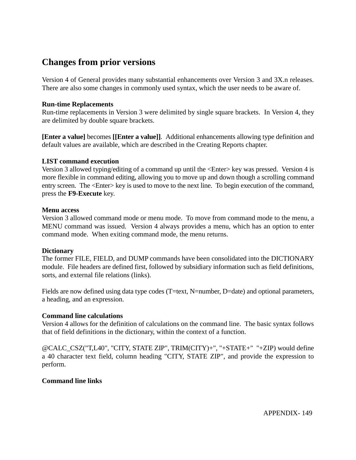# **Changes from prior versions**

Version 4 of General provides many substantial enhancements over Version 3 and 3X.n releases. There are also some changes in commonly used syntax, which the user needs to be aware of.

#### **Run-time Replacements**

Run-time replacements in Version 3 were delimited by single square brackets. In Version 4, they are delimited by double square brackets.

**[Enter a value]** becomes **[[Enter a value]]**. Additional enhancements allowing type definition and default values are available, which are described in the Creating Reports chapter.

#### **LIST command execution**

Version 3 allowed typing/editing of a command up until the <Enter> key was pressed. Version 4 is more flexible in command editing, allowing you to move up and down though a scrolling command entry screen. The <Enter> key is used to move to the next line. To begin execution of the command, press the **F9-Execute** key.

#### **Menu access**

Version 3 allowed command mode or menu mode. To move from command mode to the menu, a MENU command was issued. Version 4 always provides a menu, which has an option to enter command mode. When exiting command mode, the menu returns.

#### **Dictionary**

The former FILE, FIELD, and DUMP commands have been consolidated into the DICTIONARY module. File headers are defined first, followed by subsidiary information such as field definitions, sorts, and external file relations (links).

Fields are now defined using data type codes (T=text, N=number, D=date) and optional parameters, a heading, and an expression.

# **Command line calculations**

Version 4 allows for the definition of calculations on the command line. The basic syntax follows that of field definitions in the dictionary, within the context of a function.

@CALC\_CSZ("T,L40", "CITY, STATE ZIP", TRIM(CITY)+", "+STATE+" "+ZIP) would define a 40 character text field, column heading "CITY, STATE ZIP", and provide the expression to perform.

# **Command line links**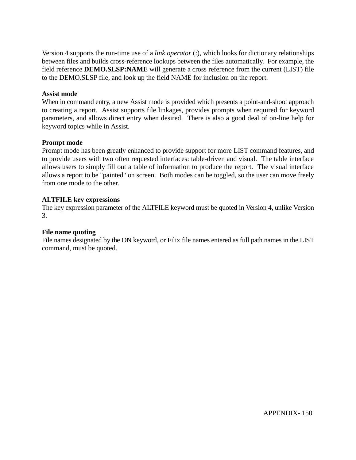Version 4 supports the run-time use of a *link operator* (:), which looks for dictionary relationships between files and builds cross-reference lookups between the files automatically. For example, the field reference **DEMO.SLSP:NAME** will generate a cross reference from the current (LIST) file to the DEMO.SLSP file, and look up the field NAME for inclusion on the report.

#### **Assist mode**

When in command entry, a new Assist mode is provided which presents a point-and-shoot approach to creating a report. Assist supports file linkages, provides prompts when required for keyword parameters, and allows direct entry when desired. There is also a good deal of on-line help for keyword topics while in Assist.

#### **Prompt mode**

Prompt mode has been greatly enhanced to provide support for more LIST command features, and to provide users with two often requested interfaces: table-driven and visual. The table interface allows users to simply fill out a table of information to produce the report. The visual interface allows a report to be "painted" on screen. Both modes can be toggled, so the user can move freely from one mode to the other.

#### **ALTFILE key expressions**

The key expression parameter of the ALTFILE keyword must be quoted in Version 4, unlike Version 3.

#### **File name quoting**

File names designated by the ON keyword, or Filix file names entered as full path names in the LIST command, must be quoted.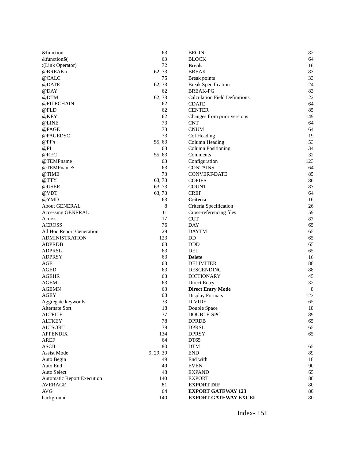| &function                         | 63        | <b>BEGIN</b>                         | 82  |
|-----------------------------------|-----------|--------------------------------------|-----|
| &function\$(                      | 63        | <b>BLOCK</b>                         | 64  |
| :(Link Operator)                  | 72        | <b>Break</b>                         | 16  |
| @BREAKn                           | 62, 73    | <b>BREAK</b>                         | 83  |
| @CALC                             | 75        | Break points                         | 33  |
| @DATE                             | 62,73     | <b>Break Specification</b>           | 24  |
| @DAY                              | 62        | <b>BREAK-PG</b>                      | 83  |
| @DTM                              | 62, 73    | <b>Calculation Field Definitions</b> | 22  |
| @FILECHAIN                        | 62        | <b>CDATE</b>                         | 64  |
| @FLD                              | 62        | <b>CENTER</b>                        | 85  |
| @KEY                              | 62        | Changes from prior versions          | 149 |
| @LINE                             | 73        | <b>CNT</b>                           | 64  |
| @PAGE                             | 73        | <b>CNUM</b>                          | 64  |
| @PAGEDSC                          | 73        | Col Heading                          | 19  |
| @PPn                              | 55, 63    | Column Heading                       | 53  |
| @PI                               | 63        | <b>Column Positioning</b>            | 34  |
| @REC                              | 55, 63    | Comments                             | 32  |
| @TEMPname                         | 63        | Configuration                        | 123 |
| @TEMPname\$                       | 63        | <b>CONTAINS</b>                      | 64  |
| @TIME                             | 73        | <b>CONVERT-DATE</b>                  | 85  |
| @TTY                              | 63,73     | <b>COPIES</b>                        | 86  |
| @USER                             | 63, 73    | <b>COUNT</b>                         | 87  |
| @VDT                              | 63,73     | <b>CREF</b>                          | 64  |
| @YMD                              | 63        | Criteria                             | 16  |
| About GENERAL                     | 8         | Criteria Specification               | 26  |
| Accessing GENERAL                 | 11        | Cross-referencing files              | 59  |
| Across                            | 17        | <b>CUT</b>                           | 87  |
| <b>ACROSS</b>                     | 76        | <b>DAY</b>                           | 65  |
| Ad Hoc Report Generation          | 29        | <b>DAYTM</b>                         | 65  |
| <b>ADMINISTRATION</b>             | 123       | DD                                   | 65  |
| <b>ADPRDB</b>                     | 63        | <b>DDD</b>                           | 65  |
| <b>ADPRSL</b>                     | 63        | DEL                                  | 65  |
| <b>ADPRSY</b>                     | 63        | <b>Delete</b>                        | 16  |
| AGE                               | 63        | <b>DELIMITER</b>                     | 88  |
| <b>AGED</b>                       | 63        | <b>DESCENDING</b>                    | 88  |
| <b>AGEHR</b>                      | 63        | <b>DICTIONARY</b>                    | 45  |
| <b>AGEM</b>                       | 63        | Direct Entry                         | 32  |
| <b>AGEMN</b>                      | 63        | <b>Direct Entry Mode</b>             | 8   |
| <b>AGEY</b>                       | 63        | Display Formats                      | 123 |
| Aggregate keywords                | 33        | <b>DIVIDE</b>                        | 65  |
| Alternate Sort                    | 18        | Double Space                         | 18  |
| <b>ALTFILE</b>                    | $77\,$    | DOUBLE-SPC                           | 89  |
| <b>ALTKEY</b>                     | 78        | <b>DPRDB</b>                         | 65  |
| <b>ALTSORT</b>                    | 79        | <b>DPRSL</b>                         | 65  |
| <b>APPENDIX</b>                   | 134       | <b>DPRSY</b>                         | 65  |
| <b>AREF</b>                       | 64        | DT65                                 |     |
| <b>ASCII</b>                      | 80        | <b>DTM</b>                           | 65  |
| <b>Assist Mode</b>                | 9, 29, 39 | <b>END</b>                           | 89  |
| Auto Begin                        | 49        | End with                             | 18  |
| Auto End                          | 49        | <b>EVEN</b>                          | 90  |
| Auto Select                       | 48        | <b>EXPAND</b>                        | 65  |
| <b>Automatic Report Execution</b> | 140       | <b>EXPORT</b>                        | 80  |
| <b>AVERAGE</b>                    | 81        | <b>EXPORT DIF</b>                    | 80  |
| $\rm{AVG}$                        | 64        | <b>EXPORT GATEWAY 123</b>            | 80  |
| background                        | 140       | <b>EXPORT GATEWAY EXCEL</b>          | 80  |
|                                   |           |                                      |     |

Index- 151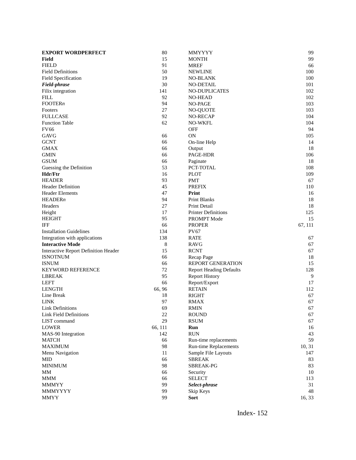| <b>EXPORT WORDPERFECT</b>            | 80      | <b>MMYYYY</b>                  | 99      |
|--------------------------------------|---------|--------------------------------|---------|
| Field                                | 15      | <b>MONTH</b>                   | 99      |
| <b>FIELD</b>                         | 91      | <b>MREF</b>                    | 66      |
| <b>Field Definitions</b>             | 50      | <b>NEWLINE</b>                 | 100     |
| Field Specification                  | 19      | <b>NO-BLANK</b>                | 100     |
| Field-phrase                         | 30      | <b>NO-DETAIL</b>               | 101     |
| Filix integration                    | 141     | NO-DUPLICATES                  | 102     |
| <b>FILL</b>                          | 92      | <b>NO-HEAD</b>                 | 102     |
| FOOTERn                              | 94      | NO-PAGE                        | 103     |
| Footers                              | 27      | <b>NO-QUOTE</b>                | 103     |
| <b>FULLCASE</b>                      | 92      | <b>NO-RECAP</b>                | 104     |
| <b>Function Table</b>                | 62      | <b>NO-WKFL</b>                 | 104     |
| <b>FV66</b>                          |         | <b>OFF</b>                     | 94      |
| <b>GAVG</b>                          | 66      | <b>ON</b>                      | 105     |
| <b>GCNT</b>                          | 66      | On-line Help                   | 14      |
| <b>GMAX</b>                          | 66      | Output                         | 18      |
| <b>GMIN</b>                          | 66      | <b>PAGE-HDR</b>                | 106     |
| <b>GSUM</b>                          | 66      | Paginate                       | 18      |
| Guessing the Definition              | 53      | PCT-TOTAL                      | 108     |
| Hdr/Ftr                              | 16      | <b>PLOT</b>                    | 109     |
| <b>HEADER</b>                        | 93      | <b>PMT</b>                     | 67      |
| <b>Header Definition</b>             | 45      | <b>PREFIX</b>                  | 110     |
| <b>Header Elements</b>               | 47      | Print                          | 16      |
| HEADERn                              | 94      | <b>Print Blanks</b>            | 18      |
| Headers                              | 27      | Print Detail                   | 18      |
| Height                               | 17      | <b>Printer Definitions</b>     | 125     |
| <b>HEIGHT</b>                        | 95      | PROMPT Mode                    | 15      |
| IFF                                  | 66      | <b>PROPER</b>                  | 67, 111 |
| <b>Installation Guidelines</b>       | 134     | <b>PV67</b>                    |         |
| Integration with applications        | 138     | <b>RATE</b>                    | 67      |
| <b>Interactive Mode</b>              | 8       | <b>RAVG</b>                    | 67      |
| Interactive Report Definition Header | 15      | <b>RCNT</b>                    | 67      |
| <b>ISNOTNUM</b>                      | 66      | Recap Page                     | 18      |
| <b>ISNUM</b>                         | 66      | <b>REPORT GENERATION</b>       | 15      |
| <b>KEYWORD REFERENCE</b>             | 72      | <b>Report Heading Defaults</b> | 128     |
| <b>LBREAK</b>                        | 95      | <b>Report History</b>          | 9       |
| <b>LEFT</b>                          | 66      | Report/Export                  | 17      |
| <b>LENGTH</b>                        | 66, 96  | <b>RETAIN</b>                  | 112     |
| Line Break                           | 18      | <b>RIGHT</b>                   | 67      |
| <b>LINK</b>                          | 97      | <b>RMAX</b>                    | 67      |
| Link Definitions                     | 69      | <b>RMIN</b>                    | 67      |
| <b>Link Field Definitions</b>        | $22\,$  | <b>ROUND</b>                   | 67      |
| LIST command                         | 29      | <b>RSUM</b>                    | 67      |
| <b>LOWER</b>                         | 66, 111 | Run                            | 16      |
| MAS-90 Integration                   | 142     | <b>RUN</b>                     | 43      |
| <b>MATCH</b>                         | 66      | Run-time replacements          | 59      |
| <b>MAXIMUM</b>                       | 98      | <b>Run-time Replacements</b>   | 10, 31  |
| Menu Navigation                      | 11      | Sample File Layouts            | 147     |
| MID                                  | 66      | <b>SBREAK</b>                  | 83      |
| <b>MINIMUM</b>                       | 98      | SBREAK-PG                      | 83      |
| MМ                                   | 66      | Security                       | 10      |
| <b>MMM</b>                           | 66      | <b>SELECT</b>                  | 113     |
| <b>MMMYY</b>                         | 99      | Select-phrase                  | 31      |
| <b>MMMYYYY</b>                       | 99      | Skip Keys                      | 48      |
| <b>MMYY</b>                          | 99      | Sort                           | 16, 33  |
|                                      |         |                                |         |

Index- 152